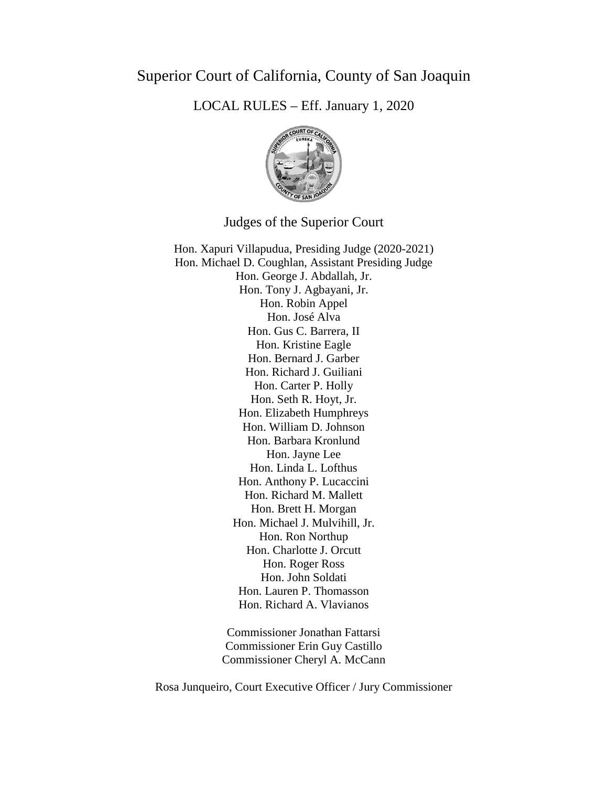# Superior Court of California, County of San Joaquin

LOCAL RULES – Eff. January 1, 2020



# Judges of the Superior Court

Hon. Xapuri Villapudua, Presiding Judge (2020-2021) Hon. Michael D. Coughlan, Assistant Presiding Judge Hon. George J. Abdallah, Jr. Hon. Tony J. Agbayani, Jr. Hon. Robin Appel Hon. José Alva Hon. Gus C. Barrera, II Hon. Kristine Eagle Hon. Bernard J. Garber Hon. Richard J. Guiliani Hon. Carter P. Holly Hon. Seth R. Hoyt, Jr. Hon. Elizabeth Humphreys Hon. William D. Johnson Hon. Barbara Kronlund Hon. Jayne Lee Hon. Linda L. Lofthus Hon. Anthony P. Lucaccini Hon. Richard M. Mallett Hon. Brett H. Morgan Hon. Michael J. Mulvihill, Jr. Hon. Ron Northup Hon. Charlotte J. Orcutt Hon. Roger Ross Hon. John Soldati Hon. Lauren P. Thomasson Hon. Richard A. Vlavianos

> Commissioner Jonathan Fattarsi Commissioner Erin Guy Castillo Commissioner Cheryl A. McCann

Rosa Junqueiro, Court Executive Officer / Jury Commissioner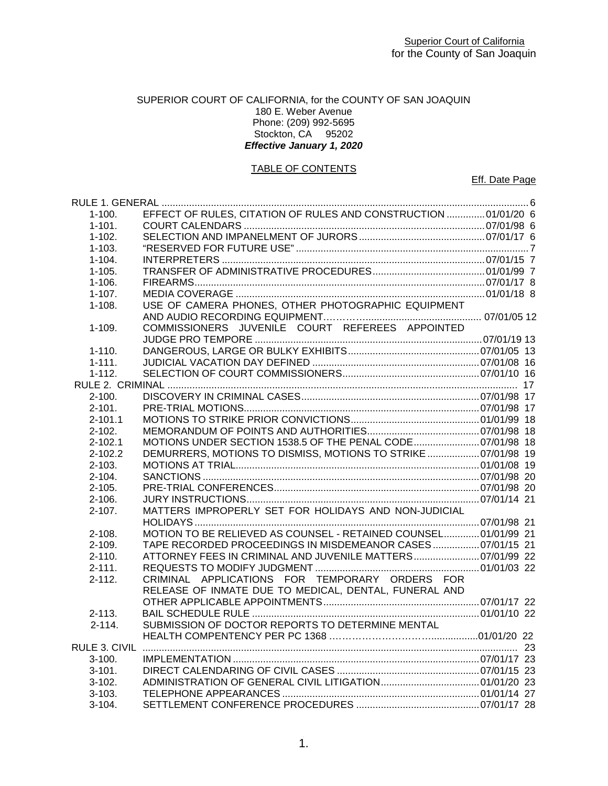# SUPERIOR COURT OF CALIFORNIA, for the COUNTY OF SAN JOAQUIN 180 E. Weber Avenue Phone: (209) 992-5695 Stockton, CA 95202 *Effective January 1, 2020*

# TABLE OF CONTENTS

Eff. Date Page

| $1 - 100.$  | EFFECT OF RULES, CITATION OF RULES AND CONSTRUCTION  01/01/20 6 |  |
|-------------|-----------------------------------------------------------------|--|
| $1 - 101.$  |                                                                 |  |
| $1 - 102.$  |                                                                 |  |
| $1 - 103.$  |                                                                 |  |
| $1 - 104.$  |                                                                 |  |
| $1 - 105.$  |                                                                 |  |
| $1 - 106.$  |                                                                 |  |
| $1 - 107.$  |                                                                 |  |
| $1 - 108.$  | USE OF CAMERA PHONES, OTHER PHOTOGRAPHIC EQUIPMENT              |  |
|             |                                                                 |  |
| $1 - 109.$  | COMMISSIONERS JUVENILE COURT REFEREES APPOINTED                 |  |
|             |                                                                 |  |
| $1 - 110.$  |                                                                 |  |
| $1 - 111.$  |                                                                 |  |
| $1 - 112.$  |                                                                 |  |
|             |                                                                 |  |
| $2 - 100.$  |                                                                 |  |
| $2 - 101.$  |                                                                 |  |
| $2 - 101.1$ |                                                                 |  |
| $2 - 102.$  |                                                                 |  |
| $2 - 102.1$ | MOTIONS UNDER SECTION 1538.5 OF THE PENAL CODE 07/01/98 18      |  |
| $2 - 102.2$ | DEMURRERS, MOTIONS TO DISMISS, MOTIONS TO STRIKE  07/01/98 19   |  |
| $2 - 103.$  |                                                                 |  |
| $2 - 104.$  |                                                                 |  |
| $2 - 105.$  |                                                                 |  |
| $2 - 106.$  |                                                                 |  |
| $2 - 107$ . | MATTERS IMPROPERLY SET FOR HOLIDAYS AND NON-JUDICIAL            |  |
|             |                                                                 |  |
| $2 - 108.$  | MOTION TO BE RELIEVED AS COUNSEL - RETAINED COUNSEL 01/01/99 21 |  |
| $2 - 109.$  | TAPE RECORDED PROCEEDINGS IN MISDEMEANOR CASES 07/01/15 21      |  |
| $2 - 110.$  | ATTORNEY FEES IN CRIMINAL AND JUVENILE MATTERS 07/01/99 22      |  |
| $2 - 111.$  |                                                                 |  |
| $2 - 112.$  | CRIMINAL APPLICATIONS FOR TEMPORARY ORDERS FOR                  |  |
|             | RELEASE OF INMATE DUE TO MEDICAL, DENTAL, FUNERAL AND           |  |
|             |                                                                 |  |
| $2 - 113.$  |                                                                 |  |
| $2 - 114.$  | SUBMISSION OF DOCTOR REPORTS TO DETERMINE MENTAL                |  |
|             |                                                                 |  |
|             |                                                                 |  |
| $3-100.$    |                                                                 |  |
| $3 - 101.$  |                                                                 |  |
| $3-102.$    |                                                                 |  |
| $3-103.$    |                                                                 |  |
| $3 - 104.$  |                                                                 |  |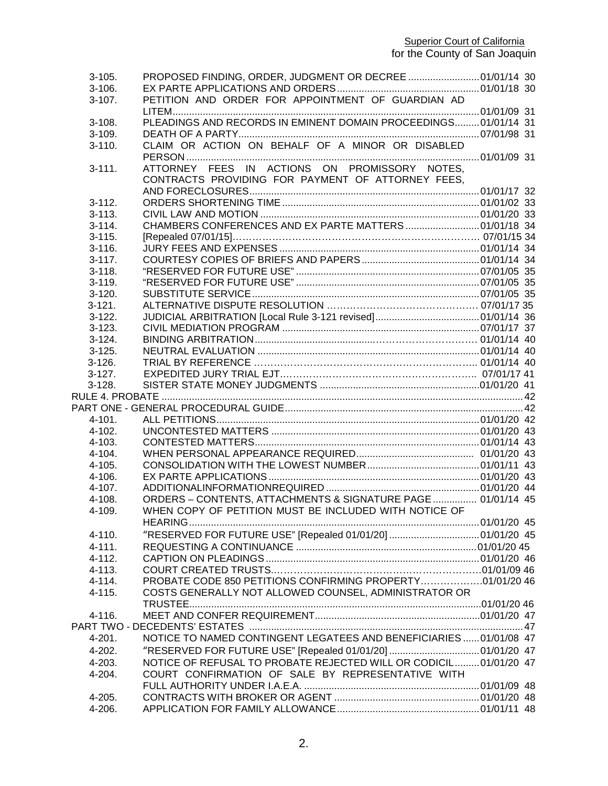#### **Superior Court of California**

| $3 - 105.$  | PROPOSED FINDING, ORDER, JUDGMENT OR DECREE  01/01/14 30                                           |  |
|-------------|----------------------------------------------------------------------------------------------------|--|
| $3-106.$    |                                                                                                    |  |
| $3-107$ .   | PETITION AND ORDER FOR APPOINTMENT OF GUARDIAN AD                                                  |  |
|             |                                                                                                    |  |
| $3 - 108.$  | PLEADINGS AND RECORDS IN EMINENT DOMAIN PROCEEDINGS 01/01/14 31                                    |  |
| $3-109.$    |                                                                                                    |  |
| $3 - 110.$  | CLAIM OR ACTION ON BEHALF OF A MINOR OR DISABLED                                                   |  |
|             |                                                                                                    |  |
| $3 - 111.$  | ATTORNEY FEES IN ACTIONS ON PROMISSORY NOTES,<br>CONTRACTS PROVIDING FOR PAYMENT OF ATTORNEY FEES. |  |
|             |                                                                                                    |  |
| $3-112.$    |                                                                                                    |  |
| $3 - 113.$  |                                                                                                    |  |
| $3 - 114$ . |                                                                                                    |  |
| $3 - 115.$  |                                                                                                    |  |
| $3 - 116.$  |                                                                                                    |  |
| $3-117.$    |                                                                                                    |  |
| $3 - 118.$  |                                                                                                    |  |
| $3 - 119.$  |                                                                                                    |  |
| $3-120.$    |                                                                                                    |  |
| $3 - 121.$  |                                                                                                    |  |
| $3-122.$    |                                                                                                    |  |
| $3 - 123$ . |                                                                                                    |  |
| $3-124.$    |                                                                                                    |  |
| $3-125.$    |                                                                                                    |  |
| $3-126.$    |                                                                                                    |  |
| $3-127.$    |                                                                                                    |  |
| $3-128.$    |                                                                                                    |  |
|             |                                                                                                    |  |
|             |                                                                                                    |  |
| $4 - 101.$  |                                                                                                    |  |
| $4 - 102.$  |                                                                                                    |  |
| $4 - 103.$  |                                                                                                    |  |
| 4-104.      |                                                                                                    |  |
| $4 - 105.$  |                                                                                                    |  |
| 4-106.      |                                                                                                    |  |
| $4 - 107$ . |                                                                                                    |  |
| $4 - 108.$  | ORDERS - CONTENTS, ATTACHMENTS & SIGNATURE PAGE  01/01/14 45                                       |  |
| 4-109.      | WHEN COPY OF PETITION MUST BE INCLUDED WITH NOTICE OF                                              |  |
|             |                                                                                                    |  |
| 4-110.      |                                                                                                    |  |
| $4 - 111.$  |                                                                                                    |  |
| $4 - 112.$  |                                                                                                    |  |
| 4-113.      |                                                                                                    |  |
| $4 - 114.$  | PROBATE CODE 850 PETITIONS CONFIRMING PROPERTY01/01/20 46                                          |  |
| 4-115.      | COSTS GENERALLY NOT ALLOWED COUNSEL, ADMINISTRATOR OR                                              |  |
|             |                                                                                                    |  |
| 4-116.      |                                                                                                    |  |
|             |                                                                                                    |  |
| 4-201.      | NOTICE TO NAMED CONTINGENT LEGATEES AND BENEFICIARIES  01/01/08 47                                 |  |
| 4-202.      |                                                                                                    |  |
| 4-203.      | NOTICE OF REFUSAL TO PROBATE REJECTED WILL OR CODICIL 01/01/20 47                                  |  |
| 4-204.      | COURT CONFIRMATION OF SALE BY REPRESENTATIVE WITH                                                  |  |
|             |                                                                                                    |  |
| 4-205.      |                                                                                                    |  |
| 4-206.      |                                                                                                    |  |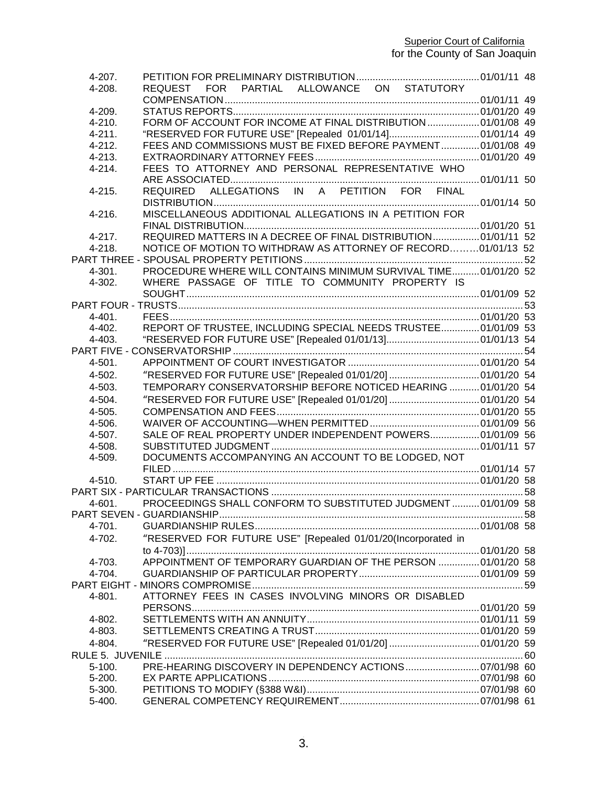**Superior Court of California** 

| 4-207.      |                                                                 |  |
|-------------|-----------------------------------------------------------------|--|
| 4-208.      | REQUEST FOR PARTIAL ALLOWANCE ON STATUTORY                      |  |
|             |                                                                 |  |
| 4-209.      |                                                                 |  |
| 4-210.      | FORM OF ACCOUNT FOR INCOME AT FINAL DISTRIBUTION  01/01/08 49   |  |
| $4 - 211.$  | "RESERVED FOR FUTURE USE" [Repealed 01/01/14]01/01/14 49        |  |
| $4 - 212.$  | FEES AND COMMISSIONS MUST BE FIXED BEFORE PAYMENT 01/01/08 49   |  |
| $4 - 213$ . |                                                                 |  |
| $4 - 214$ . | FEES TO ATTORNEY AND PERSONAL REPRESENTATIVE WHO                |  |
| $4 - 215.$  | REQUIRED ALLEGATIONS IN A PETITION FOR FINAL                    |  |
| $4 - 216.$  | MISCELLANEOUS ADDITIONAL ALLEGATIONS IN A PETITION FOR          |  |
|             |                                                                 |  |
| $4 - 217.$  | REQUIRED MATTERS IN A DECREE OF FINAL DISTRIBUTION 01/01/11 52  |  |
| $4 - 218.$  | NOTICE OF MOTION TO WITHDRAW AS ATTORNEY OF RECORD01/01/13 52   |  |
|             |                                                                 |  |
| 4-301.      | PROCEDURE WHERE WILL CONTAINS MINIMUM SURVIVAL TIME 01/01/20 52 |  |
| 4-302.      | WHERE PASSAGE OF TITLE TO COMMUNITY PROPERTY IS                 |  |
|             |                                                                 |  |
|             |                                                                 |  |
| $4 - 401$ . |                                                                 |  |
| 4-402.      | REPORT OF TRUSTEE, INCLUDING SPECIAL NEEDS TRUSTEE 01/01/09 53  |  |
| $4 - 403$ . |                                                                 |  |
|             |                                                                 |  |
| 4-501.      |                                                                 |  |
| 4-502.      | "RESERVED FOR FUTURE USE" [Repealed 01/01/20] 01/01/20 54       |  |
| 4-503.      | TEMPORARY CONSERVATORSHIP BEFORE NOTICED HEARING  01/01/20 54   |  |
| 4-504.      | "RESERVED FOR FUTURE USE" [Repealed 01/01/20]  01/01/20 54      |  |
| 4-505.      |                                                                 |  |
| 4-506.      |                                                                 |  |
| 4-507.      | SALE OF REAL PROPERTY UNDER INDEPENDENT POWERS 01/01/09 56      |  |
| 4-508.      |                                                                 |  |
| 4-509.      | DOCUMENTS ACCOMPANYING AN ACCOUNT TO BE LODGED, NOT             |  |
|             |                                                                 |  |
| $4 - 510.$  |                                                                 |  |
|             |                                                                 |  |
| $4 - 601$ . | PROCEEDINGS SHALL CONFORM TO SUBSTITUTED JUDGMENT01/01/09 58    |  |
|             | PART SEVEN - GUARDIANSHIP.                                      |  |
|             |                                                                 |  |
| 4-701.      |                                                                 |  |
| 4-702.      | "RESERVED FOR FUTURE USE" [Repealed 01/01/20(Incorporated in    |  |
|             |                                                                 |  |
| 4-703.      | APPOINTMENT OF TEMPORARY GUARDIAN OF THE PERSON  01/01/20 58    |  |
| 4-704.      |                                                                 |  |
|             |                                                                 |  |
| 4-801.      | ATTORNEY FEES IN CASES INVOLVING MINORS OR DISABLED             |  |
|             |                                                                 |  |
| $4 - 802.$  |                                                                 |  |
| 4-803.      |                                                                 |  |
| 4-804.      | "RESERVED FOR FUTURE USE" [Repealed 01/01/20] 01/01/20 59       |  |
|             |                                                                 |  |
| $5 - 100.$  | PRE-HEARING DISCOVERY IN DEPENDENCY ACTIONS 07/01/98 60         |  |
| $5 - 200.$  |                                                                 |  |
| 5-300.      |                                                                 |  |
| 5-400.      |                                                                 |  |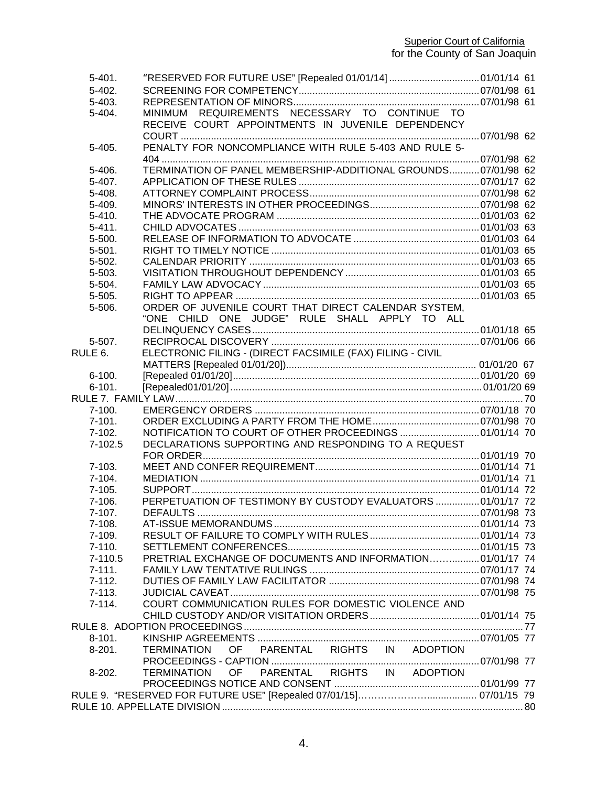# **Superior Court of California** for the County of San Joaquin

| $5-401.$<br>$5-402.$ |                                                                |  |
|----------------------|----------------------------------------------------------------|--|
| $5-403.$             |                                                                |  |
| 5-404.               | REQUIREMENTS NECESSARY TO CONTINUE TO<br>MINIMUM               |  |
|                      | RECEIVE COURT APPOINTMENTS IN JUVENILE DEPENDENCY              |  |
|                      |                                                                |  |
| $5-405.$             | PENALTY FOR NONCOMPLIANCE WITH RULE 5-403 AND RULE 5-          |  |
|                      |                                                                |  |
| 5-406.               | TERMINATION OF PANEL MEMBERSHIP-ADDITIONAL GROUNDS 07/01/98 62 |  |
| $5-407.$             |                                                                |  |
|                      |                                                                |  |
| 5-408.               |                                                                |  |
| 5-409.               |                                                                |  |
| $5-410.$             |                                                                |  |
| $5 - 411$ .          |                                                                |  |
| $5 - 500.$           |                                                                |  |
| $5 - 501.$           |                                                                |  |
| 5-502.               |                                                                |  |
| 5-503.               |                                                                |  |
| 5-504.               |                                                                |  |
| $5 - 505.$           |                                                                |  |
| 5-506.               | ORDER OF JUVENILE COURT THAT DIRECT CALENDAR SYSTEM,           |  |
|                      | "ONE CHILD ONE JUDGE" RULE SHALL APPLY TO ALL                  |  |
|                      |                                                                |  |
| $5-507$ .            |                                                                |  |
| RULE 6.              | ELECTRONIC FILING - (DIRECT FACSIMILE (FAX) FILING - CIVIL     |  |
|                      |                                                                |  |
| $6 - 100.$           |                                                                |  |
| $6 - 101.$           |                                                                |  |
|                      |                                                                |  |
| $7 - 100.$           |                                                                |  |
| $7 - 101.$           |                                                                |  |
|                      |                                                                |  |
| $7-102.$             |                                                                |  |
| $7-102.5$            | DECLARATIONS SUPPORTING AND RESPONDING TO A REQUEST            |  |
|                      |                                                                |  |
| $7 - 103.$           |                                                                |  |
| $7-104.$             |                                                                |  |
| $7-105.$             |                                                                |  |
| $7 - 106.$           | PERPETUATION OF TESTIMONY BY CUSTODY EVALUATORS  01/01/17 72   |  |
| 7-107.               |                                                                |  |
| $7-108.$             |                                                                |  |
| 7-109.               |                                                                |  |
| $7-110.$             |                                                                |  |
| 7-110.5              | PRETRIAL EXCHANGE OF DOCUMENTS AND INFORMATION 01/01/17 74     |  |
| $7 - 111.$           |                                                                |  |
| $7-112.$             |                                                                |  |
| $7 - 113.$           |                                                                |  |
| $7 - 114.$           | COURT COMMUNICATION RULES FOR DOMESTIC VIOLENCE AND            |  |
|                      |                                                                |  |
|                      |                                                                |  |
| $8 - 101.$           |                                                                |  |
| $8-201.$             | OF PARENTAL RIGHTS IN ADOPTION<br><b>TERMINATION</b>           |  |
|                      |                                                                |  |
|                      |                                                                |  |
| $8-202.$             |                                                                |  |
|                      |                                                                |  |
|                      |                                                                |  |
|                      |                                                                |  |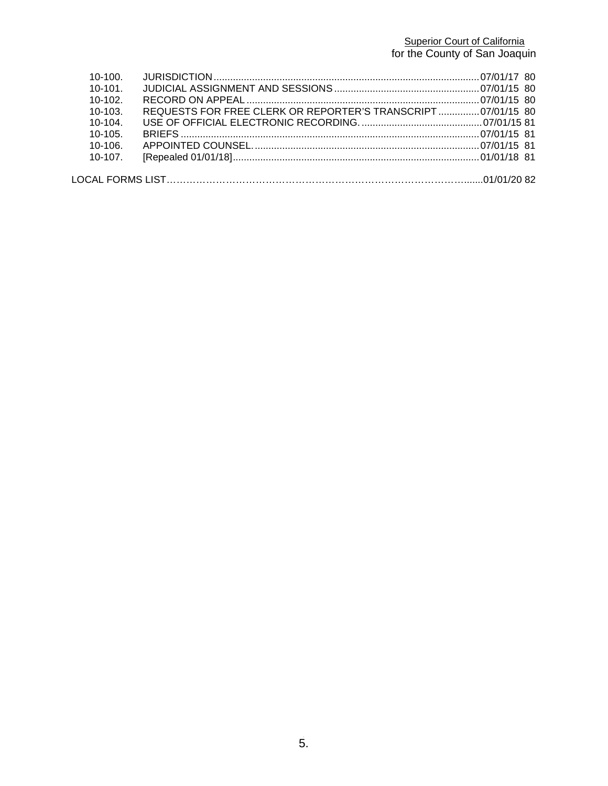# **Superior Court of California** for the County of San Joaquin

| $10-100$ .   |                                                              |  |
|--------------|--------------------------------------------------------------|--|
| $10 - 101$   |                                                              |  |
| $10-102$     |                                                              |  |
| $10-103$ .   | REQUESTS FOR FREE CLERK OR REPORTER'S TRANSCRIPT 07/01/15 80 |  |
| $10-104$ .   |                                                              |  |
| $10 - 105$   |                                                              |  |
| $10-106$     |                                                              |  |
| $10 - 107$ . |                                                              |  |
|              |                                                              |  |
|              |                                                              |  |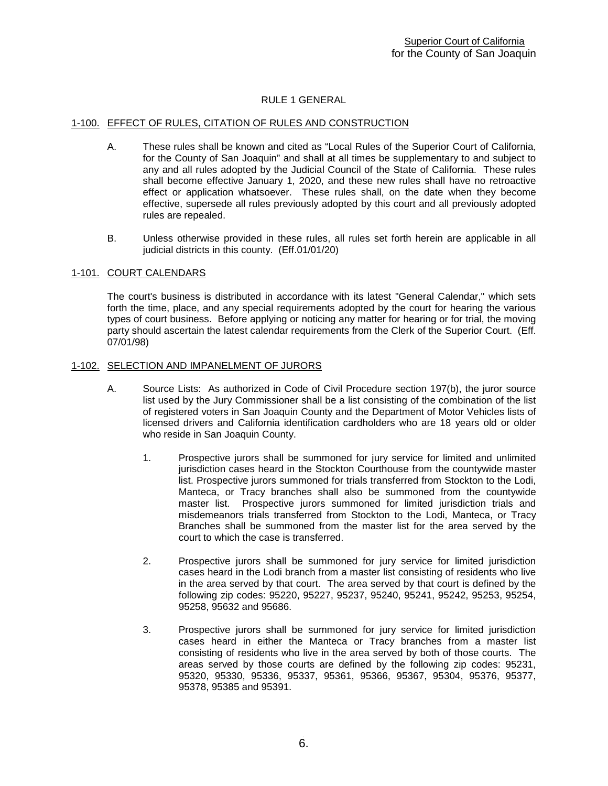# RULE 1 GENERAL

### <span id="page-6-1"></span><span id="page-6-0"></span>1-100. EFFECT OF RULES, CITATION OF RULES AND CONSTRUCTION

- A. These rules shall be known and cited as "Local Rules of the Superior Court of California, for the County of San Joaquin" and shall at all times be supplementary to and subject to any and all rules adopted by the Judicial Council of the State of California. These rules shall become effective January 1, 2020, and these new rules shall have no retroactive effect or application whatsoever. These rules shall, on the date when they become effective, supersede all rules previously adopted by this court and all previously adopted rules are repealed.
- B. Unless otherwise provided in these rules, all rules set forth herein are applicable in all judicial districts in this county. (Eff.01/01/20)

# <span id="page-6-2"></span>1-101. COURT CALENDARS

The court's business is distributed in accordance with its latest "General Calendar," which sets forth the time, place, and any special requirements adopted by the court for hearing the various types of court business. Before applying or noticing any matter for hearing or for trial, the moving party should ascertain the latest calendar requirements from the Clerk of the Superior Court. (Eff. 07/01/98)

#### <span id="page-6-3"></span>1-102. SELECTION AND IMPANELMENT OF JURORS

- A. Source Lists: As authorized in Code of Civil Procedure section 197(b), the juror source list used by the Jury Commissioner shall be a list consisting of the combination of the list of registered voters in San Joaquin County and the Department of Motor Vehicles lists of licensed drivers and California identification cardholders who are 18 years old or older who reside in San Joaquin County.
	- 1. Prospective jurors shall be summoned for jury service for limited and unlimited jurisdiction cases heard in the Stockton Courthouse from the countywide master list. Prospective jurors summoned for trials transferred from Stockton to the Lodi, Manteca, or Tracy branches shall also be summoned from the countywide master list. Prospective jurors summoned for limited jurisdiction trials and misdemeanors trials transferred from Stockton to the Lodi, Manteca, or Tracy Branches shall be summoned from the master list for the area served by the court to which the case is transferred.
	- 2. Prospective jurors shall be summoned for jury service for limited jurisdiction cases heard in the Lodi branch from a master list consisting of residents who live in the area served by that court. The area served by that court is defined by the following zip codes: 95220, 95227, 95237, 95240, 95241, 95242, 95253, 95254, 95258, 95632 and 95686.
	- 3. Prospective jurors shall be summoned for jury service for limited jurisdiction cases heard in either the Manteca or Tracy branches from a master list consisting of residents who live in the area served by both of those courts. The areas served by those courts are defined by the following zip codes: 95231, 95320, 95330, 95336, 95337, 95361, 95366, 95367, 95304, 95376, 95377, 95378, 95385 and 95391.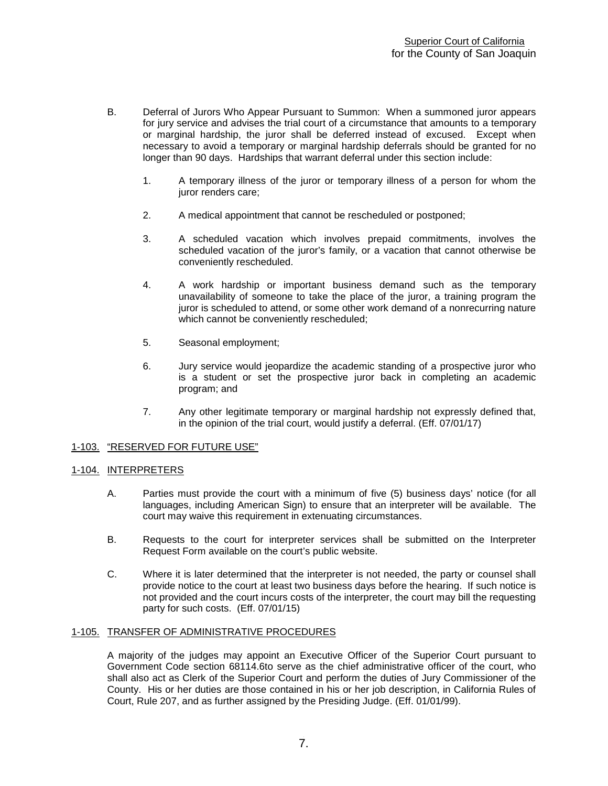- B. Deferral of Jurors Who Appear Pursuant to Summon: When a summoned juror appears for jury service and advises the trial court of a circumstance that amounts to a temporary or marginal hardship, the juror shall be deferred instead of excused. Except when necessary to avoid a temporary or marginal hardship deferrals should be granted for no longer than 90 days. Hardships that warrant deferral under this section include:
	- 1. A temporary illness of the juror or temporary illness of a person for whom the juror renders care;
	- 2. A medical appointment that cannot be rescheduled or postponed;
	- 3. A scheduled vacation which involves prepaid commitments, involves the scheduled vacation of the juror's family, or a vacation that cannot otherwise be conveniently rescheduled.
	- 4. A work hardship or important business demand such as the temporary unavailability of someone to take the place of the juror, a training program the juror is scheduled to attend, or some other work demand of a nonrecurring nature which cannot be conveniently rescheduled;
	- 5. Seasonal employment;
	- 6. Jury service would jeopardize the academic standing of a prospective juror who is a student or set the prospective juror back in completing an academic program; and
	- 7. Any other legitimate temporary or marginal hardship not expressly defined that, in the opinion of the trial court, would justify a deferral. (Eff. 07/01/17)

# <span id="page-7-0"></span>1-103. "RESERVED FOR FUTURE USE"

#### <span id="page-7-1"></span>1-104. INTERPRETERS

- A. Parties must provide the court with a minimum of five (5) business days' notice (for all languages, including American Sign) to ensure that an interpreter will be available. The court may waive this requirement in extenuating circumstances.
- B. Requests to the court for interpreter services shall be submitted on the Interpreter Request Form available on the court's public website.
- <span id="page-7-2"></span>C. Where it is later determined that the interpreter is not needed, the party or counsel shall provide notice to the court at least two business days before the hearing. If such notice is not provided and the court incurs costs of the interpreter, the court may bill the requesting party for such costs. (Eff. 07/01/15)

#### 1-105. TRANSFER OF ADMINISTRATIVE PROCEDURES

A majority of the judges may appoint an Executive Officer of the Superior Court pursuant to Government Code section 68114.6to serve as the chief administrative officer of the court, who shall also act as Clerk of the Superior Court and perform the duties of Jury Commissioner of the County. His or her duties are those contained in his or her job description, in California Rules of Court, Rule 207, and as further assigned by the Presiding Judge. (Eff. 01/01/99).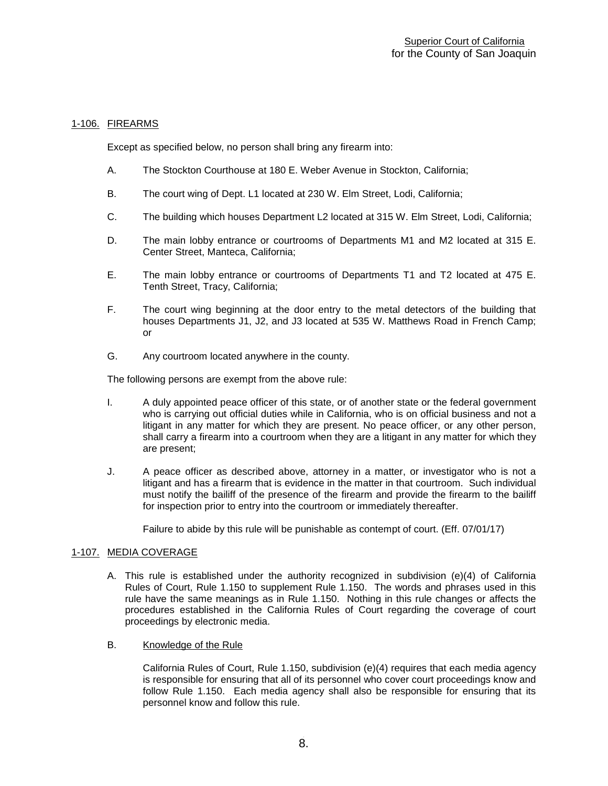# <span id="page-8-0"></span>1-106. FIREARMS

Except as specified below, no person shall bring any firearm into:

- A. The Stockton Courthouse at 180 E. Weber Avenue in Stockton, California;
- B. The court wing of Dept. L1 located at 230 W. Elm Street, Lodi, California;
- C. The building which houses Department L2 located at 315 W. Elm Street, Lodi, California;
- D. The main lobby entrance or courtrooms of Departments M1 and M2 located at 315 E. Center Street, Manteca, California;
- E. The main lobby entrance or courtrooms of Departments T1 and T2 located at 475 E. Tenth Street, Tracy, California;
- F. The court wing beginning at the door entry to the metal detectors of the building that houses Departments J1, J2, and J3 located at 535 W. Matthews Road in French Camp; or
- G. Any courtroom located anywhere in the county.

The following persons are exempt from the above rule:

- I. A duly appointed peace officer of this state, or of another state or the federal government who is carrying out official duties while in California, who is on official business and not a litigant in any matter for which they are present. No peace officer, or any other person, shall carry a firearm into a courtroom when they are a litigant in any matter for which they are present;
- J. A peace officer as described above, attorney in a matter, or investigator who is not a litigant and has a firearm that is evidence in the matter in that courtroom. Such individual must notify the bailiff of the presence of the firearm and provide the firearm to the bailiff for inspection prior to entry into the courtroom or immediately thereafter.

Failure to abide by this rule will be punishable as contempt of court. (Eff. 07/01/17)

#### <span id="page-8-1"></span>1-107. MEDIA COVERAGE

- A. This rule is established under the authority recognized in subdivision (e)(4) of California Rules of Court, Rule 1.150 to supplement Rule 1.150. The words and phrases used in this rule have the same meanings as in Rule 1.150. Nothing in this rule changes or affects the procedures established in the California Rules of Court regarding the coverage of court proceedings by electronic media.
- B. Knowledge of the Rule

California Rules of Court, Rule 1.150, subdivision (e)(4) requires that each media agency is responsible for ensuring that all of its personnel who cover court proceedings know and follow Rule 1.150. Each media agency shall also be responsible for ensuring that its personnel know and follow this rule.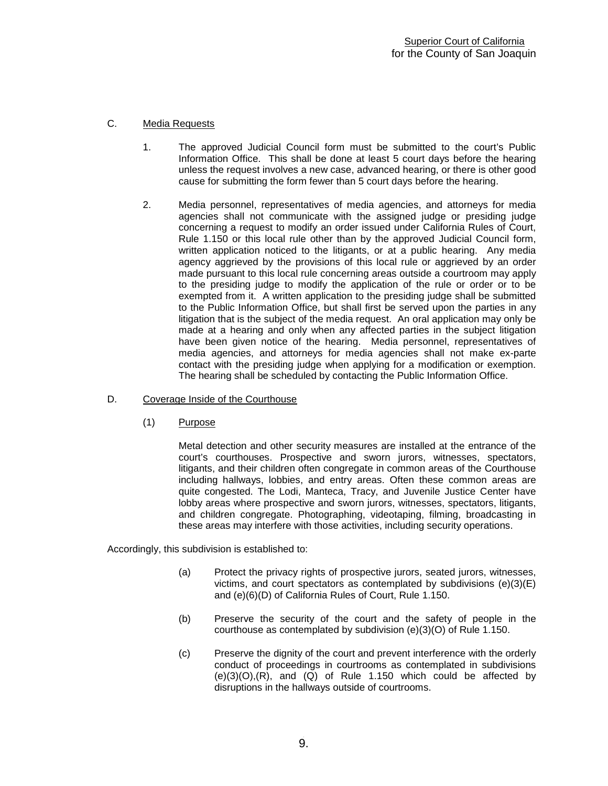# C. Media Requests

- 1. The approved Judicial Council form must be submitted to the court's Public Information Office. This shall be done at least 5 court days before the hearing unless the request involves a new case, advanced hearing, or there is other good cause for submitting the form fewer than 5 court days before the hearing.
- 2. Media personnel, representatives of media agencies, and attorneys for media agencies shall not communicate with the assigned judge or presiding judge concerning a request to modify an order issued under California Rules of Court, Rule 1.150 or this local rule other than by the approved Judicial Council form, written application noticed to the litigants, or at a public hearing. Any media agency aggrieved by the provisions of this local rule or aggrieved by an order made pursuant to this local rule concerning areas outside a courtroom may apply to the presiding judge to modify the application of the rule or order or to be exempted from it. A written application to the presiding judge shall be submitted to the Public Information Office, but shall first be served upon the parties in any litigation that is the subject of the media request. An oral application may only be made at a hearing and only when any affected parties in the subject litigation have been given notice of the hearing. Media personnel, representatives of media agencies, and attorneys for media agencies shall not make ex-parte contact with the presiding judge when applying for a modification or exemption. The hearing shall be scheduled by contacting the Public Information Office.
- D. Coverage Inside of the Courthouse
	- (1) Purpose

Metal detection and other security measures are installed at the entrance of the court's courthouses. Prospective and sworn jurors, witnesses, spectators, litigants, and their children often congregate in common areas of the Courthouse including hallways, lobbies, and entry areas. Often these common areas are quite congested. The Lodi, Manteca, Tracy, and Juvenile Justice Center have lobby areas where prospective and sworn jurors, witnesses, spectators, litigants, and children congregate. Photographing, videotaping, filming, broadcasting in these areas may interfere with those activities, including security operations.

Accordingly, this subdivision is established to:

- (a) Protect the privacy rights of prospective jurors, seated jurors, witnesses, victims, and court spectators as contemplated by subdivisions (e)(3)(E) and (e)(6)(D) of California Rules of Court, Rule 1.150.
- (b) Preserve the security of the court and the safety of people in the courthouse as contemplated by subdivision (e)(3)(O) of Rule 1.150.
- (c) Preserve the dignity of the court and prevent interference with the orderly conduct of proceedings in courtrooms as contemplated in subdivisions  $(e)(3)(O)$ ,  $(R)$ , and  $(Q)$  of Rule 1.150 which could be affected by disruptions in the hallways outside of courtrooms.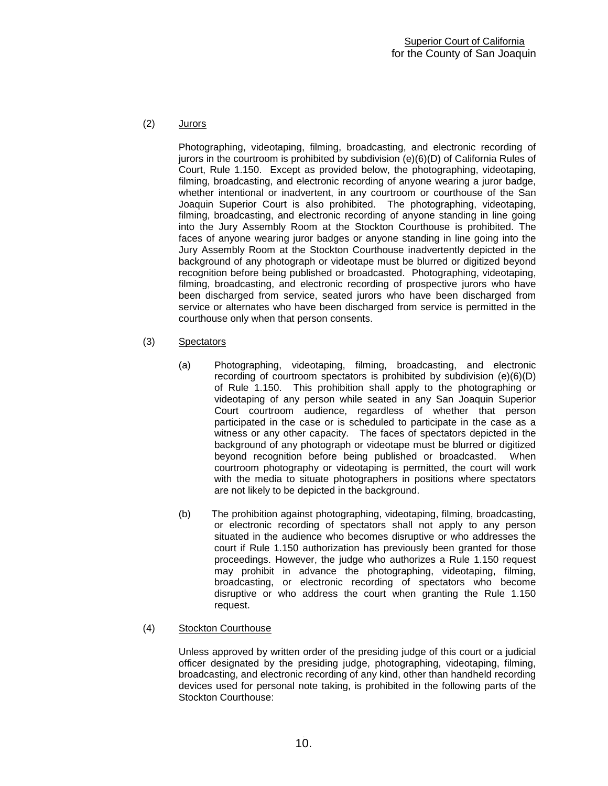# (2) Jurors

Photographing, videotaping, filming, broadcasting, and electronic recording of jurors in the courtroom is prohibited by subdivision (e)(6)(D) of California Rules of Court, Rule 1.150. Except as provided below, the photographing, videotaping, filming, broadcasting, and electronic recording of anyone wearing a juror badge, whether intentional or inadvertent, in any courtroom or courthouse of the San Joaquin Superior Court is also prohibited. The photographing, videotaping, filming, broadcasting, and electronic recording of anyone standing in line going into the Jury Assembly Room at the Stockton Courthouse is prohibited. The faces of anyone wearing juror badges or anyone standing in line going into the Jury Assembly Room at the Stockton Courthouse inadvertently depicted in the background of any photograph or videotape must be blurred or digitized beyond recognition before being published or broadcasted. Photographing, videotaping, filming, broadcasting, and electronic recording of prospective jurors who have been discharged from service, seated jurors who have been discharged from service or alternates who have been discharged from service is permitted in the courthouse only when that person consents.

- (3) Spectators
	- (a) Photographing, videotaping, filming, broadcasting, and electronic recording of courtroom spectators is prohibited by subdivision (e)(6)(D) of Rule 1.150. This prohibition shall apply to the photographing or videotaping of any person while seated in any San Joaquin Superior Court courtroom audience, regardless of whether that person participated in the case or is scheduled to participate in the case as a witness or any other capacity. The faces of spectators depicted in the background of any photograph or videotape must be blurred or digitized beyond recognition before being published or broadcasted. When courtroom photography or videotaping is permitted, the court will work with the media to situate photographers in positions where spectators are not likely to be depicted in the background.
	- (b) The prohibition against photographing, videotaping, filming, broadcasting, or electronic recording of spectators shall not apply to any person situated in the audience who becomes disruptive or who addresses the court if Rule 1.150 authorization has previously been granted for those proceedings. However, the judge who authorizes a Rule 1.150 request may prohibit in advance the photographing, videotaping, filming, broadcasting, or electronic recording of spectators who become disruptive or who address the court when granting the Rule 1.150 request.

# (4) Stockton Courthouse

Unless approved by written order of the presiding judge of this court or a judicial officer designated by the presiding judge, photographing, videotaping, filming, broadcasting, and electronic recording of any kind, other than handheld recording devices used for personal note taking, is prohibited in the following parts of the Stockton Courthouse: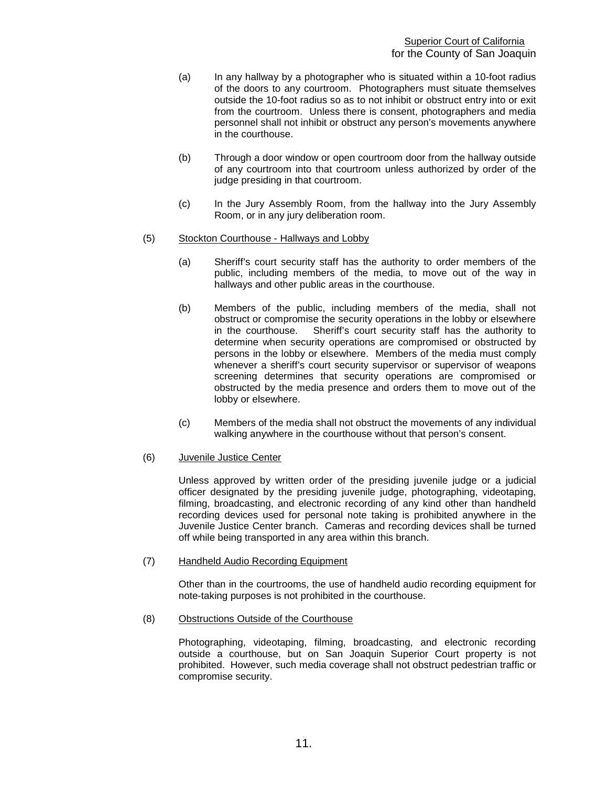- (a) In any hallway by a photographer who is situated within a 10-foot radius of the doors to any courtroom. Photographers must situate themselves outside the 10-foot radius so as to not inhibit or obstruct entry into or exit from the courtroom. Unless there is consent, photographers and media personnel shall not inhibit or obstruct any person's movements anywhere in the courthouse.
- (b) Through a door window or open courtroom door from the hallway outside of any courtroom into that courtroom unless authorized by order of the judge presiding in that courtroom.
- (c) In the Jury Assembly Room, from the hallway into the Jury Assembly Room, or in any jury deliberation room.
- (5) Stockton Courthouse Hallways and Lobby
	- (a) Sheriff's court security staff has the authority to order members of the public, including members of the media, to move out of the way in hallways and other public areas in the courthouse.
	- (b) Members of the public, including members of the media, shall not obstruct or compromise the security operations in the lobby or elsewhere in the courthouse. Sheriff's court security staff has the authority to determine when security operations are compromised or obstructed by persons in the lobby or elsewhere. Members of the media must comply whenever a sheriff's court security supervisor or supervisor of weapons screening determines that security operations are compromised or obstructed by the media presence and orders them to move out of the lobby or elsewhere.
	- (c) Members of the media shall not obstruct the movements of any individual walking anywhere in the courthouse without that person's consent.

#### (6) Juvenile Justice Center

Unless approved by written order of the presiding juvenile judge or a judicial officer designated by the presiding juvenile judge, photographing, videotaping, filming, broadcasting, and electronic recording of any kind other than handheld recording devices used for personal note taking is prohibited anywhere in the Juvenile Justice Center branch. Cameras and recording devices shall be turned off while being transported in any area within this branch.

#### (7) Handheld Audio Recording Equipment

Other than in the courtrooms, the use of handheld audio recording equipment for note-taking purposes is not prohibited in the courthouse.

(8) Obstructions Outside of the Courthouse

Photographing, videotaping, filming, broadcasting, and electronic recording outside a courthouse, but on San Joaquin Superior Court property is not prohibited. However, such media coverage shall not obstruct pedestrian traffic or compromise security.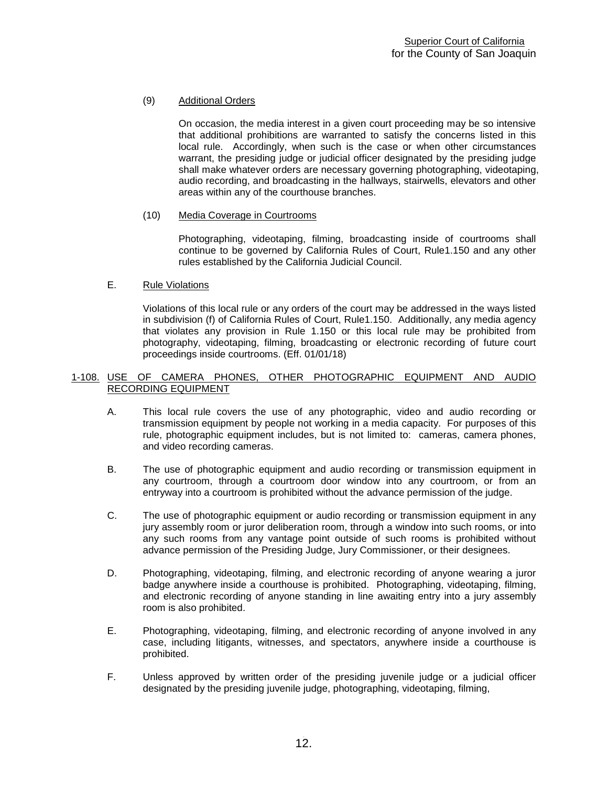# (9) Additional Orders

On occasion, the media interest in a given court proceeding may be so intensive that additional prohibitions are warranted to satisfy the concerns listed in this local rule. Accordingly, when such is the case or when other circumstances warrant, the presiding judge or judicial officer designated by the presiding judge shall make whatever orders are necessary governing photographing, videotaping, audio recording, and broadcasting in the hallways, stairwells, elevators and other areas within any of the courthouse branches.

# (10) Media Coverage in Courtrooms

Photographing, videotaping, filming, broadcasting inside of courtrooms shall continue to be governed by California Rules of Court, Rule1.150 and any other rules established by the California Judicial Council.

# E. Rule Violations

Violations of this local rule or any orders of the court may be addressed in the ways listed in subdivision (f) of California Rules of Court, Rule1.150. Additionally, any media agency that violates any provision in Rule 1.150 or this local rule may be prohibited from photography, videotaping, filming, broadcasting or electronic recording of future court proceedings inside courtrooms. (Eff. 01/01/18)

#### <span id="page-12-0"></span>1-108. USE OF CAMERA PHONES, OTHER PHOTOGRAPHIC EQUIPMENT AND AUDIO RECORDING EQUIPMENT

- A. This local rule covers the use of any photographic, video and audio recording or transmission equipment by people not working in a media capacity. For purposes of this rule, photographic equipment includes, but is not limited to: cameras, camera phones, and video recording cameras.
- B. The use of photographic equipment and audio recording or transmission equipment in any courtroom, through a courtroom door window into any courtroom, or from an entryway into a courtroom is prohibited without the advance permission of the judge.
- C. The use of photographic equipment or audio recording or transmission equipment in any jury assembly room or juror deliberation room, through a window into such rooms, or into any such rooms from any vantage point outside of such rooms is prohibited without advance permission of the Presiding Judge, Jury Commissioner, or their designees.
- D. Photographing, videotaping, filming, and electronic recording of anyone wearing a juror badge anywhere inside a courthouse is prohibited. Photographing, videotaping, filming, and electronic recording of anyone standing in line awaiting entry into a jury assembly room is also prohibited.
- E. Photographing, videotaping, filming, and electronic recording of anyone involved in any case, including litigants, witnesses, and spectators, anywhere inside a courthouse is prohibited.
- F. Unless approved by written order of the presiding juvenile judge or a judicial officer designated by the presiding juvenile judge, photographing, videotaping, filming,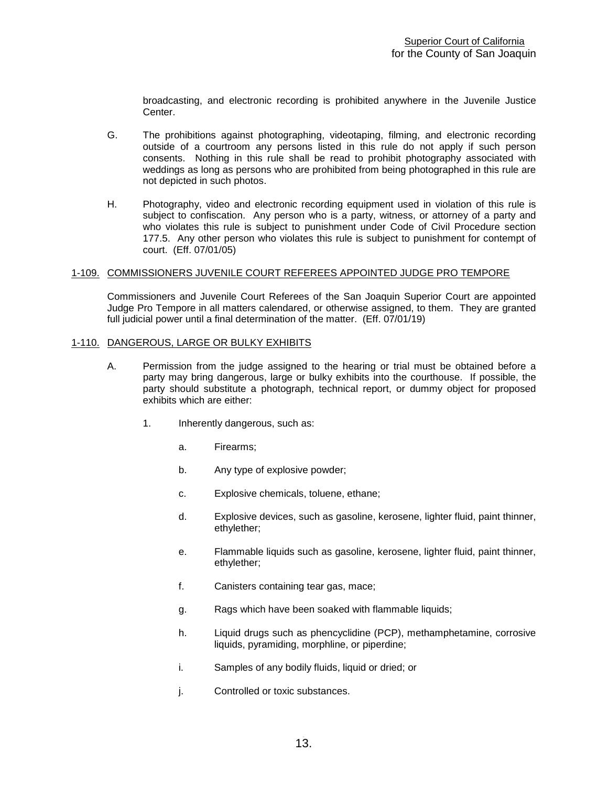broadcasting, and electronic recording is prohibited anywhere in the Juvenile Justice Center.

- G. The prohibitions against photographing, videotaping, filming, and electronic recording outside of a courtroom any persons listed in this rule do not apply if such person consents. Nothing in this rule shall be read to prohibit photography associated with weddings as long as persons who are prohibited from being photographed in this rule are not depicted in such photos.
- H. Photography, video and electronic recording equipment used in violation of this rule is subject to confiscation. Any person who is a party, witness, or attorney of a party and who violates this rule is subject to punishment under Code of Civil Procedure section 177.5. Any other person who violates this rule is subject to punishment for contempt of court. (Eff. 07/01/05)

#### <span id="page-13-0"></span>1-109. COMMISSIONERS JUVENILE COURT REFEREES APPOINTED JUDGE PRO TEMPORE

Commissioners and Juvenile Court Referees of the San Joaquin Superior Court are appointed Judge Pro Tempore in all matters calendared, or otherwise assigned, to them. They are granted full judicial power until a final determination of the matter. (Eff. 07/01/19)

#### <span id="page-13-1"></span>1-110. DANGEROUS, LARGE OR BULKY EXHIBITS

- A. Permission from the judge assigned to the hearing or trial must be obtained before a party may bring dangerous, large or bulky exhibits into the courthouse. If possible, the party should substitute a photograph, technical report, or dummy object for proposed exhibits which are either:
	- 1. Inherently dangerous, such as:
		- a. Firearms;
		- b. Any type of explosive powder;
		- c. Explosive chemicals, toluene, ethane;
		- d. Explosive devices, such as gasoline, kerosene, lighter fluid, paint thinner, ethylether;
		- e. Flammable liquids such as gasoline, kerosene, lighter fluid, paint thinner, ethylether;
		- f. Canisters containing tear gas, mace;
		- g. Rags which have been soaked with flammable liquids;
		- h. Liquid drugs such as phencyclidine (PCP), methamphetamine, corrosive liquids, pyramiding, morphline, or piperdine;
		- i. Samples of any bodily fluids, liquid or dried; or
		- j. Controlled or toxic substances.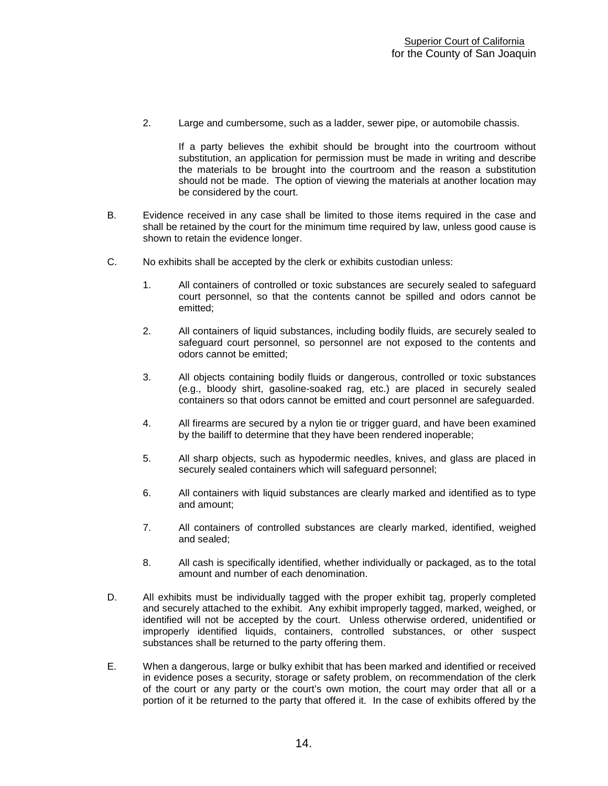2. Large and cumbersome, such as a ladder, sewer pipe, or automobile chassis.

If a party believes the exhibit should be brought into the courtroom without substitution, an application for permission must be made in writing and describe the materials to be brought into the courtroom and the reason a substitution should not be made. The option of viewing the materials at another location may be considered by the court.

- B. Evidence received in any case shall be limited to those items required in the case and shall be retained by the court for the minimum time required by law, unless good cause is shown to retain the evidence longer.
- C. No exhibits shall be accepted by the clerk or exhibits custodian unless:
	- 1. All containers of controlled or toxic substances are securely sealed to safeguard court personnel, so that the contents cannot be spilled and odors cannot be emitted;
	- 2. All containers of liquid substances, including bodily fluids, are securely sealed to safeguard court personnel, so personnel are not exposed to the contents and odors cannot be emitted;
	- 3. All objects containing bodily fluids or dangerous, controlled or toxic substances (e.g., bloody shirt, gasoline-soaked rag, etc.) are placed in securely sealed containers so that odors cannot be emitted and court personnel are safeguarded.
	- 4. All firearms are secured by a nylon tie or trigger guard, and have been examined by the bailiff to determine that they have been rendered inoperable;
	- 5. All sharp objects, such as hypodermic needles, knives, and glass are placed in securely sealed containers which will safeguard personnel;
	- 6. All containers with liquid substances are clearly marked and identified as to type and amount;
	- 7. All containers of controlled substances are clearly marked, identified, weighed and sealed;
	- 8. All cash is specifically identified, whether individually or packaged, as to the total amount and number of each denomination.
- D. All exhibits must be individually tagged with the proper exhibit tag, properly completed and securely attached to the exhibit. Any exhibit improperly tagged, marked, weighed, or identified will not be accepted by the court. Unless otherwise ordered, unidentified or improperly identified liquids, containers, controlled substances, or other suspect substances shall be returned to the party offering them.
- E. When a dangerous, large or bulky exhibit that has been marked and identified or received in evidence poses a security, storage or safety problem, on recommendation of the clerk of the court or any party or the court's own motion, the court may order that all or a portion of it be returned to the party that offered it. In the case of exhibits offered by the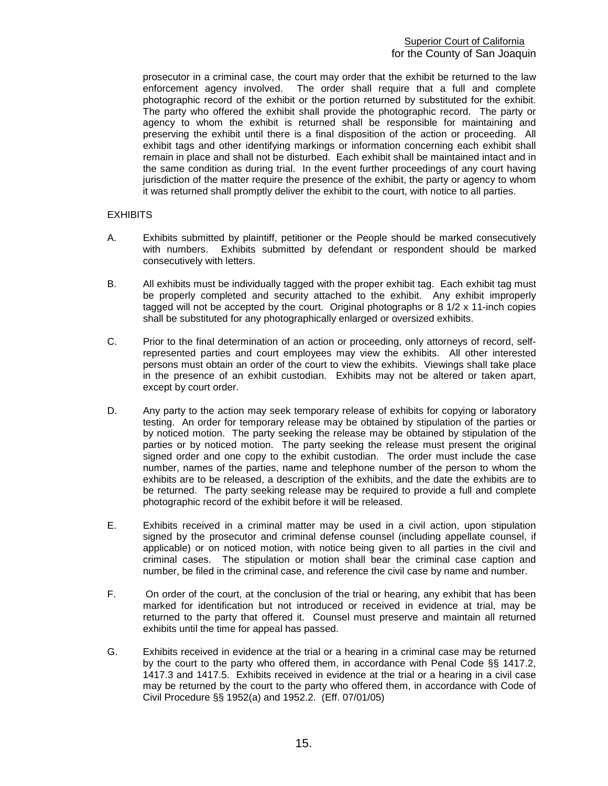prosecutor in a criminal case, the court may order that the exhibit be returned to the law enforcement agency involved. The order shall require that a full and complete photographic record of the exhibit or the portion returned by substituted for the exhibit. The party who offered the exhibit shall provide the photographic record. The party or agency to whom the exhibit is returned shall be responsible for maintaining and preserving the exhibit until there is a final disposition of the action or proceeding. All exhibit tags and other identifying markings or information concerning each exhibit shall remain in place and shall not be disturbed. Each exhibit shall be maintained intact and in the same condition as during trial. In the event further proceedings of any court having jurisdiction of the matter require the presence of the exhibit, the party or agency to whom it was returned shall promptly deliver the exhibit to the court, with notice to all parties.

# **EXHIBITS**

- A. Exhibits submitted by plaintiff, petitioner or the People should be marked consecutively with numbers. Exhibits submitted by defendant or respondent should be marked consecutively with letters.
- B. All exhibits must be individually tagged with the proper exhibit tag. Each exhibit tag must be properly completed and security attached to the exhibit. Any exhibit improperly tagged will not be accepted by the court. Original photographs or 8 1/2 x 11-inch copies shall be substituted for any photographically enlarged or oversized exhibits.
- C. Prior to the final determination of an action or proceeding, only attorneys of record, selfrepresented parties and court employees may view the exhibits. All other interested persons must obtain an order of the court to view the exhibits. Viewings shall take place in the presence of an exhibit custodian. Exhibits may not be altered or taken apart, except by court order.
- D. Any party to the action may seek temporary release of exhibits for copying or laboratory testing. An order for temporary release may be obtained by stipulation of the parties or by noticed motion. The party seeking the release may be obtained by stipulation of the parties or by noticed motion. The party seeking the release must present the original signed order and one copy to the exhibit custodian. The order must include the case number, names of the parties, name and telephone number of the person to whom the exhibits are to be released, a description of the exhibits, and the date the exhibits are to be returned. The party seeking release may be required to provide a full and complete photographic record of the exhibit before it will be released.
- E. Exhibits received in a criminal matter may be used in a civil action, upon stipulation signed by the prosecutor and criminal defense counsel (including appellate counsel, if applicable) or on noticed motion, with notice being given to all parties in the civil and criminal cases. The stipulation or motion shall bear the criminal case caption and number, be filed in the criminal case, and reference the civil case by name and number.
- F. On order of the court, at the conclusion of the trial or hearing, any exhibit that has been marked for identification but not introduced or received in evidence at trial, may be returned to the party that offered it. Counsel must preserve and maintain all returned exhibits until the time for appeal has passed.
- G. Exhibits received in evidence at the trial or a hearing in a criminal case may be returned by the court to the party who offered them, in accordance with Penal Code §§ 1417.2, 1417.3 and 1417.5. Exhibits received in evidence at the trial or a hearing in a civil case may be returned by the court to the party who offered them, in accordance with Code of Civil Procedure §§ 1952(a) and 1952.2. (Eff. 07/01/05)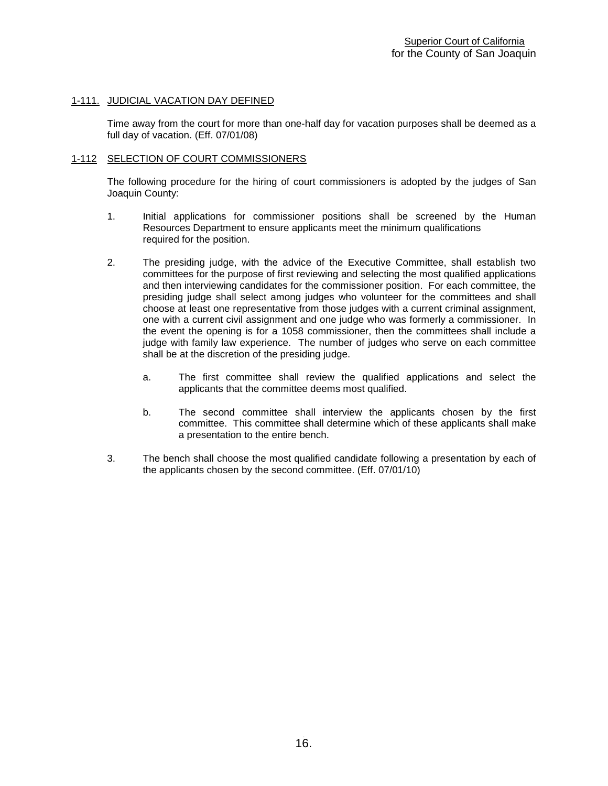### <span id="page-16-0"></span>1-111. JUDICIAL VACATION DAY DEFINED

Time away from the court for more than one-half day for vacation purposes shall be deemed as a full day of vacation. (Eff. 07/01/08)

#### <span id="page-16-1"></span>1-112 SELECTION OF COURT COMMISSIONERS

The following procedure for the hiring of court commissioners is adopted by the judges of San Joaquin County:

- 1. Initial applications for commissioner positions shall be screened by the Human Resources Department to ensure applicants meet the minimum qualifications required for the position.
- 2. The presiding judge, with the advice of the Executive Committee, shall establish two committees for the purpose of first reviewing and selecting the most qualified applications and then interviewing candidates for the commissioner position. For each committee, the presiding judge shall select among judges who volunteer for the committees and shall choose at least one representative from those judges with a current criminal assignment, one with a current civil assignment and one judge who was formerly a commissioner. In the event the opening is for a 1058 commissioner, then the committees shall include a judge with family law experience. The number of judges who serve on each committee shall be at the discretion of the presiding judge.
	- a. The first committee shall review the qualified applications and select the applicants that the committee deems most qualified.
	- b. The second committee shall interview the applicants chosen by the first committee. This committee shall determine which of these applicants shall make a presentation to the entire bench.
- 3. The bench shall choose the most qualified candidate following a presentation by each of the applicants chosen by the second committee. (Eff. 07/01/10)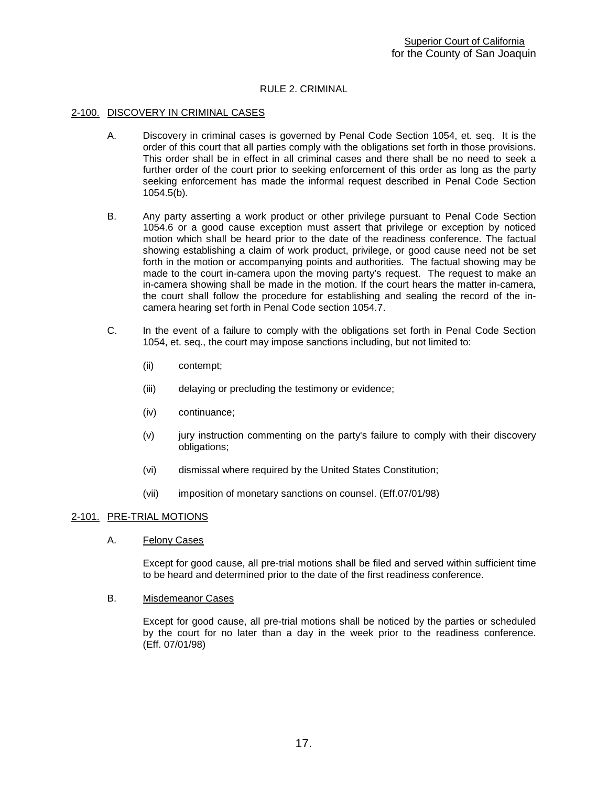# RULE 2. CRIMINAL

#### <span id="page-17-1"></span><span id="page-17-0"></span>2-100. DISCOVERY IN CRIMINAL CASES

- A. Discovery in criminal cases is governed by Penal Code Section 1054, et. seq. It is the order of this court that all parties comply with the obligations set forth in those provisions. This order shall be in effect in all criminal cases and there shall be no need to seek a further order of the court prior to seeking enforcement of this order as long as the party seeking enforcement has made the informal request described in Penal Code Section 1054.5(b).
- B. Any party asserting a work product or other privilege pursuant to Penal Code Section 1054.6 or a good cause exception must assert that privilege or exception by noticed motion which shall be heard prior to the date of the readiness conference. The factual showing establishing a claim of work product, privilege, or good cause need not be set forth in the motion or accompanying points and authorities. The factual showing may be made to the court in-camera upon the moving party's request. The request to make an in-camera showing shall be made in the motion. If the court hears the matter in-camera, the court shall follow the procedure for establishing and sealing the record of the incamera hearing set forth in Penal Code section 1054.7.
- C. In the event of a failure to comply with the obligations set forth in Penal Code Section 1054, et. seq., the court may impose sanctions including, but not limited to:
	- (ii) contempt;
	- (iii) delaying or precluding the testimony or evidence;
	- (iv) continuance;
	- (v) jury instruction commenting on the party's failure to comply with their discovery obligations;
	- (vi) dismissal where required by the United States Constitution;
	- (vii) imposition of monetary sanctions on counsel. (Eff.07/01/98)

#### <span id="page-17-2"></span>2-101. PRE-TRIAL MOTIONS

A. Felony Cases

Except for good cause, all pre-trial motions shall be filed and served within sufficient time to be heard and determined prior to the date of the first readiness conference.

B. Misdemeanor Cases

Except for good cause, all pre-trial motions shall be noticed by the parties or scheduled by the court for no later than a day in the week prior to the readiness conference. (Eff. 07/01/98)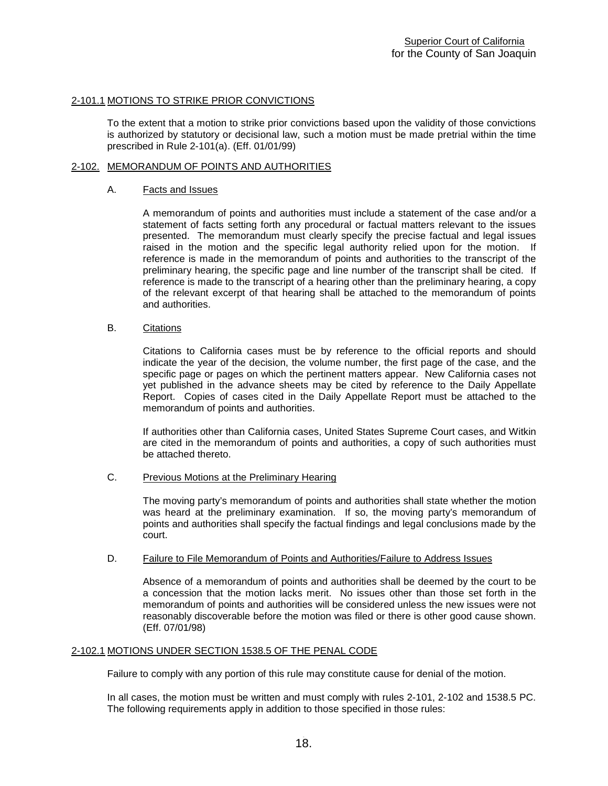# <span id="page-18-0"></span>2-101.1 MOTIONS TO STRIKE PRIOR CONVICTIONS

To the extent that a motion to strike prior convictions based upon the validity of those convictions is authorized by statutory or decisional law, such a motion must be made pretrial within the time prescribed in Rule 2-101(a). (Eff. 01/01/99)

#### <span id="page-18-1"></span>2-102. MEMORANDUM OF POINTS AND AUTHORITIES

#### A. Facts and Issues

A memorandum of points and authorities must include a statement of the case and/or a statement of facts setting forth any procedural or factual matters relevant to the issues presented. The memorandum must clearly specify the precise factual and legal issues raised in the motion and the specific legal authority relied upon for the motion. If reference is made in the memorandum of points and authorities to the transcript of the preliminary hearing, the specific page and line number of the transcript shall be cited. If reference is made to the transcript of a hearing other than the preliminary hearing, a copy of the relevant excerpt of that hearing shall be attached to the memorandum of points and authorities.

#### B. Citations

Citations to California cases must be by reference to the official reports and should indicate the year of the decision, the volume number, the first page of the case, and the specific page or pages on which the pertinent matters appear. New California cases not yet published in the advance sheets may be cited by reference to the Daily Appellate Report. Copies of cases cited in the Daily Appellate Report must be attached to the memorandum of points and authorities.

If authorities other than California cases, United States Supreme Court cases, and Witkin are cited in the memorandum of points and authorities, a copy of such authorities must be attached thereto.

#### C. Previous Motions at the Preliminary Hearing

The moving party's memorandum of points and authorities shall state whether the motion was heard at the preliminary examination. If so, the moving party's memorandum of points and authorities shall specify the factual findings and legal conclusions made by the court.

#### D. Failure to File Memorandum of Points and Authorities/Failure to Address Issues

Absence of a memorandum of points and authorities shall be deemed by the court to be a concession that the motion lacks merit. No issues other than those set forth in the memorandum of points and authorities will be considered unless the new issues were not reasonably discoverable before the motion was filed or there is other good cause shown. (Eff. 07/01/98)

#### <span id="page-18-2"></span>2-102.1 MOTIONS UNDER SECTION 1538.5 OF THE PENAL CODE

Failure to comply with any portion of this rule may constitute cause for denial of the motion.

In all cases, the motion must be written and must comply with rules 2-101, 2-102 and 1538.5 PC. The following requirements apply in addition to those specified in those rules: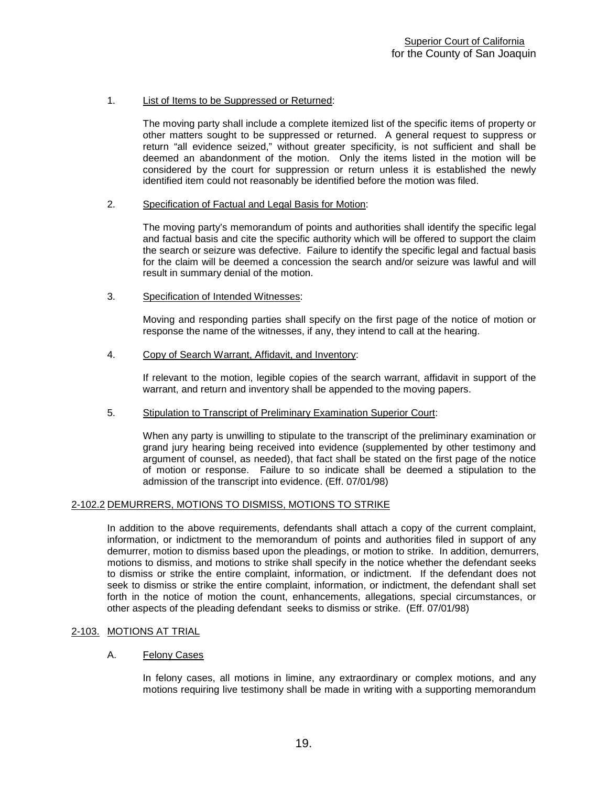# 1. List of Items to be Suppressed or Returned:

The moving party shall include a complete itemized list of the specific items of property or other matters sought to be suppressed or returned. A general request to suppress or return "all evidence seized," without greater specificity, is not sufficient and shall be deemed an abandonment of the motion. Only the items listed in the motion will be considered by the court for suppression or return unless it is established the newly identified item could not reasonably be identified before the motion was filed.

#### 2. Specification of Factual and Legal Basis for Motion:

The moving party's memorandum of points and authorities shall identify the specific legal and factual basis and cite the specific authority which will be offered to support the claim the search or seizure was defective. Failure to identify the specific legal and factual basis for the claim will be deemed a concession the search and/or seizure was lawful and will result in summary denial of the motion.

# 3. Specification of Intended Witnesses:

Moving and responding parties shall specify on the first page of the notice of motion or response the name of the witnesses, if any, they intend to call at the hearing.

# 4. Copy of Search Warrant, Affidavit, and Inventory:

If relevant to the motion, legible copies of the search warrant, affidavit in support of the warrant, and return and inventory shall be appended to the moving papers.

#### 5. Stipulation to Transcript of Preliminary Examination Superior Court:

When any party is unwilling to stipulate to the transcript of the preliminary examination or grand jury hearing being received into evidence (supplemented by other testimony and argument of counsel, as needed), that fact shall be stated on the first page of the notice of motion or response. Failure to so indicate shall be deemed a stipulation to the admission of the transcript into evidence. (Eff. 07/01/98)

#### <span id="page-19-0"></span>2-102.2 DEMURRERS, MOTIONS TO DISMISS, MOTIONS TO STRIKE

In addition to the above requirements, defendants shall attach a copy of the current complaint, information, or indictment to the memorandum of points and authorities filed in support of any demurrer, motion to dismiss based upon the pleadings, or motion to strike. In addition, demurrers, motions to dismiss, and motions to strike shall specify in the notice whether the defendant seeks to dismiss or strike the entire complaint, information, or indictment. If the defendant does not seek to dismiss or strike the entire complaint, information, or indictment, the defendant shall set forth in the notice of motion the count, enhancements, allegations, special circumstances, or other aspects of the pleading defendant seeks to dismiss or strike. (Eff. 07/01/98)

#### <span id="page-19-1"></span>2-103. MOTIONS AT TRIAL

#### A. Felony Cases

In felony cases, all motions in limine, any extraordinary or complex motions, and any motions requiring live testimony shall be made in writing with a supporting memorandum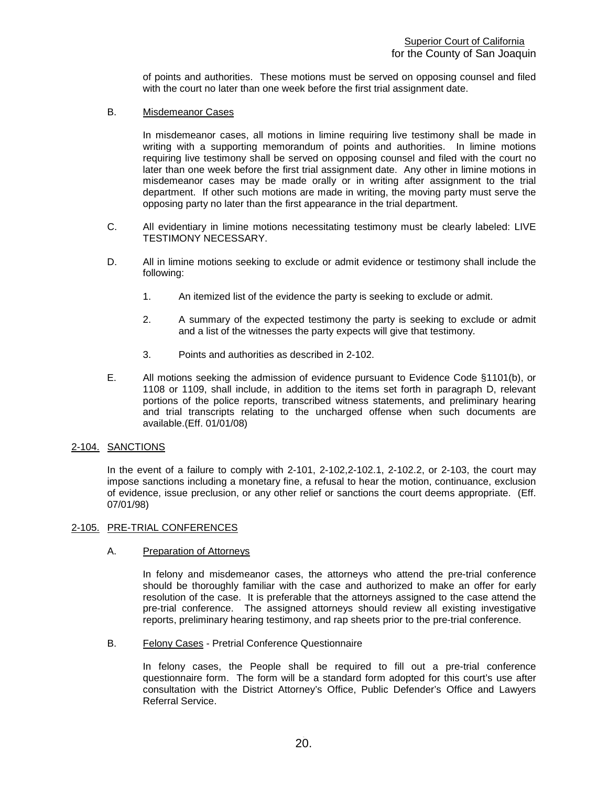of points and authorities. These motions must be served on opposing counsel and filed with the court no later than one week before the first trial assignment date.

B. Misdemeanor Cases

In misdemeanor cases, all motions in limine requiring live testimony shall be made in writing with a supporting memorandum of points and authorities. In limine motions requiring live testimony shall be served on opposing counsel and filed with the court no later than one week before the first trial assignment date. Any other in limine motions in misdemeanor cases may be made orally or in writing after assignment to the trial department. If other such motions are made in writing, the moving party must serve the opposing party no later than the first appearance in the trial department.

- C. All evidentiary in limine motions necessitating testimony must be clearly labeled: LIVE TESTIMONY NECESSARY.
- D. All in limine motions seeking to exclude or admit evidence or testimony shall include the following:
	- 1. An itemized list of the evidence the party is seeking to exclude or admit.
	- 2. A summary of the expected testimony the party is seeking to exclude or admit and a list of the witnesses the party expects will give that testimony.
	- 3. Points and authorities as described in 2-102.
- E. All motions seeking the admission of evidence pursuant to Evidence Code §1101(b), or 1108 or 1109, shall include, in addition to the items set forth in paragraph D, relevant portions of the police reports, transcribed witness statements, and preliminary hearing and trial transcripts relating to the uncharged offense when such documents are available.(Eff. 01/01/08)

#### <span id="page-20-0"></span>2-104. SANCTIONS

In the event of a failure to comply with 2-101, 2-102,2-102.1, 2-102.2, or 2-103, the court may impose sanctions including a monetary fine, a refusal to hear the motion, continuance, exclusion of evidence, issue preclusion, or any other relief or sanctions the court deems appropriate. (Eff. 07/01/98)

#### <span id="page-20-1"></span>2-105. PRE-TRIAL CONFERENCES

# A. Preparation of Attorneys

In felony and misdemeanor cases, the attorneys who attend the pre-trial conference should be thoroughly familiar with the case and authorized to make an offer for early resolution of the case. It is preferable that the attorneys assigned to the case attend the pre-trial conference. The assigned attorneys should review all existing investigative reports, preliminary hearing testimony, and rap sheets prior to the pre-trial conference.

B. Felony Cases - Pretrial Conference Questionnaire

In felony cases, the People shall be required to fill out a pre-trial conference questionnaire form. The form will be a standard form adopted for this court's use after consultation with the District Attorney's Office, Public Defender's Office and Lawyers Referral Service.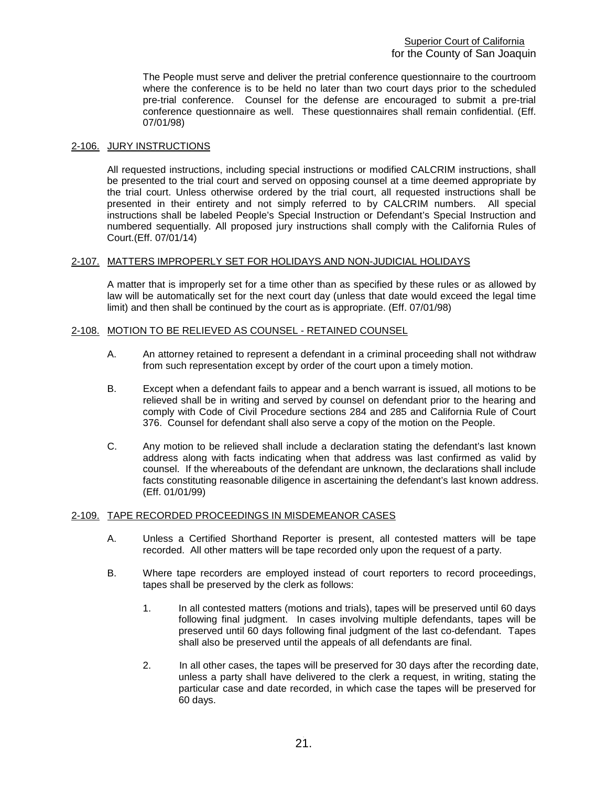The People must serve and deliver the pretrial conference questionnaire to the courtroom where the conference is to be held no later than two court days prior to the scheduled pre-trial conference. Counsel for the defense are encouraged to submit a pre-trial conference questionnaire as well. These questionnaires shall remain confidential. (Eff. 07/01/98)

# <span id="page-21-0"></span>2-106. JURY INSTRUCTIONS

All requested instructions, including special instructions or modified CALCRIM instructions, shall be presented to the trial court and served on opposing counsel at a time deemed appropriate by the trial court. Unless otherwise ordered by the trial court, all requested instructions shall be presented in their entirety and not simply referred to by CALCRIM numbers. All special instructions shall be labeled People's Special Instruction or Defendant's Special Instruction and numbered sequentially. All proposed jury instructions shall comply with the California Rules of Court.(Eff. 07/01/14)

# <span id="page-21-1"></span>2-107. MATTERS IMPROPERLY SET FOR HOLIDAYS AND NON-JUDICIAL HOLIDAYS

A matter that is improperly set for a time other than as specified by these rules or as allowed by law will be automatically set for the next court day (unless that date would exceed the legal time limit) and then shall be continued by the court as is appropriate. (Eff. 07/01/98)

# <span id="page-21-2"></span>2-108. MOTION TO BE RELIEVED AS COUNSEL - RETAINED COUNSEL

- A. An attorney retained to represent a defendant in a criminal proceeding shall not withdraw from such representation except by order of the court upon a timely motion.
- B. Except when a defendant fails to appear and a bench warrant is issued, all motions to be relieved shall be in writing and served by counsel on defendant prior to the hearing and comply with Code of Civil Procedure sections 284 and 285 and California Rule of Court 376. Counsel for defendant shall also serve a copy of the motion on the People.
- C. Any motion to be relieved shall include a declaration stating the defendant's last known address along with facts indicating when that address was last confirmed as valid by counsel. If the whereabouts of the defendant are unknown, the declarations shall include facts constituting reasonable diligence in ascertaining the defendant's last known address. (Eff. 01/01/99)

#### <span id="page-21-3"></span>2-109. TAPE RECORDED PROCEEDINGS IN MISDEMEANOR CASES

- A. Unless a Certified Shorthand Reporter is present, all contested matters will be tape recorded. All other matters will be tape recorded only upon the request of a party.
- B. Where tape recorders are employed instead of court reporters to record proceedings, tapes shall be preserved by the clerk as follows:
	- 1. In all contested matters (motions and trials), tapes will be preserved until 60 days following final judgment. In cases involving multiple defendants, tapes will be preserved until 60 days following final judgment of the last co-defendant. Tapes shall also be preserved until the appeals of all defendants are final.
	- 2. In all other cases, the tapes will be preserved for 30 days after the recording date, unless a party shall have delivered to the clerk a request, in writing, stating the particular case and date recorded, in which case the tapes will be preserved for 60 days.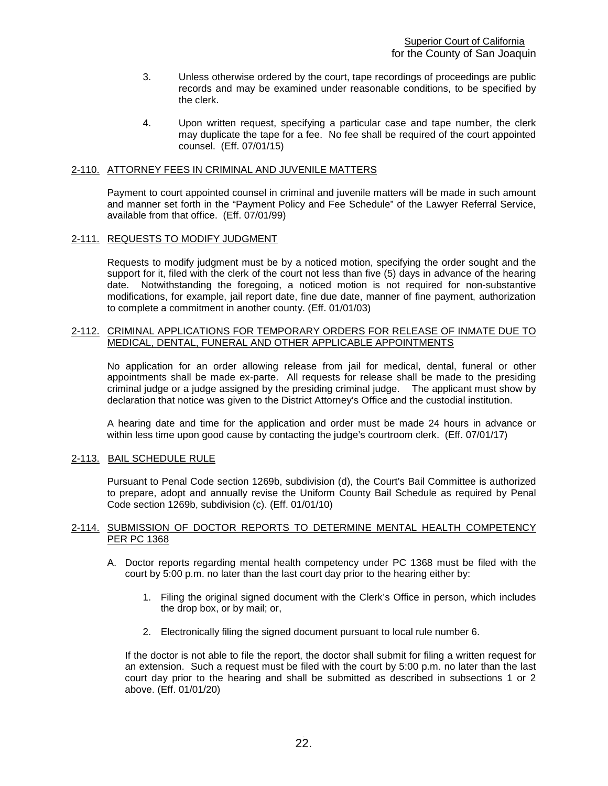- 3. Unless otherwise ordered by the court, tape recordings of proceedings are public records and may be examined under reasonable conditions, to be specified by the clerk.
- 4. Upon written request, specifying a particular case and tape number, the clerk may duplicate the tape for a fee. No fee shall be required of the court appointed counsel. (Eff. 07/01/15)

### <span id="page-22-0"></span>2-110. ATTORNEY FEES IN CRIMINAL AND JUVENILE MATTERS

Payment to court appointed counsel in criminal and juvenile matters will be made in such amount and manner set forth in the "Payment Policy and Fee Schedule" of the Lawyer Referral Service, available from that office. (Eff. 07/01/99)

#### <span id="page-22-1"></span>2-111. REQUESTS TO MODIFY JUDGMENT

Requests to modify judgment must be by a noticed motion, specifying the order sought and the support for it, filed with the clerk of the court not less than five (5) days in advance of the hearing date. Notwithstanding the foregoing, a noticed motion is not required for non-substantive modifications, for example, jail report date, fine due date, manner of fine payment, authorization to complete a commitment in another county. (Eff. 01/01/03)

#### <span id="page-22-2"></span>2-112. CRIMINAL APPLICATIONS FOR TEMPORARY ORDERS FOR RELEASE OF INMATE DUE TO MEDICAL, DENTAL, FUNERAL AND OTHER APPLICABLE APPOINTMENTS

No application for an order allowing release from jail for medical, dental, funeral or other appointments shall be made ex-parte. All requests for release shall be made to the presiding criminal judge or a judge assigned by the presiding criminal judge. The applicant must show by declaration that notice was given to the District Attorney's Office and the custodial institution.

A hearing date and time for the application and order must be made 24 hours in advance or within less time upon good cause by contacting the judge's courtroom clerk. (Eff. 07/01/17)

#### <span id="page-22-3"></span>2-113. BAIL SCHEDULE RULE

Pursuant to Penal Code section 1269b, subdivision (d), the Court's Bail Committee is authorized to prepare, adopt and annually revise the Uniform County Bail Schedule as required by Penal Code section 1269b, subdivision (c). (Eff. 01/01/10)

#### 2-114. SUBMISSION OF DOCTOR REPORTS TO DETERMINE MENTAL HEALTH COMPETENCY PER PC 1368

- A. Doctor reports regarding mental health competency under PC 1368 must be filed with the court by 5:00 p.m. no later than the last court day prior to the hearing either by:
	- 1. Filing the original signed document with the Clerk's Office in person, which includes the drop box, or by mail; or,
	- 2. Electronically filing the signed document pursuant to local rule number 6.

If the doctor is not able to file the report, the doctor shall submit for filing a written request for an extension. Such a request must be filed with the court by 5:00 p.m. no later than the last court day prior to the hearing and shall be submitted as described in subsections 1 or 2 above. (Eff. 01/01/20)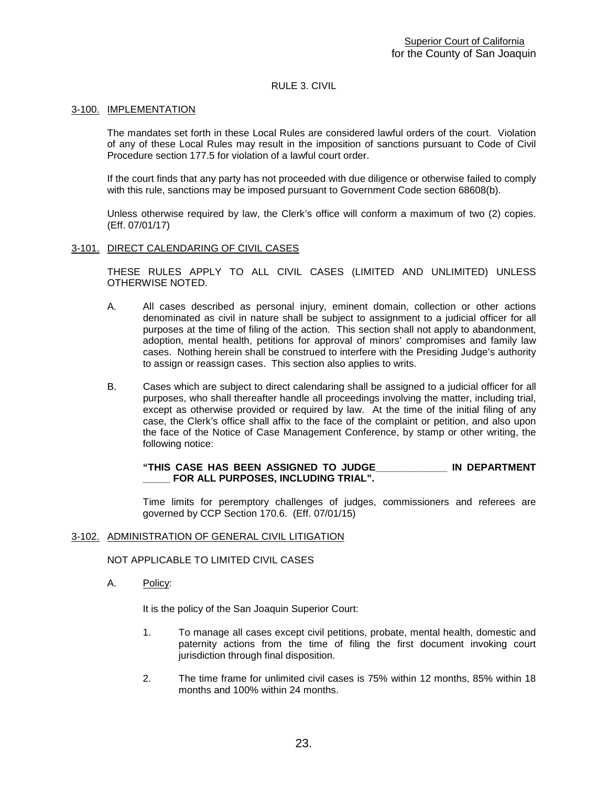# RULE 3. CIVIL

### <span id="page-23-1"></span><span id="page-23-0"></span>3-100. IMPLEMENTATION

The mandates set forth in these Local Rules are considered lawful orders of the court. Violation of any of these Local Rules may result in the imposition of sanctions pursuant to Code of Civil Procedure section 177.5 for violation of a lawful court order.

If the court finds that any party has not proceeded with due diligence or otherwise failed to comply with this rule, sanctions may be imposed pursuant to Government Code section 68608(b).

Unless otherwise required by law, the Clerk's office will conform a maximum of two (2) copies. (Eff. 07/01/17)

#### <span id="page-23-2"></span>3-101. DIRECT CALENDARING OF CIVIL CASES

THESE RULES APPLY TO ALL CIVIL CASES (LIMITED AND UNLIMITED) UNLESS OTHERWISE NOTED.

- A. All cases described as personal injury, eminent domain, collection or other actions denominated as civil in nature shall be subject to assignment to a judicial officer for all purposes at the time of filing of the action. This section shall not apply to abandonment, adoption, mental health, petitions for approval of minors' compromises and family law cases. Nothing herein shall be construed to interfere with the Presiding Judge's authority to assign or reassign cases. This section also applies to writs.
- B. Cases which are subject to direct calendaring shall be assigned to a judicial officer for all purposes, who shall thereafter handle all proceedings involving the matter, including trial, except as otherwise provided or required by law. At the time of the initial filing of any case, the Clerk's office shall affix to the face of the complaint or petition, and also upon the face of the Notice of Case Management Conference, by stamp or other writing, the following notice:

**"THIS CASE HAS BEEN ASSIGNED TO JUDGE\_\_\_\_\_\_\_\_\_\_\_\_\_ IN DEPARTMENT**  FOR ALL PURPOSES, INCLUDING TRIAL".

Time limits for peremptory challenges of judges, commissioners and referees are governed by CCP Section 170.6. (Eff. 07/01/15)

#### <span id="page-23-3"></span>3-102. ADMINISTRATION OF GENERAL CIVIL LITIGATION

NOT APPLICABLE TO LIMITED CIVIL CASES

A. Policy:

It is the policy of the San Joaquin Superior Court:

- 1. To manage all cases except civil petitions, probate, mental health, domestic and paternity actions from the time of filing the first document invoking court jurisdiction through final disposition.
- 2. The time frame for unlimited civil cases is 75% within 12 months, 85% within 18 months and 100% within 24 months.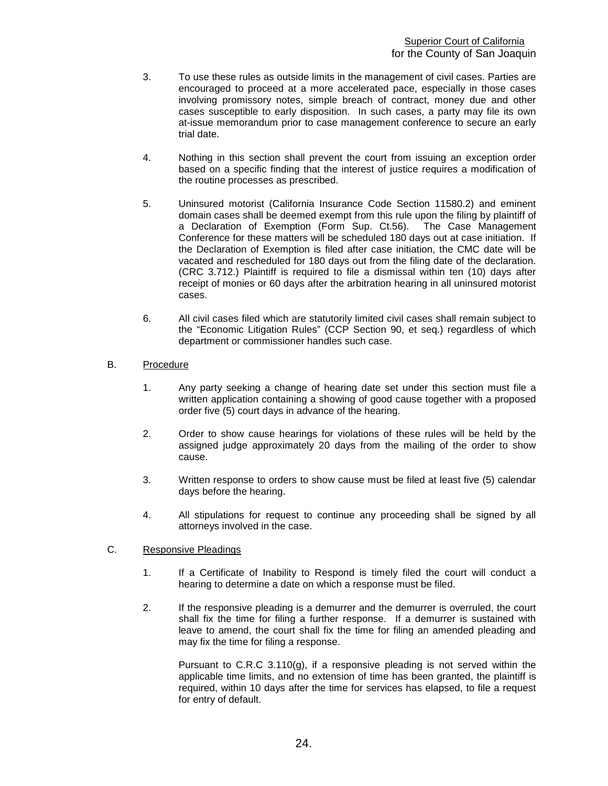- 3. To use these rules as outside limits in the management of civil cases. Parties are encouraged to proceed at a more accelerated pace, especially in those cases involving promissory notes, simple breach of contract, money due and other cases susceptible to early disposition. In such cases, a party may file its own at-issue memorandum prior to case management conference to secure an early trial date.
- 4. Nothing in this section shall prevent the court from issuing an exception order based on a specific finding that the interest of justice requires a modification of the routine processes as prescribed.
- 5. Uninsured motorist (California Insurance Code Section 11580.2) and eminent domain cases shall be deemed exempt from this rule upon the filing by plaintiff of a Declaration of Exemption (Form Sup. Ct.56). The Case Management Conference for these matters will be scheduled 180 days out at case initiation. If the Declaration of Exemption is filed after case initiation, the CMC date will be vacated and rescheduled for 180 days out from the filing date of the declaration. (CRC 3.712.) Plaintiff is required to file a dismissal within ten (10) days after receipt of monies or 60 days after the arbitration hearing in all uninsured motorist cases.
- 6. All civil cases filed which are statutorily limited civil cases shall remain subject to the "Economic Litigation Rules" (CCP Section 90, et seq.) regardless of which department or commissioner handles such case.
- B. Procedure
	- 1. Any party seeking a change of hearing date set under this section must file a written application containing a showing of good cause together with a proposed order five (5) court days in advance of the hearing.
	- 2. Order to show cause hearings for violations of these rules will be held by the assigned judge approximately 20 days from the mailing of the order to show cause.
	- 3. Written response to orders to show cause must be filed at least five (5) calendar days before the hearing.
	- 4. All stipulations for request to continue any proceeding shall be signed by all attorneys involved in the case.

# C. Responsive Pleadings

- 1. If a Certificate of Inability to Respond is timely filed the court will conduct a hearing to determine a date on which a response must be filed.
- 2. If the responsive pleading is a demurrer and the demurrer is overruled, the court shall fix the time for filing a further response. If a demurrer is sustained with leave to amend, the court shall fix the time for filing an amended pleading and may fix the time for filing a response.

Pursuant to C.R.C  $3.110(q)$ , if a responsive pleading is not served within the applicable time limits, and no extension of time has been granted, the plaintiff is required, within 10 days after the time for services has elapsed, to file a request for entry of default.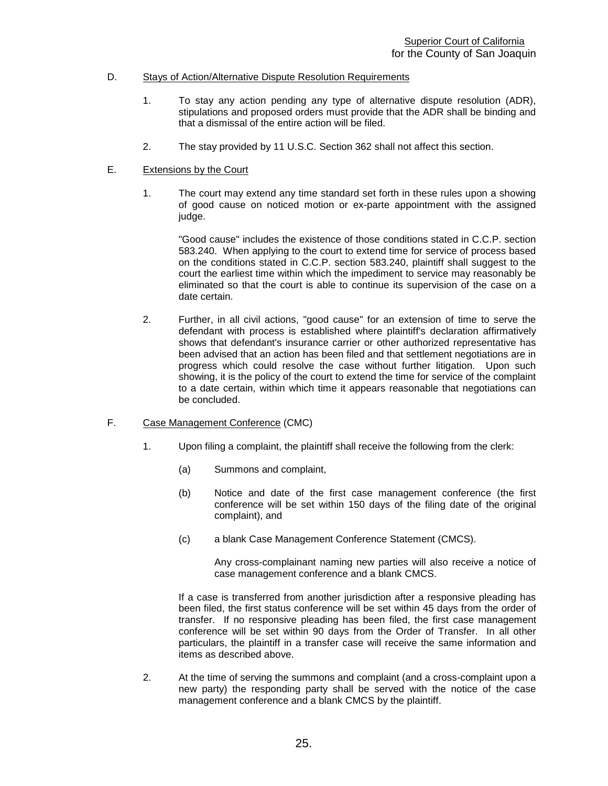# D. Stays of Action/Alternative Dispute Resolution Requirements

- 1. To stay any action pending any type of alternative dispute resolution (ADR), stipulations and proposed orders must provide that the ADR shall be binding and that a dismissal of the entire action will be filed.
- 2. The stay provided by 11 U.S.C. Section 362 shall not affect this section.

# E. Extensions by the Court

1. The court may extend any time standard set forth in these rules upon a showing of good cause on noticed motion or ex-parte appointment with the assigned judge.

"Good cause" includes the existence of those conditions stated in C.C.P. section 583.240. When applying to the court to extend time for service of process based on the conditions stated in C.C.P. section 583.240, plaintiff shall suggest to the court the earliest time within which the impediment to service may reasonably be eliminated so that the court is able to continue its supervision of the case on a date certain.

2. Further, in all civil actions, "good cause" for an extension of time to serve the defendant with process is established where plaintiff's declaration affirmatively shows that defendant's insurance carrier or other authorized representative has been advised that an action has been filed and that settlement negotiations are in progress which could resolve the case without further litigation. Upon such showing, it is the policy of the court to extend the time for service of the complaint to a date certain, within which time it appears reasonable that negotiations can be concluded.

# F. Case Management Conference (CMC)

- 1. Upon filing a complaint, the plaintiff shall receive the following from the clerk:
	- (a) Summons and complaint,
	- (b) Notice and date of the first case management conference (the first conference will be set within 150 days of the filing date of the original complaint), and
	- (c) a blank Case Management Conference Statement (CMCS).

Any cross-complainant naming new parties will also receive a notice of case management conference and a blank CMCS.

If a case is transferred from another jurisdiction after a responsive pleading has been filed, the first status conference will be set within 45 days from the order of transfer. If no responsive pleading has been filed, the first case management conference will be set within 90 days from the Order of Transfer. In all other particulars, the plaintiff in a transfer case will receive the same information and items as described above.

2. At the time of serving the summons and complaint (and a cross-complaint upon a new party) the responding party shall be served with the notice of the case management conference and a blank CMCS by the plaintiff.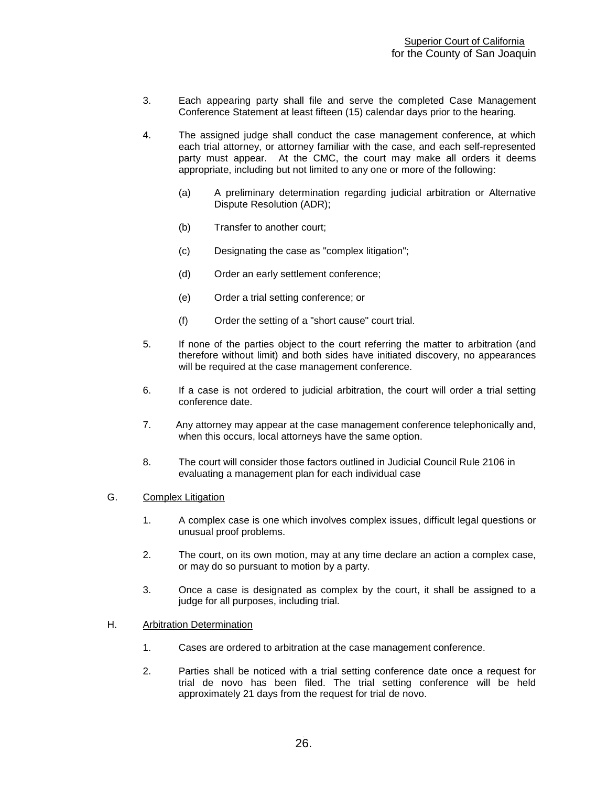- 3. Each appearing party shall file and serve the completed Case Management Conference Statement at least fifteen (15) calendar days prior to the hearing.
- 4. The assigned judge shall conduct the case management conference, at which each trial attorney, or attorney familiar with the case, and each self-represented party must appear. At the CMC, the court may make all orders it deems appropriate, including but not limited to any one or more of the following:
	- (a) A preliminary determination regarding judicial arbitration or Alternative Dispute Resolution (ADR);
	- (b) Transfer to another court;
	- (c) Designating the case as "complex litigation";
	- (d) Order an early settlement conference;
	- (e) Order a trial setting conference; or
	- (f) Order the setting of a "short cause" court trial.
- 5. If none of the parties object to the court referring the matter to arbitration (and therefore without limit) and both sides have initiated discovery, no appearances will be required at the case management conference.
- 6. If a case is not ordered to judicial arbitration, the court will order a trial setting conference date.
- 7. Any attorney may appear at the case management conference telephonically and, when this occurs, local attorneys have the same option.
- 8. The court will consider those factors outlined in Judicial Council Rule 2106 in evaluating a management plan for each individual case
- G. Complex Litigation
	- 1. A complex case is one which involves complex issues, difficult legal questions or unusual proof problems.
	- 2. The court, on its own motion, may at any time declare an action a complex case, or may do so pursuant to motion by a party.
	- 3. Once a case is designated as complex by the court, it shall be assigned to a judge for all purposes, including trial.
- H. Arbitration Determination
	- 1. Cases are ordered to arbitration at the case management conference.
	- 2. Parties shall be noticed with a trial setting conference date once a request for trial de novo has been filed. The trial setting conference will be held approximately 21 days from the request for trial de novo.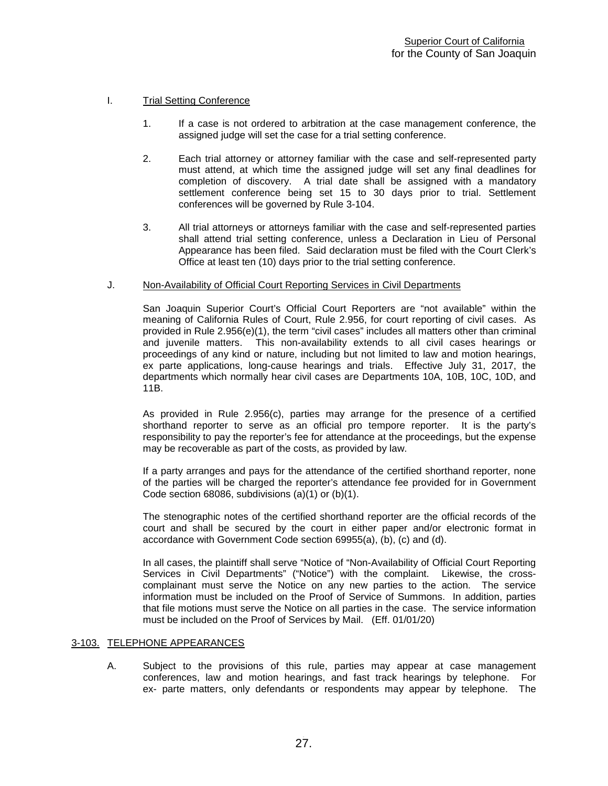# I. Trial Setting Conference

- 1. If a case is not ordered to arbitration at the case management conference, the assigned judge will set the case for a trial setting conference.
- 2. Each trial attorney or attorney familiar with the case and self-represented party must attend, at which time the assigned judge will set any final deadlines for completion of discovery. A trial date shall be assigned with a mandatory settlement conference being set 15 to 30 days prior to trial. Settlement conferences will be governed by Rule 3-104.
- 3. All trial attorneys or attorneys familiar with the case and self-represented parties shall attend trial setting conference, unless a Declaration in Lieu of Personal Appearance has been filed. Said declaration must be filed with the Court Clerk's Office at least ten (10) days prior to the trial setting conference.

#### J. Non-Availability of Official Court Reporting Services in Civil Departments

San Joaquin Superior Court's Official Court Reporters are "not available" within the meaning of California Rules of Court, Rule 2.956, for court reporting of civil cases. As provided in Rule  $2.956(e)(1)$ , the term "civil cases" includes all matters other than criminal and juvenile matters. This non-availability extends to all civil cases hearings or proceedings of any kind or nature, including but not limited to law and motion hearings, ex parte applications, long-cause hearings and trials. Effective July 31, 2017, the departments which normally hear civil cases are Departments 10A, 10B, 10C, 10D, and 11B.

As provided in Rule 2.956(c), parties may arrange for the presence of a certified shorthand reporter to serve as an official pro tempore reporter. It is the party's responsibility to pay the reporter's fee for attendance at the proceedings, but the expense may be recoverable as part of the costs, as provided by law.

If a party arranges and pays for the attendance of the certified shorthand reporter, none of the parties will be charged the reporter's attendance fee provided for in Government Code section 68086, subdivisions (a)(1) or (b)(1).

The stenographic notes of the certified shorthand reporter are the official records of the court and shall be secured by the court in either paper and/or electronic format in accordance with Government Code section 69955(a), (b), (c) and (d).

In all cases, the plaintiff shall serve "Notice of "Non-Availability of Official Court Reporting Services in Civil Departments" ("Notice") with the complaint. Likewise, the crosscomplainant must serve the Notice on any new parties to the action. The service information must be included on the Proof of Service of Summons. In addition, parties that file motions must serve the Notice on all parties in the case. The service information must be included on the Proof of Services by Mail. (Eff. 01/01/20)

#### <span id="page-27-0"></span>3-103. TELEPHONE APPEARANCES

A. Subject to the provisions of this rule, parties may appear at case management conferences, law and motion hearings, and fast track hearings by telephone. For ex- parte matters, only defendants or respondents may appear by telephone. The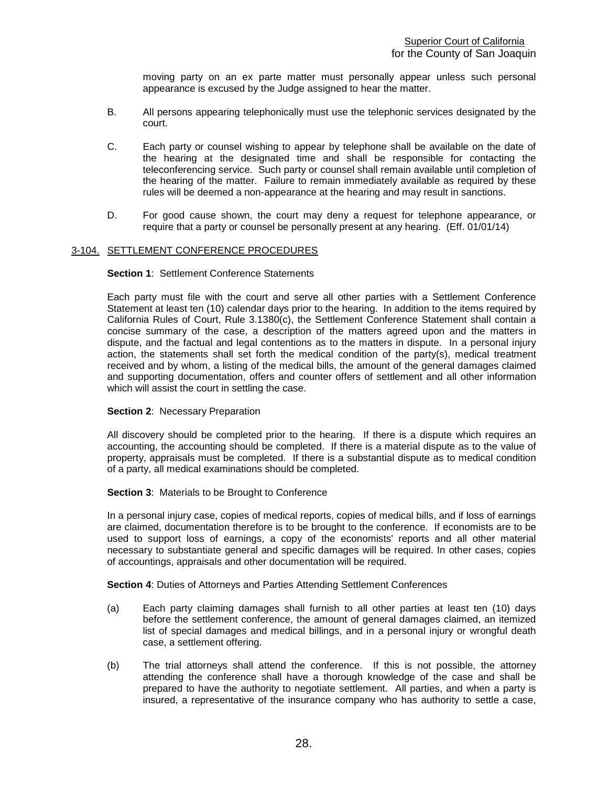moving party on an ex parte matter must personally appear unless such personal appearance is excused by the Judge assigned to hear the matter.

- B. All persons appearing telephonically must use the telephonic services designated by the court.
- C. Each party or counsel wishing to appear by telephone shall be available on the date of the hearing at the designated time and shall be responsible for contacting the teleconferencing service. Such party or counsel shall remain available until completion of the hearing of the matter. Failure to remain immediately available as required by these rules will be deemed a non-appearance at the hearing and may result in sanctions.
- D. For good cause shown, the court may deny a request for telephone appearance, or require that a party or counsel be personally present at any hearing. (Eff. 01/01/14)

#### <span id="page-28-0"></span>3-104. SETTLEMENT CONFERENCE PROCEDURES

# **Section 1**: Settlement Conference Statements

Each party must file with the court and serve all other parties with a Settlement Conference Statement at least ten (10) calendar days prior to the hearing. In addition to the items required by California Rules of Court, Rule 3.1380(c), the Settlement Conference Statement shall contain a concise summary of the case, a description of the matters agreed upon and the matters in dispute, and the factual and legal contentions as to the matters in dispute. In a personal injury action, the statements shall set forth the medical condition of the party(s), medical treatment received and by whom, a listing of the medical bills, the amount of the general damages claimed and supporting documentation, offers and counter offers of settlement and all other information which will assist the court in settling the case.

#### **Section 2: Necessary Preparation**

All discovery should be completed prior to the hearing. If there is a dispute which requires an accounting, the accounting should be completed. If there is a material dispute as to the value of property, appraisals must be completed. If there is a substantial dispute as to medical condition of a party, all medical examinations should be completed.

#### **Section 3: Materials to be Brought to Conference**

In a personal injury case, copies of medical reports, copies of medical bills, and if loss of earnings are claimed, documentation therefore is to be brought to the conference. If economists are to be used to support loss of earnings, a copy of the economists' reports and all other material necessary to substantiate general and specific damages will be required. In other cases, copies of accountings, appraisals and other documentation will be required.

**Section 4**: Duties of Attorneys and Parties Attending Settlement Conferences

- (a) Each party claiming damages shall furnish to all other parties at least ten (10) days before the settlement conference, the amount of general damages claimed, an itemized list of special damages and medical billings, and in a personal injury or wrongful death case, a settlement offering.
- (b) The trial attorneys shall attend the conference. If this is not possible, the attorney attending the conference shall have a thorough knowledge of the case and shall be prepared to have the authority to negotiate settlement. All parties, and when a party is insured, a representative of the insurance company who has authority to settle a case,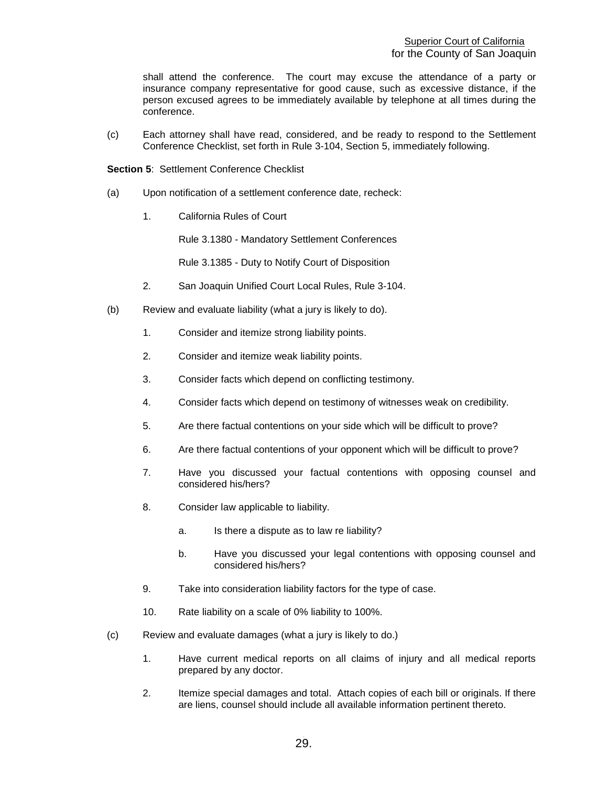shall attend the conference. The court may excuse the attendance of a party or insurance company representative for good cause, such as excessive distance, if the person excused agrees to be immediately available by telephone at all times during the conference.

(c) Each attorney shall have read, considered, and be ready to respond to the Settlement Conference Checklist, set forth in Rule 3-104, Section 5, immediately following.

**Section 5**: Settlement Conference Checklist

- (a) Upon notification of a settlement conference date, recheck:
	- 1. California Rules of Court

Rule 3.1380 - Mandatory Settlement Conferences

Rule 3.1385 - Duty to Notify Court of Disposition

- 2. San Joaquin Unified Court Local Rules, Rule 3-104.
- (b) Review and evaluate liability (what a jury is likely to do).
	- 1. Consider and itemize strong liability points.
	- 2. Consider and itemize weak liability points.
	- 3. Consider facts which depend on conflicting testimony.
	- 4. Consider facts which depend on testimony of witnesses weak on credibility.
	- 5. Are there factual contentions on your side which will be difficult to prove?
	- 6. Are there factual contentions of your opponent which will be difficult to prove?
	- 7. Have you discussed your factual contentions with opposing counsel and considered his/hers?
	- 8. Consider law applicable to liability.
		- a. Is there a dispute as to law re liability?
		- b. Have you discussed your legal contentions with opposing counsel and considered his/hers?
	- 9. Take into consideration liability factors for the type of case.
	- 10. Rate liability on a scale of 0% liability to 100%.
- (c) Review and evaluate damages (what a jury is likely to do.)
	- 1. Have current medical reports on all claims of injury and all medical reports prepared by any doctor.
	- 2. Itemize special damages and total. Attach copies of each bill or originals. If there are liens, counsel should include all available information pertinent thereto.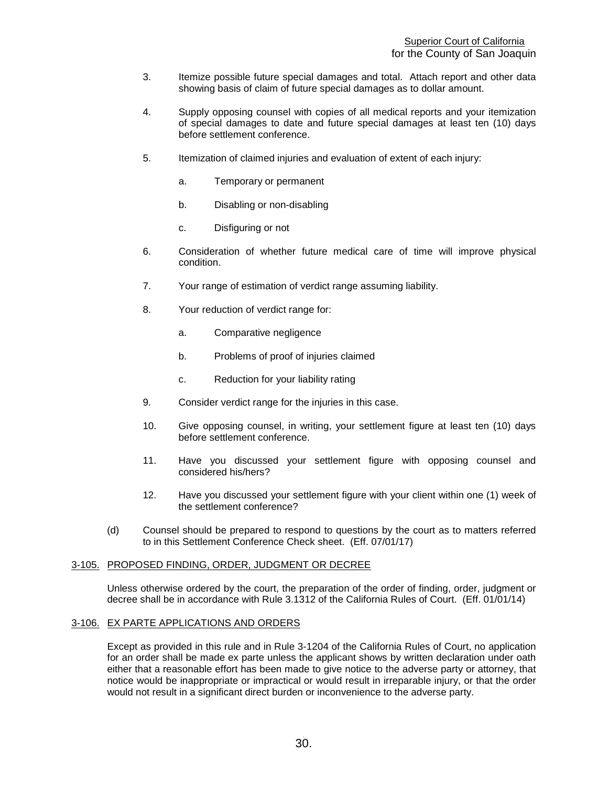- 3. Itemize possible future special damages and total. Attach report and other data showing basis of claim of future special damages as to dollar amount.
- 4. Supply opposing counsel with copies of all medical reports and your itemization of special damages to date and future special damages at least ten (10) days before settlement conference.
- 5. Itemization of claimed injuries and evaluation of extent of each injury:
	- a. Temporary or permanent
	- b. Disabling or non-disabling
	- c. Disfiguring or not
- 6. Consideration of whether future medical care of time will improve physical condition.
- 7. Your range of estimation of verdict range assuming liability.
- 8. Your reduction of verdict range for:
	- a. Comparative negligence
	- b. Problems of proof of injuries claimed
	- c. Reduction for your liability rating
- 9. Consider verdict range for the injuries in this case.
- 10. Give opposing counsel, in writing, your settlement figure at least ten (10) days before settlement conference.
- 11. Have you discussed your settlement figure with opposing counsel and considered his/hers?
- 12. Have you discussed your settlement figure with your client within one (1) week of the settlement conference?
- (d) Counsel should be prepared to respond to questions by the court as to matters referred to in this Settlement Conference Check sheet. (Eff. 07/01/17)

#### <span id="page-30-0"></span>3-105. PROPOSED FINDING, ORDER, JUDGMENT OR DECREE

Unless otherwise ordered by the court, the preparation of the order of finding, order, judgment or decree shall be in accordance with Rule 3.1312 of the California Rules of Court. (Eff. 01/01/14)

### <span id="page-30-1"></span>3-106. EX PARTE APPLICATIONS AND ORDERS

Except as provided in this rule and in Rule 3-1204 of the California Rules of Court, no application for an order shall be made ex parte unless the applicant shows by written declaration under oath either that a reasonable effort has been made to give notice to the adverse party or attorney, that notice would be inappropriate or impractical or would result in irreparable injury, or that the order would not result in a significant direct burden or inconvenience to the adverse party.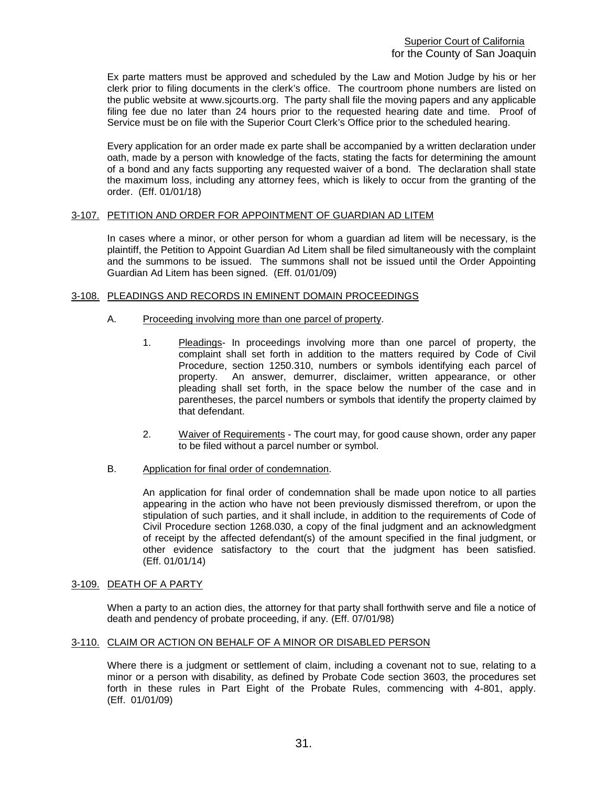Ex parte matters must be approved and scheduled by the Law and Motion Judge by his or her clerk prior to filing documents in the clerk's office. The courtroom phone numbers are listed on the public website at www.sjcourts.org. The party shall file the moving papers and any applicable filing fee due no later than 24 hours prior to the requested hearing date and time. Proof of Service must be on file with the Superior Court Clerk's Office prior to the scheduled hearing.

Every application for an order made ex parte shall be accompanied by a written declaration under oath, made by a person with knowledge of the facts, stating the facts for determining the amount of a bond and any facts supporting any requested waiver of a bond. The declaration shall state the maximum loss, including any attorney fees, which is likely to occur from the granting of the order. (Eff. 01/01/18)

# <span id="page-31-0"></span>3-107. PETITION AND ORDER FOR APPOINTMENT OF GUARDIAN AD LITEM

In cases where a minor, or other person for whom a guardian ad litem will be necessary, is the plaintiff, the Petition to Appoint Guardian Ad Litem shall be filed simultaneously with the complaint and the summons to be issued. The summons shall not be issued until the Order Appointing Guardian Ad Litem has been signed. (Eff. 01/01/09)

# <span id="page-31-1"></span>3-108. PLEADINGS AND RECORDS IN EMINENT DOMAIN PROCEEDINGS

- A. Proceeding involving more than one parcel of property.
	- 1. Pleadings- In proceedings involving more than one parcel of property, the complaint shall set forth in addition to the matters required by Code of Civil Procedure, section 1250.310, numbers or symbols identifying each parcel of property. An answer, demurrer, disclaimer, written appearance, or other pleading shall set forth, in the space below the number of the case and in parentheses, the parcel numbers or symbols that identify the property claimed by that defendant.
	- 2. Waiver of Requirements The court may, for good cause shown, order any paper to be filed without a parcel number or symbol.
- B. Application for final order of condemnation.

An application for final order of condemnation shall be made upon notice to all parties appearing in the action who have not been previously dismissed therefrom, or upon the stipulation of such parties, and it shall include, in addition to the requirements of Code of Civil Procedure section 1268.030, a copy of the final judgment and an acknowledgment of receipt by the affected defendant(s) of the amount specified in the final judgment, or other evidence satisfactory to the court that the judgment has been satisfied. (Eff. 01/01/14)

#### <span id="page-31-2"></span>3-109. DEATH OF A PARTY

When a party to an action dies, the attorney for that party shall forthwith serve and file a notice of death and pendency of probate proceeding, if any. (Eff. 07/01/98)

#### <span id="page-31-3"></span>3-110. CLAIM OR ACTION ON BEHALF OF A MINOR OR DISABLED PERSON

Where there is a judgment or settlement of claim, including a covenant not to sue, relating to a minor or a person with disability, as defined by Probate Code section 3603, the procedures set forth in these rules in Part Eight of the Probate Rules, commencing with 4-801, apply. (Eff. 01/01/09)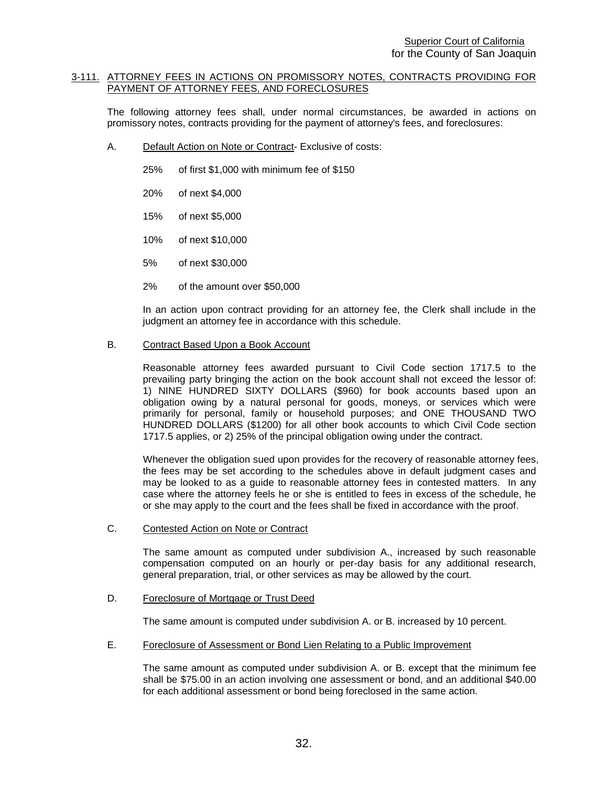### <span id="page-32-0"></span>3-111. ATTORNEY FEES IN ACTIONS ON PROMISSORY NOTES, CONTRACTS PROVIDING FOR PAYMENT OF ATTORNEY FEES, AND FORECLOSURES

The following attorney fees shall, under normal circumstances, be awarded in actions on promissory notes, contracts providing for the payment of attorney's fees, and foreclosures:

- A. Default Action on Note or Contract- Exclusive of costs:
	- 25% of first \$1,000 with minimum fee of \$150
	- 20% of next \$4,000
	- 15% of next \$5,000
	- 10% of next \$10,000
	- 5% of next \$30,000
	- 2% of the amount over \$50,000

In an action upon contract providing for an attorney fee, the Clerk shall include in the judgment an attorney fee in accordance with this schedule.

# B. Contract Based Upon a Book Account

Reasonable attorney fees awarded pursuant to Civil Code section 1717.5 to the prevailing party bringing the action on the book account shall not exceed the lessor of: 1) NINE HUNDRED SIXTY DOLLARS (\$960) for book accounts based upon an obligation owing by a natural personal for goods, moneys, or services which were primarily for personal, family or household purposes; and ONE THOUSAND TWO HUNDRED DOLLARS (\$1200) for all other book accounts to which Civil Code section 1717.5 applies, or 2) 25% of the principal obligation owing under the contract.

Whenever the obligation sued upon provides for the recovery of reasonable attorney fees, the fees may be set according to the schedules above in default judgment cases and may be looked to as a guide to reasonable attorney fees in contested matters. In any case where the attorney feels he or she is entitled to fees in excess of the schedule, he or she may apply to the court and the fees shall be fixed in accordance with the proof.

C. Contested Action on Note or Contract

The same amount as computed under subdivision A., increased by such reasonable compensation computed on an hourly or per-day basis for any additional research, general preparation, trial, or other services as may be allowed by the court.

#### D. Foreclosure of Mortgage or Trust Deed

The same amount is computed under subdivision A. or B. increased by 10 percent.

E. Foreclosure of Assessment or Bond Lien Relating to a Public Improvement

The same amount as computed under subdivision A. or B. except that the minimum fee shall be \$75.00 in an action involving one assessment or bond, and an additional \$40.00 for each additional assessment or bond being foreclosed in the same action.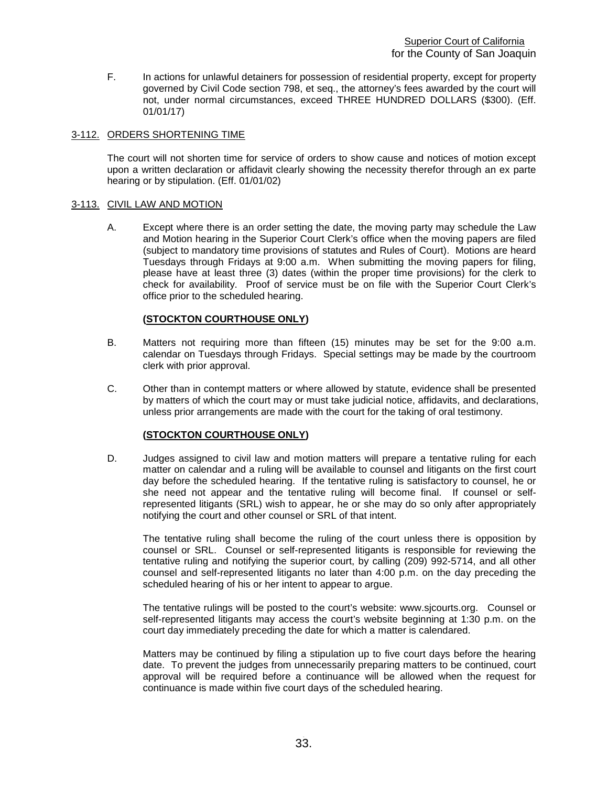F. In actions for unlawful detainers for possession of residential property, except for property governed by Civil Code section 798, et seq., the attorney's fees awarded by the court will not, under normal circumstances, exceed THREE HUNDRED DOLLARS (\$300). (Eff. 01/01/17)

# <span id="page-33-0"></span>3-112. ORDERS SHORTENING TIME

The court will not shorten time for service of orders to show cause and notices of motion except upon a written declaration or affidavit clearly showing the necessity therefor through an ex parte hearing or by stipulation. (Eff. 01/01/02)

# <span id="page-33-1"></span>3-113. CIVIL LAW AND MOTION

A. Except where there is an order setting the date, the moving party may schedule the Law and Motion hearing in the Superior Court Clerk's office when the moving papers are filed (subject to mandatory time provisions of statutes and Rules of Court). Motions are heard Tuesdays through Fridays at 9:00 a.m. When submitting the moving papers for filing, please have at least three (3) dates (within the proper time provisions) for the clerk to check for availability. Proof of service must be on file with the Superior Court Clerk's office prior to the scheduled hearing.

# **(STOCKTON COURTHOUSE ONLY)**

- B. Matters not requiring more than fifteen (15) minutes may be set for the 9:00 a.m. calendar on Tuesdays through Fridays. Special settings may be made by the courtroom clerk with prior approval.
- C. Other than in contempt matters or where allowed by statute, evidence shall be presented by matters of which the court may or must take judicial notice, affidavits, and declarations, unless prior arrangements are made with the court for the taking of oral testimony.

#### **(STOCKTON COURTHOUSE ONLY)**

D. Judges assigned to civil law and motion matters will prepare a tentative ruling for each matter on calendar and a ruling will be available to counsel and litigants on the first court day before the scheduled hearing. If the tentative ruling is satisfactory to counsel, he or she need not appear and the tentative ruling will become final. If counsel or selfrepresented litigants (SRL) wish to appear, he or she may do so only after appropriately notifying the court and other counsel or SRL of that intent.

The tentative ruling shall become the ruling of the court unless there is opposition by counsel or SRL. Counsel or self-represented litigants is responsible for reviewing the tentative ruling and notifying the superior court, by calling (209) 992-5714, and all other counsel and self-represented litigants no later than 4:00 p.m. on the day preceding the scheduled hearing of his or her intent to appear to argue.

The tentative rulings will be posted to the court's website: www.sjcourts.org. Counsel or self-represented litigants may access the court's website beginning at 1:30 p.m. on the court day immediately preceding the date for which a matter is calendared.

Matters may be continued by filing a stipulation up to five court days before the hearing date. To prevent the judges from unnecessarily preparing matters to be continued, court approval will be required before a continuance will be allowed when the request for continuance is made within five court days of the scheduled hearing.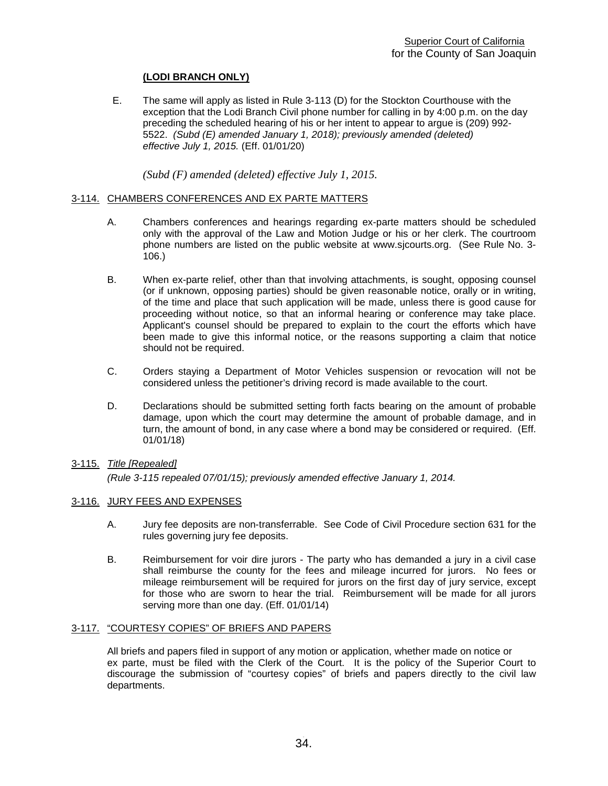# **(LODI BRANCH ONLY)**

 E. The same will apply as listed in Rule 3-113 (D) for the Stockton Courthouse with the exception that the Lodi Branch Civil phone number for calling in by 4:00 p.m. on the day preceding the scheduled hearing of his or her intent to appear to argue is (209) 992- 5522. *(Subd (E) amended January 1, 2018); previously amended (deleted) effective July 1, 2015.* (Eff. 01/01/20)

*(Subd (F) amended (deleted) effective July 1, 2015.* 

# <span id="page-34-0"></span>3-114. CHAMBERS CONFERENCES AND EX PARTE MATTERS

- A. Chambers conferences and hearings regarding ex-parte matters should be scheduled only with the approval of the Law and Motion Judge or his or her clerk. The courtroom phone numbers are listed on the public website at www.sjcourts.org. (See Rule No. 3- 106.)
- B. When ex-parte relief, other than that involving attachments, is sought, opposing counsel (or if unknown, opposing parties) should be given reasonable notice, orally or in writing, of the time and place that such application will be made, unless there is good cause for proceeding without notice, so that an informal hearing or conference may take place. Applicant's counsel should be prepared to explain to the court the efforts which have been made to give this informal notice, or the reasons supporting a claim that notice should not be required.
- C. Orders staying a Department of Motor Vehicles suspension or revocation will not be considered unless the petitioner's driving record is made available to the court.
- D. Declarations should be submitted setting forth facts bearing on the amount of probable damage, upon which the court may determine the amount of probable damage, and in turn, the amount of bond, in any case where a bond may be considered or required. (Eff. 01/01/18)

# 3-115. *Title [Repealed]*

*(Rule 3-115 repealed 07/01/15); previously amended effective January 1, 2014.*

#### <span id="page-34-1"></span>3-116. JURY FEES AND EXPENSES

- A. Jury fee deposits are non-transferrable. See Code of Civil Procedure section 631 for the rules governing jury fee deposits.
- B. Reimbursement for voir dire jurors The party who has demanded a jury in a civil case shall reimburse the county for the fees and mileage incurred for jurors. No fees or mileage reimbursement will be required for jurors on the first day of jury service, except for those who are sworn to hear the trial. Reimbursement will be made for all jurors serving more than one day. (Eff. 01/01/14)

### <span id="page-34-2"></span>3-117. "COURTESY COPIES" OF BRIEFS AND PAPERS

All briefs and papers filed in support of any motion or application, whether made on notice or ex parte, must be filed with the Clerk of the Court. It is the policy of the Superior Court to discourage the submission of "courtesy copies" of briefs and papers directly to the civil law departments.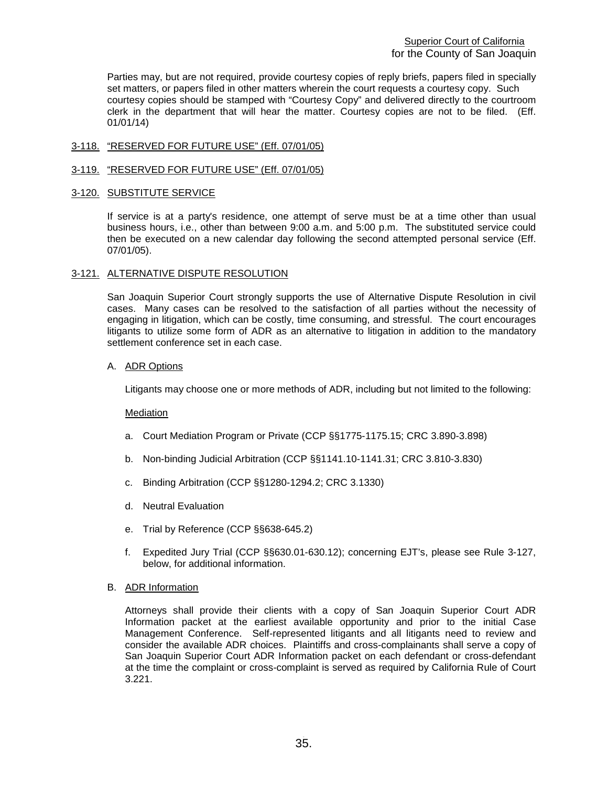Parties may, but are not required, provide courtesy copies of reply briefs, papers filed in specially set matters, or papers filed in other matters wherein the court requests a courtesy copy. Such courtesy copies should be stamped with "Courtesy Copy" and delivered directly to the courtroom clerk in the department that will hear the matter. Courtesy copies are not to be filed. (Eff. 01/01/14)

# <span id="page-35-0"></span>3-118. "RESERVED FOR FUTURE USE" (Eff. 07/01/05)

# <span id="page-35-1"></span>3-119. "RESERVED FOR FUTURE USE" (Eff. 07/01/05)

### <span id="page-35-2"></span>3-120. SUBSTITUTE SERVICE

If service is at a party's residence, one attempt of serve must be at a time other than usual business hours, i.e., other than between 9:00 a.m. and 5:00 p.m. The substituted service could then be executed on a new calendar day following the second attempted personal service (Eff. 07/01/05).

# 3-121. ALTERNATIVE DISPUTE RESOLUTION

San Joaquin Superior Court strongly supports the use of Alternative Dispute Resolution in civil cases. Many cases can be resolved to the satisfaction of all parties without the necessity of engaging in litigation, which can be costly, time consuming, and stressful. The court encourages litigants to utilize some form of ADR as an alternative to litigation in addition to the mandatory settlement conference set in each case.

# A. ADR Options

Litigants may choose one or more methods of ADR, including but not limited to the following:

#### Mediation

- a. Court Mediation Program or Private (CCP §§1775-1175.15; CRC 3.890-3.898)
- b. Non-binding Judicial Arbitration (CCP §§1141.10-1141.31; CRC 3.810-3.830)
- c. Binding Arbitration (CCP §§1280-1294.2; CRC 3.1330)
- d. Neutral Evaluation
- e. Trial by Reference (CCP §§638-645.2)
- f. Expedited Jury Trial (CCP §§630.01-630.12); concerning EJT's, please see Rule 3-127, below, for additional information.

#### B. ADR Information

Attorneys shall provide their clients with a copy of San Joaquin Superior Court ADR Information packet at the earliest available opportunity and prior to the initial Case Management Conference. Self-represented litigants and all litigants need to review and consider the available ADR choices. Plaintiffs and cross-complainants shall serve a copy of San Joaquin Superior Court ADR Information packet on each defendant or cross-defendant at the time the complaint or cross-complaint is served as required by California Rule of Court 3.221.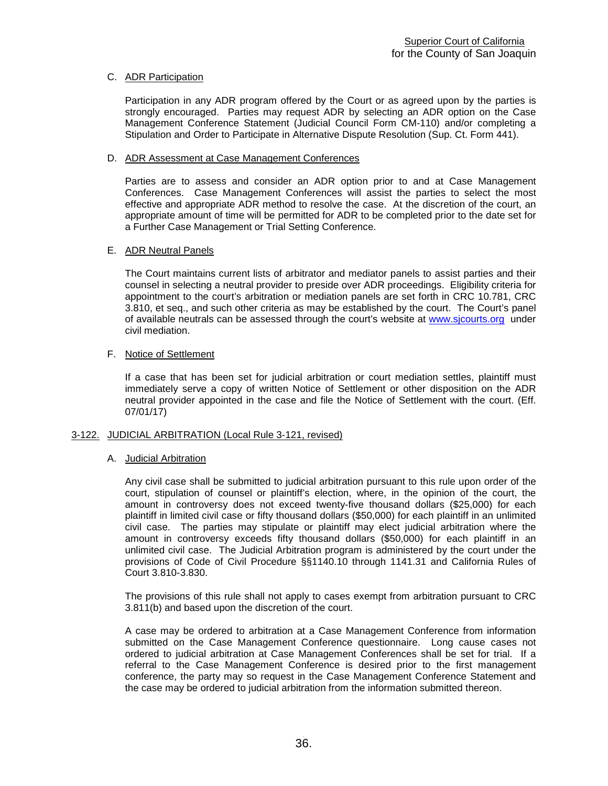## C. ADR Participation

Participation in any ADR program offered by the Court or as agreed upon by the parties is strongly encouraged. Parties may request ADR by selecting an ADR option on the Case Management Conference Statement (Judicial Council Form CM-110) and/or completing a Stipulation and Order to Participate in Alternative Dispute Resolution (Sup. Ct. Form 441).

## D. ADR Assessment at Case Management Conferences

Parties are to assess and consider an ADR option prior to and at Case Management Conferences. Case Management Conferences will assist the parties to select the most effective and appropriate ADR method to resolve the case. At the discretion of the court, an appropriate amount of time will be permitted for ADR to be completed prior to the date set for a Further Case Management or Trial Setting Conference.

## E. ADR Neutral Panels

The Court maintains current lists of arbitrator and mediator panels to assist parties and their counsel in selecting a neutral provider to preside over ADR proceedings. Eligibility criteria for appointment to the court's arbitration or mediation panels are set forth in CRC 10.781, CRC 3.810, et seq., and such other criteria as may be established by the court. The Court's panel of available neutrals can be assessed through the court's website at [www.sjcourts.org](http://www.sjcourts.org/) under civil mediation.

## F. Notice of Settlement

If a case that has been set for judicial arbitration or court mediation settles, plaintiff must immediately serve a copy of written Notice of Settlement or other disposition on the ADR neutral provider appointed in the case and file the Notice of Settlement with the court. (Eff. 07/01/17)

## 3-122. JUDICIAL ARBITRATION (Local Rule 3-121, revised)

## A. Judicial Arbitration

Any civil case shall be submitted to judicial arbitration pursuant to this rule upon order of the court, stipulation of counsel or plaintiff's election, where, in the opinion of the court, the amount in controversy does not exceed twenty-five thousand dollars (\$25,000) for each plaintiff in limited civil case or fifty thousand dollars (\$50,000) for each plaintiff in an unlimited civil case. The parties may stipulate or plaintiff may elect judicial arbitration where the amount in controversy exceeds fifty thousand dollars (\$50,000) for each plaintiff in an unlimited civil case. The Judicial Arbitration program is administered by the court under the provisions of Code of Civil Procedure §§1140.10 through 1141.31 and California Rules of Court 3.810-3.830.

The provisions of this rule shall not apply to cases exempt from arbitration pursuant to CRC 3.811(b) and based upon the discretion of the court.

A case may be ordered to arbitration at a Case Management Conference from information submitted on the Case Management Conference questionnaire. Long cause cases not ordered to judicial arbitration at Case Management Conferences shall be set for trial. If a referral to the Case Management Conference is desired prior to the first management conference, the party may so request in the Case Management Conference Statement and the case may be ordered to judicial arbitration from the information submitted thereon.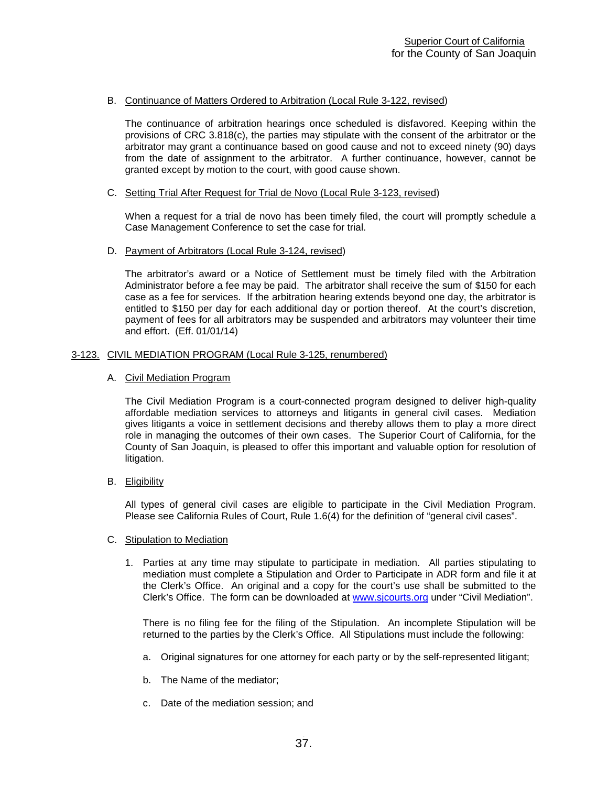## B. Continuance of Matters Ordered to Arbitration (Local Rule 3-122, revised)

The continuance of arbitration hearings once scheduled is disfavored. Keeping within the provisions of CRC 3.818(c), the parties may stipulate with the consent of the arbitrator or the arbitrator may grant a continuance based on good cause and not to exceed ninety (90) days from the date of assignment to the arbitrator. A further continuance, however, cannot be granted except by motion to the court, with good cause shown.

#### C. Setting Trial After Request for Trial de Novo (Local Rule 3-123, revised)

When a request for a trial de novo has been timely filed, the court will promptly schedule a Case Management Conference to set the case for trial.

## D. Payment of Arbitrators (Local Rule 3-124, revised)

The arbitrator's award or a Notice of Settlement must be timely filed with the Arbitration Administrator before a fee may be paid. The arbitrator shall receive the sum of \$150 for each case as a fee for services. If the arbitration hearing extends beyond one day, the arbitrator is entitled to \$150 per day for each additional day or portion thereof. At the court's discretion, payment of fees for all arbitrators may be suspended and arbitrators may volunteer their time and effort. (Eff. 01/01/14)

## 3-123. CIVIL MEDIATION PROGRAM (Local Rule 3-125, renumbered)

#### A. Civil Mediation Program

The Civil Mediation Program is a court-connected program designed to deliver high-quality affordable mediation services to attorneys and litigants in general civil cases. Mediation gives litigants a voice in settlement decisions and thereby allows them to play a more direct role in managing the outcomes of their own cases. The Superior Court of California, for the County of San Joaquin, is pleased to offer this important and valuable option for resolution of litigation.

B. Eligibility

All types of general civil cases are eligible to participate in the Civil Mediation Program. Please see California Rules of Court, Rule 1.6(4) for the definition of "general civil cases".

#### C. Stipulation to Mediation

1. Parties at any time may stipulate to participate in mediation. All parties stipulating to mediation must complete a Stipulation and Order to Participate in ADR form and file it at the Clerk's Office. An original and a copy for the court's use shall be submitted to the Clerk's Office. The form can be downloaded at [www.sjcourts.org](http://www.sjcourts.org/) under "Civil Mediation".

There is no filing fee for the filing of the Stipulation. An incomplete Stipulation will be returned to the parties by the Clerk's Office. All Stipulations must include the following:

- a. Original signatures for one attorney for each party or by the self-represented litigant;
- b. The Name of the mediator;
- c. Date of the mediation session; and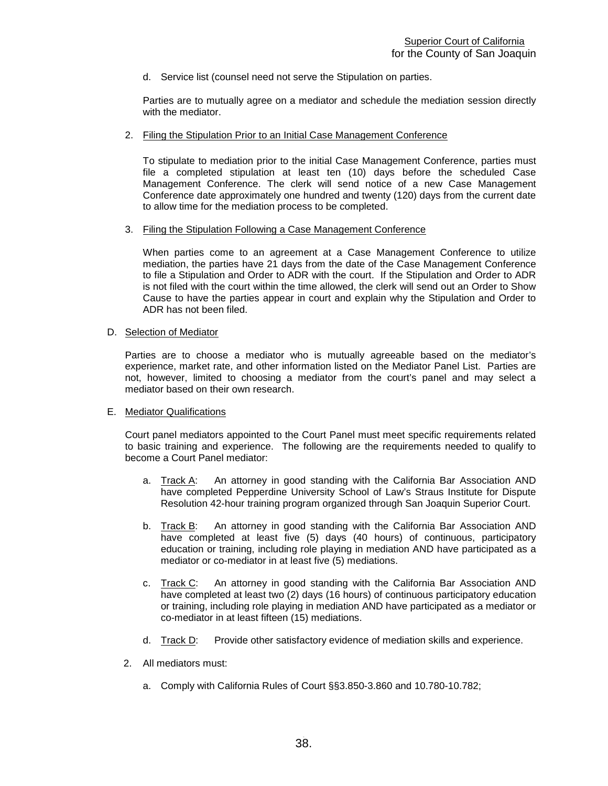d. Service list (counsel need not serve the Stipulation on parties.

Parties are to mutually agree on a mediator and schedule the mediation session directly with the mediator.

2. Filing the Stipulation Prior to an Initial Case Management Conference

To stipulate to mediation prior to the initial Case Management Conference, parties must file a completed stipulation at least ten (10) days before the scheduled Case Management Conference. The clerk will send notice of a new Case Management Conference date approximately one hundred and twenty (120) days from the current date to allow time for the mediation process to be completed.

3. Filing the Stipulation Following a Case Management Conference

When parties come to an agreement at a Case Management Conference to utilize mediation, the parties have 21 days from the date of the Case Management Conference to file a Stipulation and Order to ADR with the court. If the Stipulation and Order to ADR is not filed with the court within the time allowed, the clerk will send out an Order to Show Cause to have the parties appear in court and explain why the Stipulation and Order to ADR has not been filed.

D. Selection of Mediator

Parties are to choose a mediator who is mutually agreeable based on the mediator's experience, market rate, and other information listed on the Mediator Panel List. Parties are not, however, limited to choosing a mediator from the court's panel and may select a mediator based on their own research.

## E. Mediator Qualifications

Court panel mediators appointed to the Court Panel must meet specific requirements related to basic training and experience. The following are the requirements needed to qualify to become a Court Panel mediator:

- a. Track A: An attorney in good standing with the California Bar Association AND have completed Pepperdine University School of Law's Straus Institute for Dispute Resolution 42-hour training program organized through San Joaquin Superior Court.
- b. Track B: An attorney in good standing with the California Bar Association AND have completed at least five (5) days (40 hours) of continuous, participatory education or training, including role playing in mediation AND have participated as a mediator or co-mediator in at least five (5) mediations.
- c. Track  $C$ : An attorney in good standing with the California Bar Association AND have completed at least two (2) days (16 hours) of continuous participatory education or training, including role playing in mediation AND have participated as a mediator or co-mediator in at least fifteen (15) mediations.
- d. Track D: Provide other satisfactory evidence of mediation skills and experience.
- 2. All mediators must:
	- a. Comply with California Rules of Court §§3.850-3.860 and 10.780-10.782;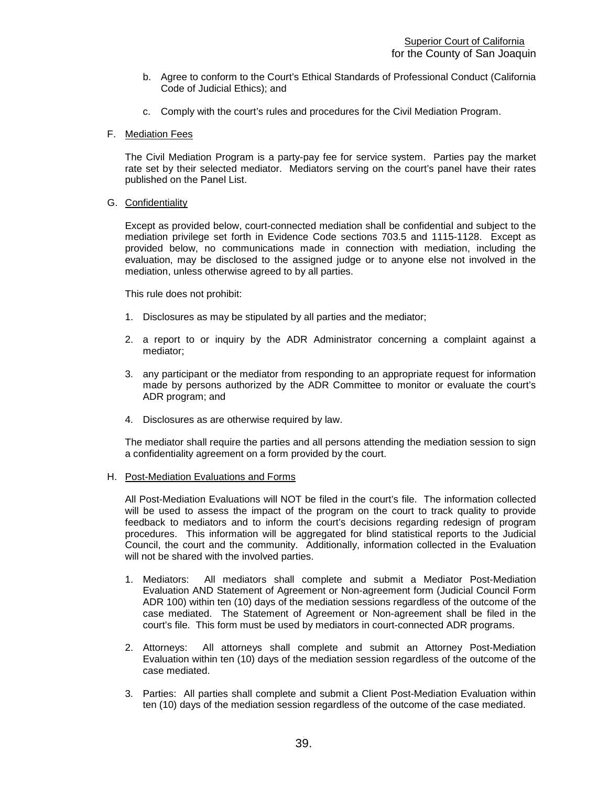- b. Agree to conform to the Court's Ethical Standards of Professional Conduct (California Code of Judicial Ethics); and
- c. Comply with the court's rules and procedures for the Civil Mediation Program.
- F. Mediation Fees

The Civil Mediation Program is a party-pay fee for service system. Parties pay the market rate set by their selected mediator. Mediators serving on the court's panel have their rates published on the Panel List.

G. Confidentiality

Except as provided below, court-connected mediation shall be confidential and subject to the mediation privilege set forth in Evidence Code sections 703.5 and 1115-1128. Except as provided below, no communications made in connection with mediation, including the evaluation, may be disclosed to the assigned judge or to anyone else not involved in the mediation, unless otherwise agreed to by all parties.

This rule does not prohibit:

- 1. Disclosures as may be stipulated by all parties and the mediator;
- 2. a report to or inquiry by the ADR Administrator concerning a complaint against a mediator;
- 3. any participant or the mediator from responding to an appropriate request for information made by persons authorized by the ADR Committee to monitor or evaluate the court's ADR program; and
- 4. Disclosures as are otherwise required by law.

The mediator shall require the parties and all persons attending the mediation session to sign a confidentiality agreement on a form provided by the court.

## H. Post-Mediation Evaluations and Forms

All Post-Mediation Evaluations will NOT be filed in the court's file. The information collected will be used to assess the impact of the program on the court to track quality to provide feedback to mediators and to inform the court's decisions regarding redesign of program procedures. This information will be aggregated for blind statistical reports to the Judicial Council, the court and the community. Additionally, information collected in the Evaluation will not be shared with the involved parties.

- 1. Mediators: All mediators shall complete and submit a Mediator Post-Mediation Evaluation AND Statement of Agreement or Non-agreement form (Judicial Council Form ADR 100) within ten (10) days of the mediation sessions regardless of the outcome of the case mediated. The Statement of Agreement or Non-agreement shall be filed in the court's file. This form must be used by mediators in court-connected ADR programs.
- 2. Attorneys: All attorneys shall complete and submit an Attorney Post-Mediation Evaluation within ten (10) days of the mediation session regardless of the outcome of the case mediated.
- 3. Parties: All parties shall complete and submit a Client Post-Mediation Evaluation within ten (10) days of the mediation session regardless of the outcome of the case mediated.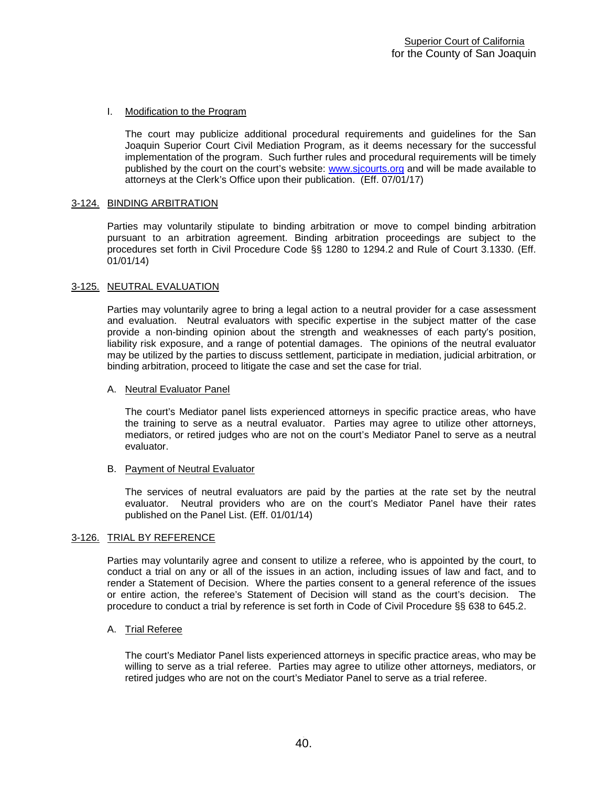## I. Modification to the Program

The court may publicize additional procedural requirements and guidelines for the San Joaquin Superior Court Civil Mediation Program, as it deems necessary for the successful implementation of the program. Such further rules and procedural requirements will be timely published by the court on the court's website: [www.sjcourts.org](http://www.sjcourts.org/) and will be made available to attorneys at the Clerk's Office upon their publication. (Eff. 07/01/17)

## 3-124. BINDING ARBITRATION

Parties may voluntarily stipulate to binding arbitration or move to compel binding arbitration pursuant to an arbitration agreement. Binding arbitration proceedings are subject to the procedures set forth in Civil Procedure Code §§ 1280 to 1294.2 and Rule of Court 3.1330. (Eff. 01/01/14)

## 3-125. NEUTRAL EVALUATION

Parties may voluntarily agree to bring a legal action to a neutral provider for a case assessment and evaluation. Neutral evaluators with specific expertise in the subject matter of the case provide a non-binding opinion about the strength and weaknesses of each party's position, liability risk exposure, and a range of potential damages. The opinions of the neutral evaluator may be utilized by the parties to discuss settlement, participate in mediation, judicial arbitration, or binding arbitration, proceed to litigate the case and set the case for trial.

## A. Neutral Evaluator Panel

The court's Mediator panel lists experienced attorneys in specific practice areas, who have the training to serve as a neutral evaluator. Parties may agree to utilize other attorneys, mediators, or retired judges who are not on the court's Mediator Panel to serve as a neutral evaluator.

## B. Payment of Neutral Evaluator

The services of neutral evaluators are paid by the parties at the rate set by the neutral evaluator. Neutral providers who are on the court's Mediator Panel have their rates published on the Panel List. (Eff. 01/01/14)

## 3-126. TRIAL BY REFERENCE

Parties may voluntarily agree and consent to utilize a referee, who is appointed by the court, to conduct a trial on any or all of the issues in an action, including issues of law and fact, and to render a Statement of Decision. Where the parties consent to a general reference of the issues or entire action, the referee's Statement of Decision will stand as the court's decision. The procedure to conduct a trial by reference is set forth in Code of Civil Procedure §§ 638 to 645.2.

## A. Trial Referee

The court's Mediator Panel lists experienced attorneys in specific practice areas, who may be willing to serve as a trial referee. Parties may agree to utilize other attorneys, mediators, or retired judges who are not on the court's Mediator Panel to serve as a trial referee.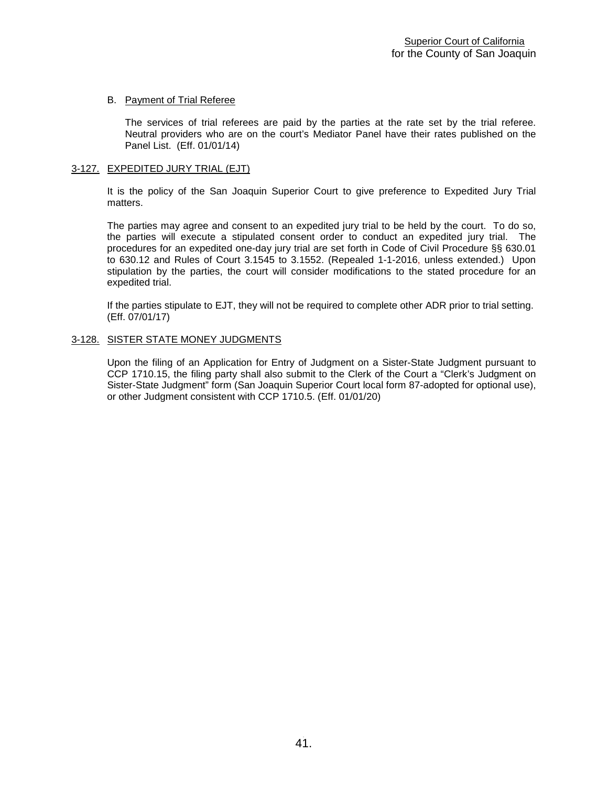## B. Payment of Trial Referee

The services of trial referees are paid by the parties at the rate set by the trial referee. Neutral providers who are on the court's Mediator Panel have their rates published on the Panel List. (Eff. 01/01/14)

## 3-127. EXPEDITED JURY TRIAL (EJT)

It is the policy of the San Joaquin Superior Court to give preference to Expedited Jury Trial matters.

The parties may agree and consent to an expedited jury trial to be held by the court. To do so, the parties will execute a stipulated consent order to conduct an expedited jury trial. The procedures for an expedited one-day jury trial are set forth in Code of Civil Procedure §§ 630.01 to 630.12 and Rules of Court 3.1545 to 3.1552. (Repealed 1-1-2016, unless extended.) Upon stipulation by the parties, the court will consider modifications to the stated procedure for an expedited trial.

If the parties stipulate to EJT, they will not be required to complete other ADR prior to trial setting. (Eff. 07/01/17)

## 3-128. SISTER STATE MONEY JUDGMENTS

Upon the filing of an Application for Entry of Judgment on a Sister-State Judgment pursuant to CCP 1710.15, the filing party shall also submit to the Clerk of the Court a "Clerk's Judgment on Sister-State Judgment" form (San Joaquin Superior Court local form 87-adopted for optional use), or other Judgment consistent with CCP 1710.5. (Eff. 01/01/20)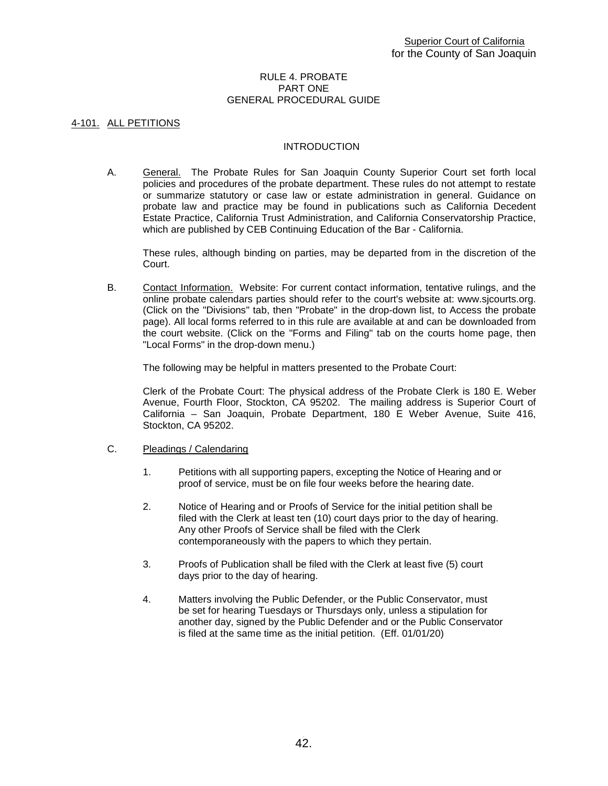#### RULE 4. PROBATE PART ONE GENERAL PROCEDURAL GUIDE

## 4-101. ALL PETITIONS

## INTRODUCTION

A. General. The Probate Rules for San Joaquin County Superior Court set forth local policies and procedures of the probate department. These rules do not attempt to restate or summarize statutory or case law or estate administration in general. Guidance on probate law and practice may be found in publications such as California Decedent Estate Practice, California Trust Administration, and California Conservatorship Practice, which are published by CEB Continuing Education of the Bar - California.

These rules, although binding on parties, may be departed from in the discretion of the Court.

B. Contact Information. Website: For current contact information, tentative rulings, and the online probate calendars parties should refer to the court's website at: www.sjcourts.org. (Click on the "Divisions" tab, then "Probate" in the drop-down list, to Access the probate page). All local forms referred to in this rule are available at and can be downloaded from the court website. (Click on the "Forms and Filing" tab on the courts home page, then "Local Forms" in the drop-down menu.)

The following may be helpful in matters presented to the Probate Court:

Clerk of the Probate Court: The physical address of the Probate Clerk is 180 E. Weber Avenue, Fourth Floor, Stockton, CA 95202. The mailing address is Superior Court of California – San Joaquin, Probate Department, 180 E Weber Avenue, Suite 416, Stockton, CA 95202.

- C. Pleadings / Calendaring
	- 1. Petitions with all supporting papers, excepting the Notice of Hearing and or proof of service, must be on file four weeks before the hearing date.
	- 2. Notice of Hearing and or Proofs of Service for the initial petition shall be filed with the Clerk at least ten (10) court days prior to the day of hearing. Any other Proofs of Service shall be filed with the Clerk contemporaneously with the papers to which they pertain.
	- 3. Proofs of Publication shall be filed with the Clerk at least five (5) court days prior to the day of hearing.
	- 4. Matters involving the Public Defender, or the Public Conservator, must be set for hearing Tuesdays or Thursdays only, unless a stipulation for another day, signed by the Public Defender and or the Public Conservator is filed at the same time as the initial petition. (Eff. 01/01/20)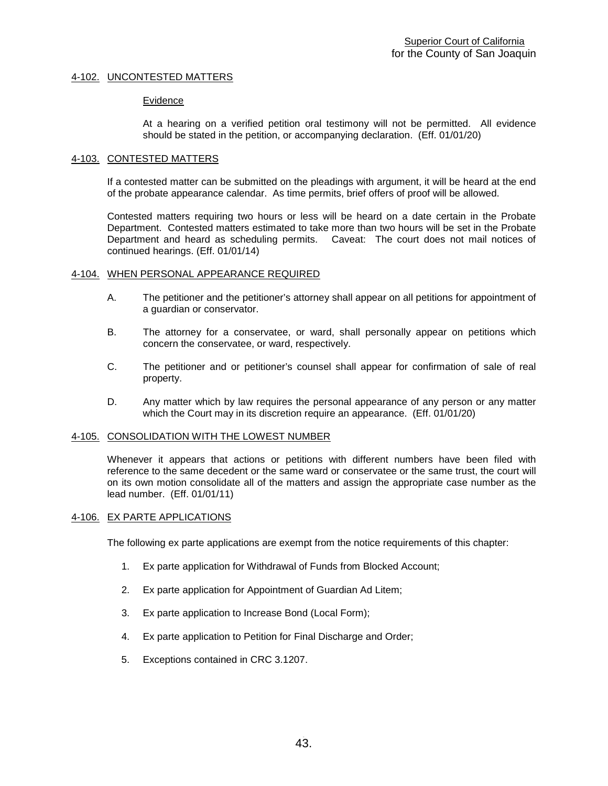## 4-102. UNCONTESTED MATTERS

#### Evidence

At a hearing on a verified petition oral testimony will not be permitted. All evidence should be stated in the petition, or accompanying declaration. (Eff. 01/01/20)

#### 4-103. CONTESTED MATTERS

If a contested matter can be submitted on the pleadings with argument, it will be heard at the end of the probate appearance calendar. As time permits, brief offers of proof will be allowed.

Contested matters requiring two hours or less will be heard on a date certain in the Probate Department. Contested matters estimated to take more than two hours will be set in the Probate Department and heard as scheduling permits. Caveat: The court does not mail notices of continued hearings. (Eff. 01/01/14)

#### 4-104. WHEN PERSONAL APPEARANCE REQUIRED

- A. The petitioner and the petitioner's attorney shall appear on all petitions for appointment of a guardian or conservator.
- B. The attorney for a conservatee, or ward, shall personally appear on petitions which concern the conservatee, or ward, respectively.
- C. The petitioner and or petitioner's counsel shall appear for confirmation of sale of real property.
- D. Any matter which by law requires the personal appearance of any person or any matter which the Court may in its discretion require an appearance. (Eff. 01/01/20)

## 4-105. CONSOLIDATION WITH THE LOWEST NUMBER

Whenever it appears that actions or petitions with different numbers have been filed with reference to the same decedent or the same ward or conservatee or the same trust, the court will on its own motion consolidate all of the matters and assign the appropriate case number as the lead number. (Eff. 01/01/11)

## 4-106. EX PARTE APPLICATIONS

The following ex parte applications are exempt from the notice requirements of this chapter:

- 1. Ex parte application for Withdrawal of Funds from Blocked Account;
- 2. Ex parte application for Appointment of Guardian Ad Litem;
- 3. Ex parte application to Increase Bond (Local Form);
- 4. Ex parte application to Petition for Final Discharge and Order;
- 5. Exceptions contained in CRC 3.1207.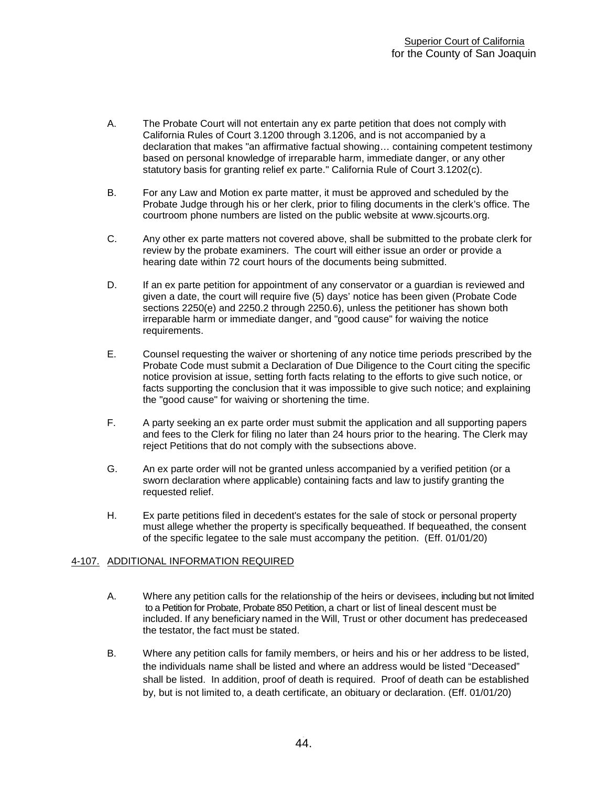- A. The Probate Court will not entertain any ex parte petition that does not comply with California Rules of Court 3.1200 through 3.1206, and is not accompanied by a declaration that makes "an affirmative factual showing… containing competent testimony based on personal knowledge of irreparable harm, immediate danger, or any other statutory basis for granting relief ex parte." California Rule of Court 3.1202(c).
- B. For any Law and Motion ex parte matter, it must be approved and scheduled by the Probate Judge through his or her clerk, prior to filing documents in the clerk's office. The courtroom phone numbers are listed on the public website at www.sjcourts.org.
- C. Any other ex parte matters not covered above, shall be submitted to the probate clerk for review by the probate examiners. The court will either issue an order or provide a hearing date within 72 court hours of the documents being submitted.
- D. If an ex parte petition for appointment of any conservator or a quardian is reviewed and given a date, the court will require five (5) days' notice has been given (Probate Code sections 2250(e) and 2250.2 through 2250.6), unless the petitioner has shown both irreparable harm or immediate danger, and "good cause" for waiving the notice requirements.
- E. Counsel requesting the waiver or shortening of any notice time periods prescribed by the Probate Code must submit a Declaration of Due Diligence to the Court citing the specific notice provision at issue, setting forth facts relating to the efforts to give such notice, or facts supporting the conclusion that it was impossible to give such notice; and explaining the "good cause" for waiving or shortening the time.
- F. A party seeking an ex parte order must submit the application and all supporting papers and fees to the Clerk for filing no later than 24 hours prior to the hearing. The Clerk may reject Petitions that do not comply with the subsections above.
- G. An ex parte order will not be granted unless accompanied by a verified petition (or a sworn declaration where applicable) containing facts and law to justify granting the requested relief.
- H. Ex parte petitions filed in decedent's estates for the sale of stock or personal property must allege whether the property is specifically bequeathed. If bequeathed, the consent of the specific legatee to the sale must accompany the petition. (Eff. 01/01/20)

## 4-107. ADDITIONAL INFORMATION REQUIRED

- A. Where any petition calls for the relationship of the heirs or devisees, including but not limited to a Petition for Probate, Probate 850 Petition, a chart or list of lineal descent must be included. If any beneficiary named in the Will, Trust or other document has predeceased the testator, the fact must be stated.
- B. Where any petition calls for family members, or heirs and his or her address to be listed, the individuals name shall be listed and where an address would be listed "Deceased" shall be listed. In addition, proof of death is required. Proof of death can be established by, but is not limited to, a death certificate, an obituary or declaration. (Eff. 01/01/20)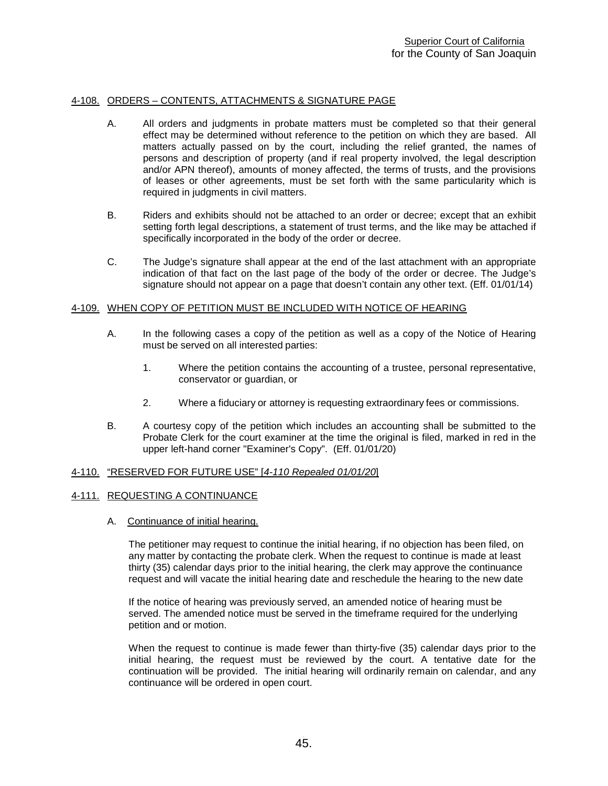## 4-108. ORDERS – CONTENTS, ATTACHMENTS & SIGNATURE PAGE

- A. All orders and judgments in probate matters must be completed so that their general effect may be determined without reference to the petition on which they are based. All matters actually passed on by the court, including the relief granted, the names of persons and description of property (and if real property involved, the legal description and/or APN thereof), amounts of money affected, the terms of trusts, and the provisions of leases or other agreements, must be set forth with the same particularity which is required in judgments in civil matters.
- B. Riders and exhibits should not be attached to an order or decree; except that an exhibit setting forth legal descriptions, a statement of trust terms, and the like may be attached if specifically incorporated in the body of the order or decree.
- C. The Judge's signature shall appear at the end of the last attachment with an appropriate indication of that fact on the last page of the body of the order or decree. The Judge's signature should not appear on a page that doesn't contain any other text. (Eff. 01/01/14)

## 4-109. WHEN COPY OF PETITION MUST BE INCLUDED WITH NOTICE OF HEARING

- A. In the following cases a copy of the petition as well as a copy of the Notice of Hearing must be served on all interested parties:
	- 1. Where the petition contains the accounting of a trustee, personal representative, conservator or guardian, or
	- 2. Where a fiduciary or attorney is requesting extraordinary fees or commissions.
- B. A courtesy copy of the petition which includes an accounting shall be submitted to the Probate Clerk for the court examiner at the time the original is filed, marked in red in the upper left-hand corner "Examiner's Copy". (Eff. 01/01/20)

## 4-110. "RESERVED FOR FUTURE USE" [*4-110 Repealed 01/01/20*]

## 4-111. REQUESTING A CONTINUANCE

A. Continuance of initial hearing.

The petitioner may request to continue the initial hearing, if no objection has been filed, on any matter by contacting the probate clerk. When the request to continue is made at least thirty (35) calendar days prior to the initial hearing, the clerk may approve the continuance request and will vacate the initial hearing date and reschedule the hearing to the new date

If the notice of hearing was previously served, an amended notice of hearing must be served. The amended notice must be served in the timeframe required for the underlying petition and or motion.

When the request to continue is made fewer than thirty-five (35) calendar days prior to the initial hearing, the request must be reviewed by the court. A tentative date for the continuation will be provided. The initial hearing will ordinarily remain on calendar, and any continuance will be ordered in open court.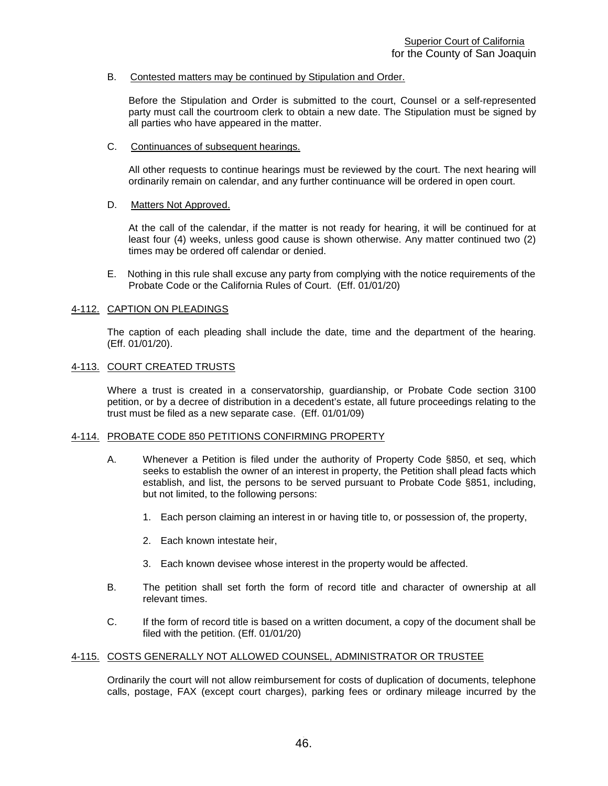B. Contested matters may be continued by Stipulation and Order.

Before the Stipulation and Order is submitted to the court, Counsel or a self-represented party must call the courtroom clerk to obtain a new date. The Stipulation must be signed by all parties who have appeared in the matter.

C. Continuances of subsequent hearings.

All other requests to continue hearings must be reviewed by the court. The next hearing will ordinarily remain on calendar, and any further continuance will be ordered in open court.

## D. Matters Not Approved.

At the call of the calendar, if the matter is not ready for hearing, it will be continued for at least four (4) weeks, unless good cause is shown otherwise. Any matter continued two (2) times may be ordered off calendar or denied.

E. Nothing in this rule shall excuse any party from complying with the notice requirements of the Probate Code or the California Rules of Court. (Eff. 01/01/20)

## 4-112. CAPTION ON PLEADINGS

The caption of each pleading shall include the date, time and the department of the hearing. (Eff. 01/01/20).

## 4-113. COURT CREATED TRUSTS

Where a trust is created in a conservatorship, guardianship, or Probate Code section 3100 petition, or by a decree of distribution in a decedent's estate, all future proceedings relating to the trust must be filed as a new separate case. (Eff. 01/01/09)

## 4-114. PROBATE CODE 850 PETITIONS CONFIRMING PROPERTY

- A. Whenever a Petition is filed under the authority of Property Code §850, et seq, which seeks to establish the owner of an interest in property, the Petition shall plead facts which establish, and list, the persons to be served pursuant to Probate Code §851, including, but not limited, to the following persons:
	- 1. Each person claiming an interest in or having title to, or possession of, the property,
	- 2. Each known intestate heir,
	- 3. Each known devisee whose interest in the property would be affected.
- B. The petition shall set forth the form of record title and character of ownership at all relevant times.
- C. If the form of record title is based on a written document, a copy of the document shall be filed with the petition. (Eff. 01/01/20)

## 4-115. COSTS GENERALLY NOT ALLOWED COUNSEL, ADMINISTRATOR OR TRUSTEE

Ordinarily the court will not allow reimbursement for costs of duplication of documents, telephone calls, postage, FAX (except court charges), parking fees or ordinary mileage incurred by the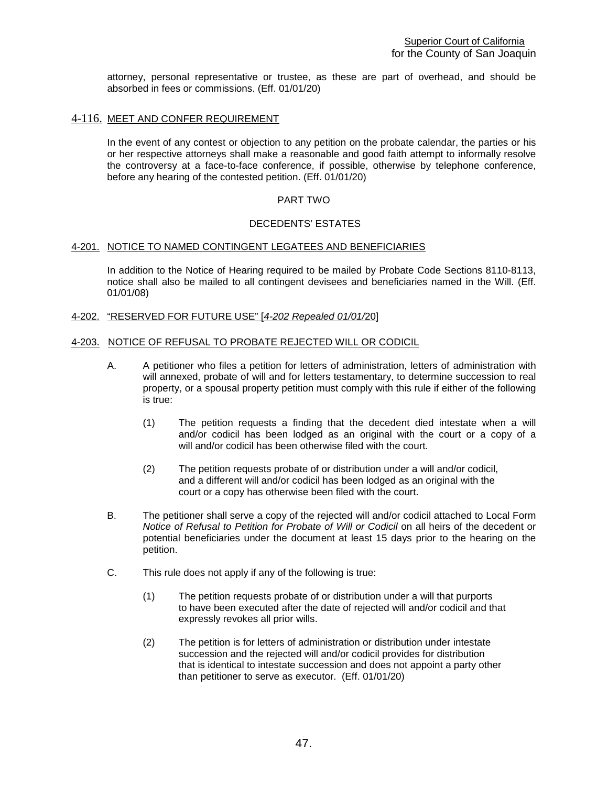attorney, personal representative or trustee, as these are part of overhead, and should be absorbed in fees or commissions. (Eff. 01/01/20)

## 4-116. MEET AND CONFER REQUIREMENT

In the event of any contest or objection to any petition on the probate calendar, the parties or his or her respective attorneys shall make a reasonable and good faith attempt to informally resolve the controversy at a face-to-face conference, if possible, otherwise by telephone conference, before any hearing of the contested petition. (Eff. 01/01/20)

## PART TWO

## DECEDENTS' ESTATES

## 4-201. NOTICE TO NAMED CONTINGENT LEGATEES AND BENEFICIARIES

In addition to the Notice of Hearing required to be mailed by Probate Code Sections 8110-8113, notice shall also be mailed to all contingent devisees and beneficiaries named in the Will. (Eff. 01/01/08)

## 4-202. "RESERVED FOR FUTURE USE" [*4-202 Repealed 01/01/*20]

## 4-203. NOTICE OF REFUSAL TO PROBATE REJECTED WILL OR CODICIL

- A. A petitioner who files a petition for letters of administration, letters of administration with will annexed, probate of will and for letters testamentary, to determine succession to real property, or a spousal property petition must comply with this rule if either of the following is true:
	- (1) The petition requests a finding that the decedent died intestate when a will and/or codicil has been lodged as an original with the court or a copy of a will and/or codicil has been otherwise filed with the court.
	- (2) The petition requests probate of or distribution under a will and/or codicil, and a different will and/or codicil has been lodged as an original with the court or a copy has otherwise been filed with the court.
- B. The petitioner shall serve a copy of the rejected will and/or codicil attached to Local Form *Notice of Refusal to Petition for Probate of Will or Codicil* on all heirs of the decedent or potential beneficiaries under the document at least 15 days prior to the hearing on the petition.
- C. This rule does not apply if any of the following is true:
	- (1) The petition requests probate of or distribution under a will that purports to have been executed after the date of rejected will and/or codicil and that expressly revokes all prior wills.
	- (2) The petition is for letters of administration or distribution under intestate succession and the rejected will and/or codicil provides for distribution that is identical to intestate succession and does not appoint a party other than petitioner to serve as executor. (Eff. 01/01/20)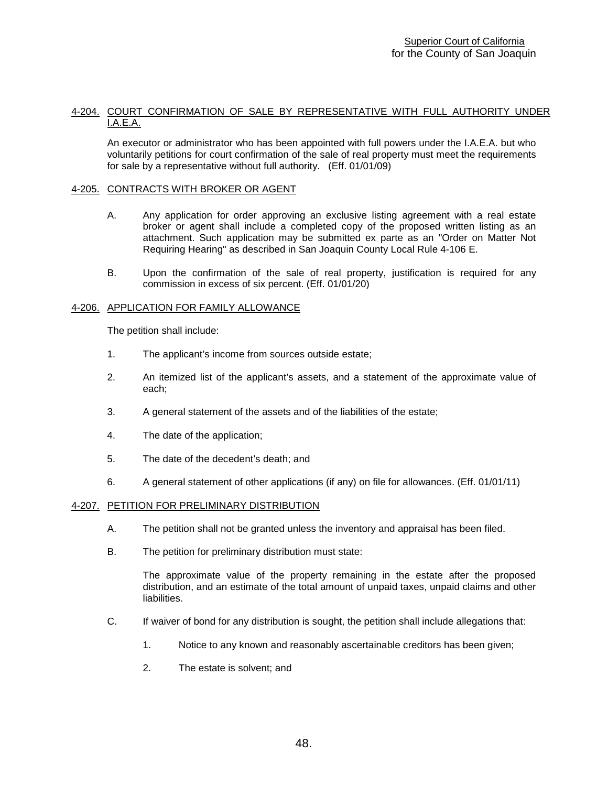## 4-204. COURT CONFIRMATION OF SALE BY REPRESENTATIVE WITH FULL AUTHORITY UNDER I.A.E.A.

An executor or administrator who has been appointed with full powers under the I.A.E.A. but who voluntarily petitions for court confirmation of the sale of real property must meet the requirements for sale by a representative without full authority. (Eff. 01/01/09)

## 4-205. CONTRACTS WITH BROKER OR AGENT

- A. Any application for order approving an exclusive listing agreement with a real estate broker or agent shall include a completed copy of the proposed written listing as an attachment. Such application may be submitted ex parte as an "Order on Matter Not Requiring Hearing" as described in San Joaquin County Local Rule 4-106 E.
- B. Upon the confirmation of the sale of real property, justification is required for any commission in excess of six percent. (Eff. 01/01/20)

## 4-206. APPLICATION FOR FAMILY ALLOWANCE

The petition shall include:

- 1. The applicant's income from sources outside estate;
- 2. An itemized list of the applicant's assets, and a statement of the approximate value of each;
- 3. A general statement of the assets and of the liabilities of the estate;
- 4. The date of the application;
- 5. The date of the decedent's death; and
- 6. A general statement of other applications (if any) on file for allowances. (Eff. 01/01/11)

## 4-207. PETITION FOR PRELIMINARY DISTRIBUTION

- A. The petition shall not be granted unless the inventory and appraisal has been filed.
- B. The petition for preliminary distribution must state:

The approximate value of the property remaining in the estate after the proposed distribution, and an estimate of the total amount of unpaid taxes, unpaid claims and other liabilities.

- C. If waiver of bond for any distribution is sought, the petition shall include allegations that:
	- 1. Notice to any known and reasonably ascertainable creditors has been given;
	- 2. The estate is solvent; and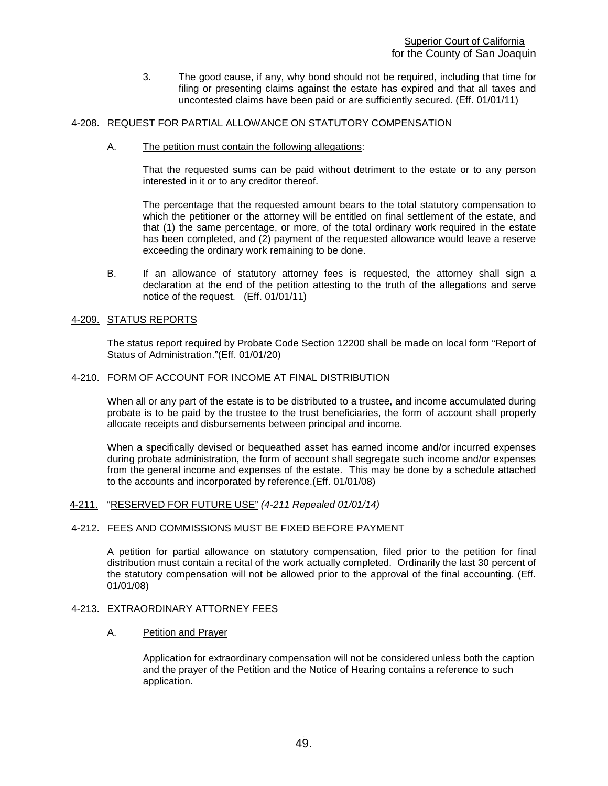3. The good cause, if any, why bond should not be required, including that time for filing or presenting claims against the estate has expired and that all taxes and uncontested claims have been paid or are sufficiently secured. (Eff. 01/01/11)

## 4-208. REQUEST FOR PARTIAL ALLOWANCE ON STATUTORY COMPENSATION

A. The petition must contain the following allegations:

That the requested sums can be paid without detriment to the estate or to any person interested in it or to any creditor thereof.

The percentage that the requested amount bears to the total statutory compensation to which the petitioner or the attorney will be entitled on final settlement of the estate, and that (1) the same percentage, or more, of the total ordinary work required in the estate has been completed, and (2) payment of the requested allowance would leave a reserve exceeding the ordinary work remaining to be done.

B. If an allowance of statutory attorney fees is requested, the attorney shall sign a declaration at the end of the petition attesting to the truth of the allegations and serve notice of the request. (Eff. 01/01/11)

## 4-209. STATUS REPORTS

The status report required by Probate Code Section 12200 shall be made on local form "Report of Status of Administration."(Eff. 01/01/20)

#### 4-210. FORM OF ACCOUNT FOR INCOME AT FINAL DISTRIBUTION

When all or any part of the estate is to be distributed to a trustee, and income accumulated during probate is to be paid by the trustee to the trust beneficiaries, the form of account shall properly allocate receipts and disbursements between principal and income.

When a specifically devised or bequeathed asset has earned income and/or incurred expenses during probate administration, the form of account shall segregate such income and/or expenses from the general income and expenses of the estate. This may be done by a schedule attached to the accounts and incorporated by reference.(Eff. 01/01/08)

## 4-211. "RESERVED FOR FUTURE USE" *(4-211 Repealed 01/01/14)*

## 4-212. FEES AND COMMISSIONS MUST BE FIXED BEFORE PAYMENT

A petition for partial allowance on statutory compensation, filed prior to the petition for final distribution must contain a recital of the work actually completed. Ordinarily the last 30 percent of the statutory compensation will not be allowed prior to the approval of the final accounting. (Eff. 01/01/08)

#### 4-213. EXTRAORDINARY ATTORNEY FEES

A. Petition and Prayer

Application for extraordinary compensation will not be considered unless both the caption and the prayer of the Petition and the Notice of Hearing contains a reference to such application.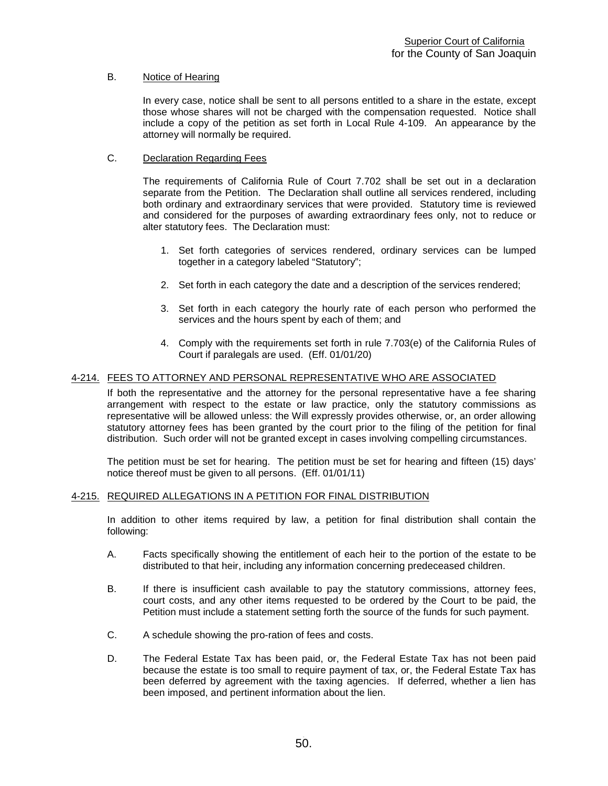## B. Notice of Hearing

In every case, notice shall be sent to all persons entitled to a share in the estate, except those whose shares will not be charged with the compensation requested. Notice shall include a copy of the petition as set forth in Local Rule 4-109. An appearance by the attorney will normally be required.

## C. Declaration Regarding Fees

The requirements of California Rule of Court 7.702 shall be set out in a declaration separate from the Petition. The Declaration shall outline all services rendered, including both ordinary and extraordinary services that were provided. Statutory time is reviewed and considered for the purposes of awarding extraordinary fees only, not to reduce or alter statutory fees. The Declaration must:

- 1. Set forth categories of services rendered, ordinary services can be lumped together in a category labeled "Statutory";
- 2. Set forth in each category the date and a description of the services rendered;
- 3. Set forth in each category the hourly rate of each person who performed the services and the hours spent by each of them; and
- 4. Comply with the requirements set forth in rule 7.703(e) of the California Rules of Court if paralegals are used. (Eff. 01/01/20)

# 4-214. FEES TO ATTORNEY AND PERSONAL REPRESENTATIVE WHO ARE ASSOCIATED<br>If both the representative and the attorney for the personal representative have a fee sharing

arrangement with respect to the estate or law practice, only the statutory commissions as representative will be allowed unless: the Will expressly provides otherwise, or, an order allowing statutory attorney fees has been granted by the court prior to the filing of the petition for final distribution. Such order will not be granted except in cases involving compelling circumstances.

The petition must be set for hearing. The petition must be set for hearing and fifteen (15) days' notice thereof must be given to all persons. (Eff. 01/01/11)

## 4-215. REQUIRED ALLEGATIONS IN A PETITION FOR FINAL DISTRIBUTION

In addition to other items required by law, a petition for final distribution shall contain the following:

- A. Facts specifically showing the entitlement of each heir to the portion of the estate to be distributed to that heir, including any information concerning predeceased children.
- B. If there is insufficient cash available to pay the statutory commissions, attorney fees, court costs, and any other items requested to be ordered by the Court to be paid, the Petition must include a statement setting forth the source of the funds for such payment.
- C. A schedule showing the pro-ration of fees and costs.
- D. The Federal Estate Tax has been paid, or, the Federal Estate Tax has not been paid because the estate is too small to require payment of tax, or, the Federal Estate Tax has been deferred by agreement with the taxing agencies. If deferred, whether a lien has been imposed, and pertinent information about the lien.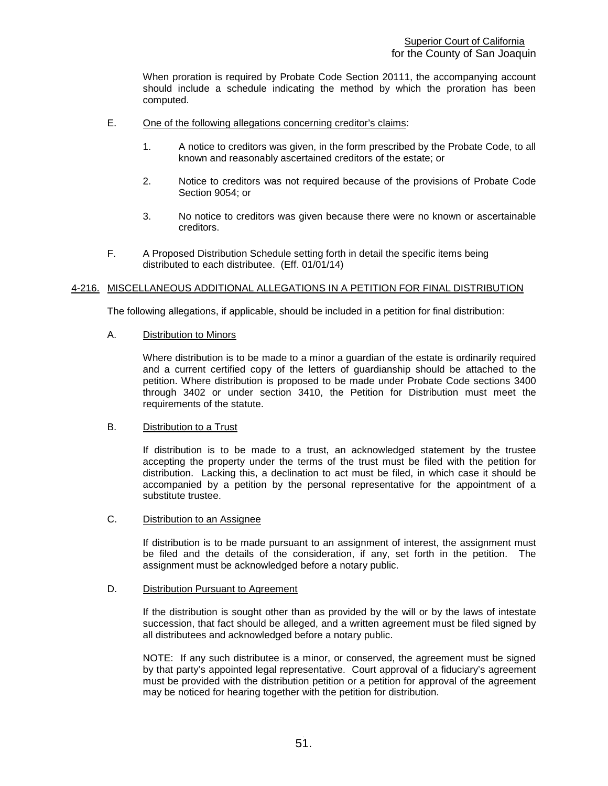When proration is required by Probate Code Section 20111, the accompanying account should include a schedule indicating the method by which the proration has been computed.

- E. One of the following allegations concerning creditor's claims:
	- 1. A notice to creditors was given, in the form prescribed by the Probate Code, to all known and reasonably ascertained creditors of the estate; or
	- 2. Notice to creditors was not required because of the provisions of Probate Code Section 9054; or
	- 3. No notice to creditors was given because there were no known or ascertainable creditors.
- F. A Proposed Distribution Schedule setting forth in detail the specific items being distributed to each distributee. (Eff. 01/01/14)

## 4-216. MISCELLANEOUS ADDITIONAL ALLEGATIONS IN A PETITION FOR FINAL DISTRIBUTION

The following allegations, if applicable, should be included in a petition for final distribution:

## A. Distribution to Minors

Where distribution is to be made to a minor a guardian of the estate is ordinarily required and a current certified copy of the letters of guardianship should be attached to the petition. Where distribution is proposed to be made under Probate Code sections 3400 through 3402 or under section 3410, the Petition for Distribution must meet the requirements of the statute.

## B. Distribution to a Trust

If distribution is to be made to a trust, an acknowledged statement by the trustee accepting the property under the terms of the trust must be filed with the petition for distribution. Lacking this, a declination to act must be filed, in which case it should be accompanied by a petition by the personal representative for the appointment of a substitute trustee.

## C. Distribution to an Assignee

If distribution is to be made pursuant to an assignment of interest, the assignment must be filed and the details of the consideration, if any, set forth in the petition. The assignment must be acknowledged before a notary public.

## D. Distribution Pursuant to Agreement

If the distribution is sought other than as provided by the will or by the laws of intestate succession, that fact should be alleged, and a written agreement must be filed signed by all distributees and acknowledged before a notary public.

NOTE: If any such distributee is a minor, or conserved, the agreement must be signed by that party's appointed legal representative. Court approval of a fiduciary's agreement must be provided with the distribution petition or a petition for approval of the agreement may be noticed for hearing together with the petition for distribution.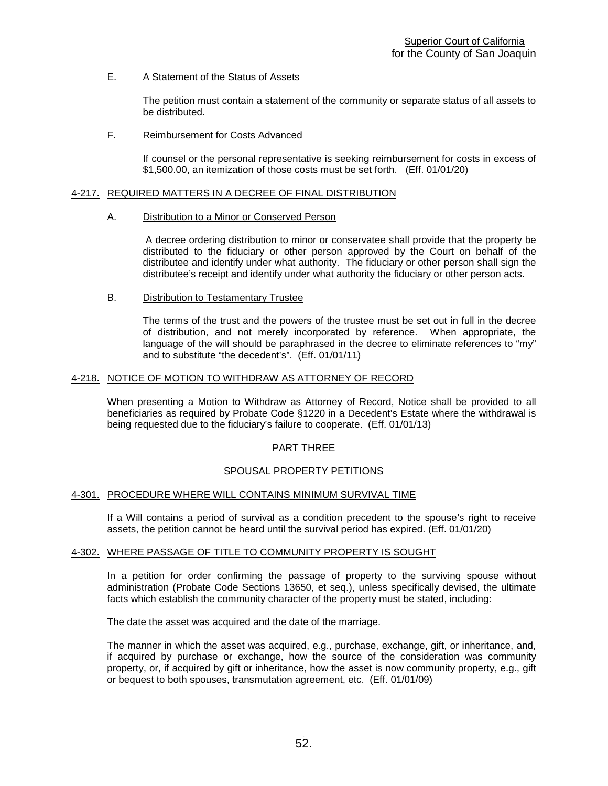## E. A Statement of the Status of Assets

The petition must contain a statement of the community or separate status of all assets to be distributed.

## F. Reimbursement for Costs Advanced

If counsel or the personal representative is seeking reimbursement for costs in excess of \$1,500.00, an itemization of those costs must be set forth. (Eff. 01/01/20)

## 4-217. REQUIRED MATTERS IN A DECREE OF FINAL DISTRIBUTION

## A. Distribution to a Minor or Conserved Person

A decree ordering distribution to minor or conservatee shall provide that the property be distributed to the fiduciary or other person approved by the Court on behalf of the distributee and identify under what authority. The fiduciary or other person shall sign the distributee's receipt and identify under what authority the fiduciary or other person acts.

## B. Distribution to Testamentary Trustee

The terms of the trust and the powers of the trustee must be set out in full in the decree of distribution, and not merely incorporated by reference. When appropriate, the language of the will should be paraphrased in the decree to eliminate references to "my" and to substitute "the decedent's". (Eff. 01/01/11)

## 4-218. NOTICE OF MOTION TO WITHDRAW AS ATTORNEY OF RECORD

When presenting a Motion to Withdraw as Attorney of Record, Notice shall be provided to all beneficiaries as required by Probate Code §1220 in a Decedent's Estate where the withdrawal is being requested due to the fiduciary's failure to cooperate. (Eff. 01/01/13)

## PART THREE

## SPOUSAL PROPERTY PETITIONS

## 4-301. PROCEDURE WHERE WILL CONTAINS MINIMUM SURVIVAL TIME

If a Will contains a period of survival as a condition precedent to the spouse's right to receive assets, the petition cannot be heard until the survival period has expired. (Eff. 01/01/20)

## 4-302. WHERE PASSAGE OF TITLE TO COMMUNITY PROPERTY IS SOUGHT

In a petition for order confirming the passage of property to the surviving spouse without administration (Probate Code Sections 13650, et seq.), unless specifically devised, the ultimate facts which establish the community character of the property must be stated, including:

The date the asset was acquired and the date of the marriage.

The manner in which the asset was acquired, e.g., purchase, exchange, gift, or inheritance, and, if acquired by purchase or exchange, how the source of the consideration was community property, or, if acquired by gift or inheritance, how the asset is now community property, e.g., gift or bequest to both spouses, transmutation agreement, etc. (Eff. 01/01/09)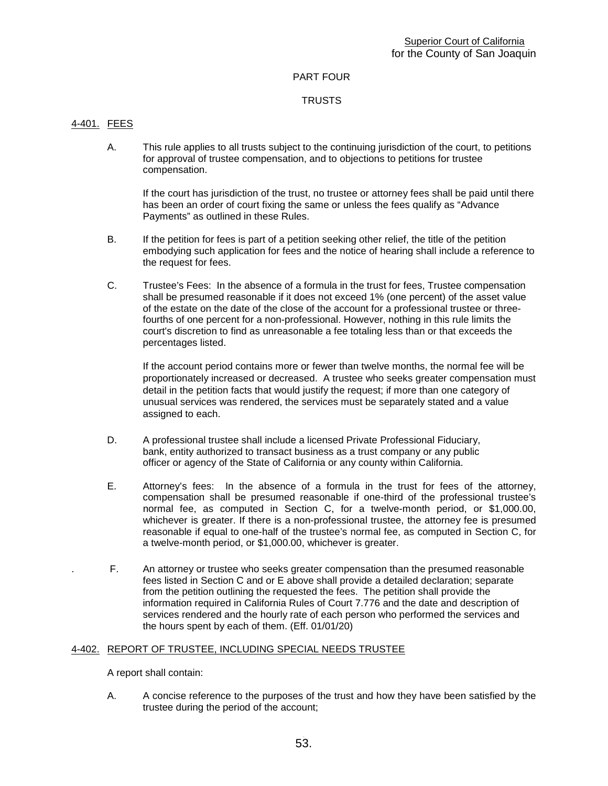## PART FOUR

## **TRUSTS**

## 4-401. FEES

A. This rule applies to all trusts subject to the continuing jurisdiction of the court, to petitions for approval of trustee compensation, and to objections to petitions for trustee compensation.

If the court has jurisdiction of the trust, no trustee or attorney fees shall be paid until there has been an order of court fixing the same or unless the fees qualify as "Advance Payments" as outlined in these Rules.

- B. If the petition for fees is part of a petition seeking other relief, the title of the petition embodying such application for fees and the notice of hearing shall include a reference to the request for fees.
- C. Trustee's Fees: In the absence of a formula in the trust for fees, Trustee compensation shall be presumed reasonable if it does not exceed 1% (one percent) of the asset value of the estate on the date of the close of the account for a professional trustee or threefourths of one percent for a non-professional. However, nothing in this rule limits the court's discretion to find as unreasonable a fee totaling less than or that exceeds the percentages listed.

If the account period contains more or fewer than twelve months, the normal fee will be proportionately increased or decreased. A trustee who seeks greater compensation must detail in the petition facts that would justify the request; if more than one category of unusual services was rendered, the services must be separately stated and a value assigned to each.

- D. A professional trustee shall include a licensed Private Professional Fiduciary, bank, entity authorized to transact business as a trust company or any public officer or agency of the State of California or any county within California.
- E. Attorney's fees: In the absence of a formula in the trust for fees of the attorney, compensation shall be presumed reasonable if one-third of the professional trustee's normal fee, as computed in Section C, for a twelve-month period, or \$1,000.00, whichever is greater. If there is a non-professional trustee, the attorney fee is presumed reasonable if equal to one-half of the trustee's normal fee, as computed in Section C, for a twelve-month period, or \$1,000.00, whichever is greater.
- . F. An attorney or trustee who seeks greater compensation than the presumed reasonable fees listed in Section C and or E above shall provide a detailed declaration; separate from the petition outlining the requested the fees. The petition shall provide the information required in California Rules of Court 7.776 and the date and description of services rendered and the hourly rate of each person who performed the services and the hours spent by each of them. (Eff. 01/01/20)

## 4-402. REPORT OF TRUSTEE, INCLUDING SPECIAL NEEDS TRUSTEE

A report shall contain:

A. A concise reference to the purposes of the trust and how they have been satisfied by the trustee during the period of the account;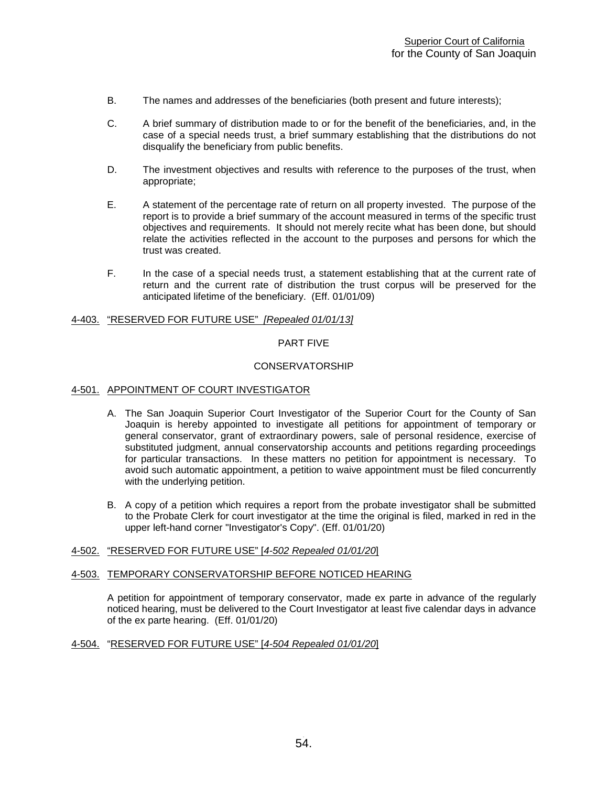- B. The names and addresses of the beneficiaries (both present and future interests);
- C. A brief summary of distribution made to or for the benefit of the beneficiaries, and, in the case of a special needs trust, a brief summary establishing that the distributions do not disqualify the beneficiary from public benefits.
- D. The investment objectives and results with reference to the purposes of the trust, when appropriate;
- E. A statement of the percentage rate of return on all property invested. The purpose of the report is to provide a brief summary of the account measured in terms of the specific trust objectives and requirements. It should not merely recite what has been done, but should relate the activities reflected in the account to the purposes and persons for which the trust was created.
- F. In the case of a special needs trust, a statement establishing that at the current rate of return and the current rate of distribution the trust corpus will be preserved for the anticipated lifetime of the beneficiary. (Eff. 01/01/09)

## 4-403. "RESERVED FOR FUTURE USE" *[Repealed 01/01/13]*

## PART FIVE

#### CONSERVATORSHIP

#### 4-501. APPOINTMENT OF COURT INVESTIGATOR

- A. The San Joaquin Superior Court Investigator of the Superior Court for the County of San Joaquin is hereby appointed to investigate all petitions for appointment of temporary or general conservator, grant of extraordinary powers, sale of personal residence, exercise of substituted judgment, annual conservatorship accounts and petitions regarding proceedings for particular transactions. In these matters no petition for appointment is necessary. To avoid such automatic appointment, a petition to waive appointment must be filed concurrently with the underlying petition.
- B. A copy of a petition which requires a report from the probate investigator shall be submitted to the Probate Clerk for court investigator at the time the original is filed, marked in red in the upper left-hand corner "Investigator's Copy". (Eff. 01/01/20)

## 4-502. "RESERVED FOR FUTURE USE" [*4-502 Repealed 01/01/20*]

#### 4-503. TEMPORARY CONSERVATORSHIP BEFORE NOTICED HEARING

A petition for appointment of temporary conservator, made ex parte in advance of the regularly noticed hearing, must be delivered to the Court Investigator at least five calendar days in advance of the ex parte hearing. (Eff. 01/01/20)

## 4-504. "RESERVED FOR FUTURE USE" [*4-504 Repealed 01/01/20*]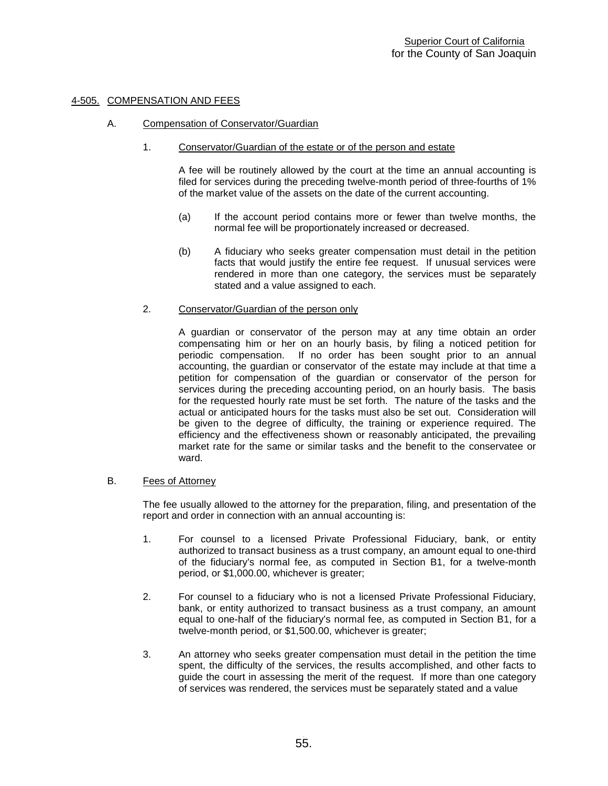## 4-505. COMPENSATION AND FEES

## A. Compensation of Conservator/Guardian

#### 1. Conservator/Guardian of the estate or of the person and estate

A fee will be routinely allowed by the court at the time an annual accounting is filed for services during the preceding twelve-month period of three-fourths of 1% of the market value of the assets on the date of the current accounting.

- (a) If the account period contains more or fewer than twelve months, the normal fee will be proportionately increased or decreased.
- (b) A fiduciary who seeks greater compensation must detail in the petition facts that would justify the entire fee request. If unusual services were rendered in more than one category, the services must be separately stated and a value assigned to each.

## 2. Conservator/Guardian of the person only

A guardian or conservator of the person may at any time obtain an order compensating him or her on an hourly basis, by filing a noticed petition for periodic compensation. If no order has been sought prior to an annual accounting, the guardian or conservator of the estate may include at that time a petition for compensation of the guardian or conservator of the person for services during the preceding accounting period, on an hourly basis. The basis for the requested hourly rate must be set forth. The nature of the tasks and the actual or anticipated hours for the tasks must also be set out. Consideration will be given to the degree of difficulty, the training or experience required. The efficiency and the effectiveness shown or reasonably anticipated, the prevailing market rate for the same or similar tasks and the benefit to the conservatee or ward.

## B. Fees of Attorney

The fee usually allowed to the attorney for the preparation, filing, and presentation of the report and order in connection with an annual accounting is:

- 1. For counsel to a licensed Private Professional Fiduciary, bank, or entity authorized to transact business as a trust company, an amount equal to one-third of the fiduciary's normal fee, as computed in Section B1, for a twelve-month period, or \$1,000.00, whichever is greater;
- 2. For counsel to a fiduciary who is not a licensed Private Professional Fiduciary, bank, or entity authorized to transact business as a trust company, an amount equal to one-half of the fiduciary's normal fee, as computed in Section B1, for a twelve-month period, or \$1,500.00, whichever is greater;
- 3. An attorney who seeks greater compensation must detail in the petition the time spent, the difficulty of the services, the results accomplished, and other facts to guide the court in assessing the merit of the request. If more than one category of services was rendered, the services must be separately stated and a value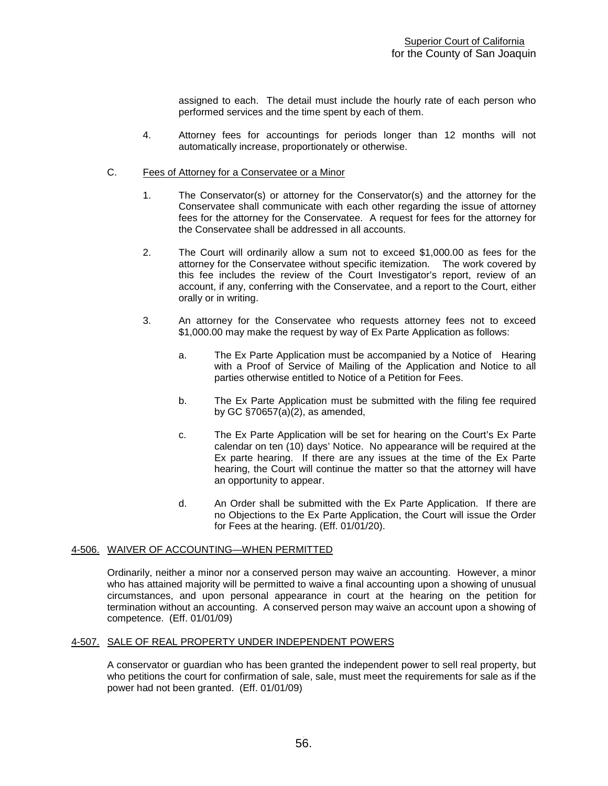assigned to each. The detail must include the hourly rate of each person who performed services and the time spent by each of them.

4. Attorney fees for accountings for periods longer than 12 months will not automatically increase, proportionately or otherwise.

## C. Fees of Attorney for a Conservatee or a Minor

- 1. The Conservator(s) or attorney for the Conservator(s) and the attorney for the Conservatee shall communicate with each other regarding the issue of attorney fees for the attorney for the Conservatee. A request for fees for the attorney for the Conservatee shall be addressed in all accounts.
- 2. The Court will ordinarily allow a sum not to exceed \$1,000.00 as fees for the attorney for the Conservatee without specific itemization. The work covered by this fee includes the review of the Court Investigator's report, review of an account, if any, conferring with the Conservatee, and a report to the Court, either orally or in writing.
- 3. An attorney for the Conservatee who requests attorney fees not to exceed \$1,000.00 may make the request by way of Ex Parte Application as follows:
	- a. The Ex Parte Application must be accompanied by a Notice of Hearing with a Proof of Service of Mailing of the Application and Notice to all parties otherwise entitled to Notice of a Petition for Fees.
	- b. The Ex Parte Application must be submitted with the filing fee required by GC §70657(a)(2), as amended,
	- c. The Ex Parte Application will be set for hearing on the Court's Ex Parte calendar on ten (10) days' Notice. No appearance will be required at the Ex parte hearing. If there are any issues at the time of the Ex Parte hearing, the Court will continue the matter so that the attorney will have an opportunity to appear.
	- d. An Order shall be submitted with the Ex Parte Application. If there are no Objections to the Ex Parte Application, the Court will issue the Order for Fees at the hearing. (Eff. 01/01/20).

## 4-506. WAIVER OF ACCOUNTING—WHEN PERMITTED

Ordinarily, neither a minor nor a conserved person may waive an accounting. However, a minor who has attained majority will be permitted to waive a final accounting upon a showing of unusual circumstances, and upon personal appearance in court at the hearing on the petition for termination without an accounting. A conserved person may waive an account upon a showing of competence. (Eff. 01/01/09)

## 4-507. SALE OF REAL PROPERTY UNDER INDEPENDENT POWERS

A conservator or guardian who has been granted the independent power to sell real property, but who petitions the court for confirmation of sale, sale, must meet the requirements for sale as if the power had not been granted. (Eff. 01/01/09)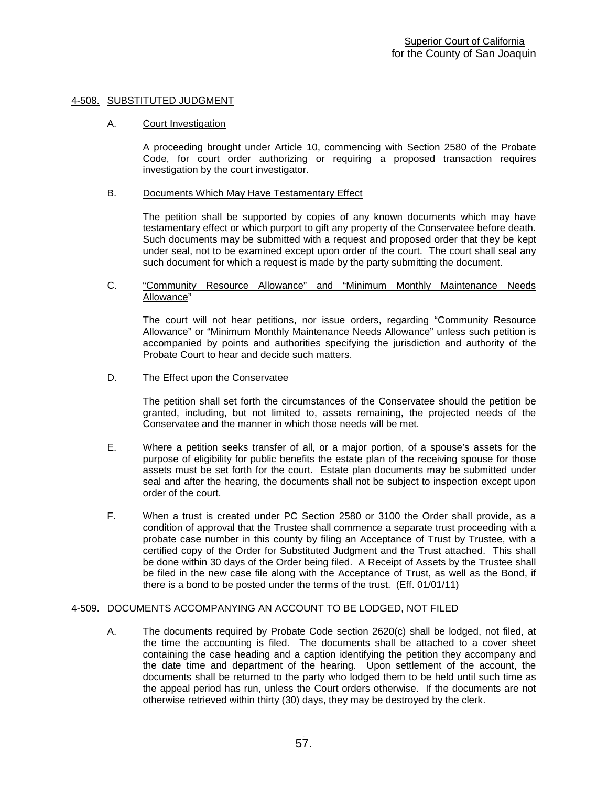## 4-508. SUBSTITUTED JUDGMENT

## A. Court Investigation

A proceeding brought under Article 10, commencing with Section 2580 of the Probate Code, for court order authorizing or requiring a proposed transaction requires investigation by the court investigator.

## B. Documents Which May Have Testamentary Effect

The petition shall be supported by copies of any known documents which may have testamentary effect or which purport to gift any property of the Conservatee before death. Such documents may be submitted with a request and proposed order that they be kept under seal, not to be examined except upon order of the court. The court shall seal any such document for which a request is made by the party submitting the document.

## C. "Community Resource Allowance" and "Minimum Monthly Maintenance Needs Allowance"

The court will not hear petitions, nor issue orders, regarding "Community Resource Allowance" or "Minimum Monthly Maintenance Needs Allowance" unless such petition is accompanied by points and authorities specifying the jurisdiction and authority of the Probate Court to hear and decide such matters.

## D. The Effect upon the Conservatee

The petition shall set forth the circumstances of the Conservatee should the petition be granted, including, but not limited to, assets remaining, the projected needs of the Conservatee and the manner in which those needs will be met.

- E. Where a petition seeks transfer of all, or a major portion, of a spouse's assets for the purpose of eligibility for public benefits the estate plan of the receiving spouse for those assets must be set forth for the court. Estate plan documents may be submitted under seal and after the hearing, the documents shall not be subject to inspection except upon order of the court.
- F. When a trust is created under PC Section 2580 or 3100 the Order shall provide, as a condition of approval that the Trustee shall commence a separate trust proceeding with a probate case number in this county by filing an Acceptance of Trust by Trustee, with a certified copy of the Order for Substituted Judgment and the Trust attached. This shall be done within 30 days of the Order being filed. A Receipt of Assets by the Trustee shall be filed in the new case file along with the Acceptance of Trust, as well as the Bond, if there is a bond to be posted under the terms of the trust. (Eff. 01/01/11)

## 4-509. DOCUMENTS ACCOMPANYING AN ACCOUNT TO BE LODGED, NOT FILED

A. The documents required by Probate Code section 2620(c) shall be lodged, not filed, at the time the accounting is filed. The documents shall be attached to a cover sheet containing the case heading and a caption identifying the petition they accompany and the date time and department of the hearing. Upon settlement of the account, the documents shall be returned to the party who lodged them to be held until such time as the appeal period has run, unless the Court orders otherwise. If the documents are not otherwise retrieved within thirty (30) days, they may be destroyed by the clerk.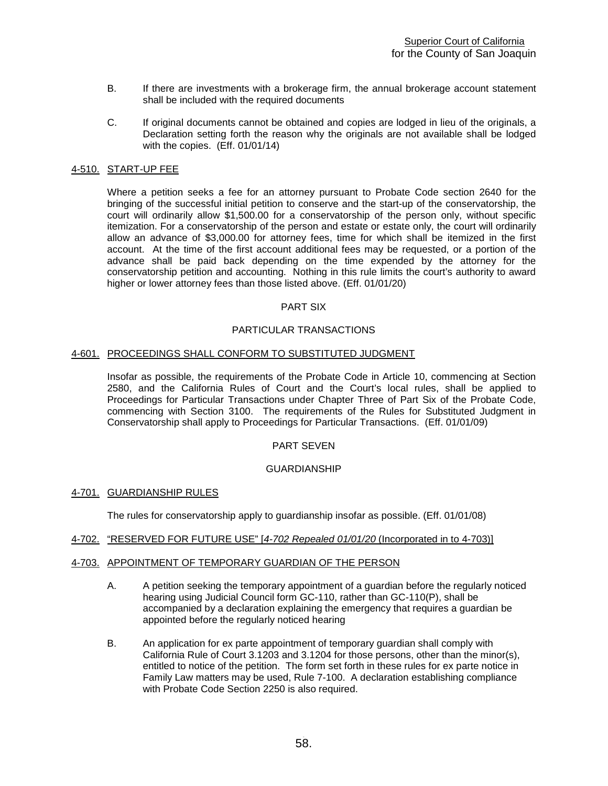- B. If there are investments with a brokerage firm, the annual brokerage account statement shall be included with the required documents
- C. If original documents cannot be obtained and copies are lodged in lieu of the originals, a Declaration setting forth the reason why the originals are not available shall be lodged with the copies. (Eff. 01/01/14)

## 4-510. START-UP FEE

Where a petition seeks a fee for an attorney pursuant to Probate Code section 2640 for the bringing of the successful initial petition to conserve and the start-up of the conservatorship, the court will ordinarily allow \$1,500.00 for a conservatorship of the person only, without specific itemization. For a conservatorship of the person and estate or estate only, the court will ordinarily allow an advance of \$3,000.00 for attorney fees, time for which shall be itemized in the first account. At the time of the first account additional fees may be requested, or a portion of the advance shall be paid back depending on the time expended by the attorney for the conservatorship petition and accounting. Nothing in this rule limits the court's authority to award higher or lower attorney fees than those listed above. (Eff. 01/01/20)

#### PART SIX

## PARTICULAR TRANSACTIONS

## 4-601. PROCEEDINGS SHALL CONFORM TO SUBSTITUTED JUDGMENT

Insofar as possible, the requirements of the Probate Code in Article 10, commencing at Section 2580, and the California Rules of Court and the Court's local rules, shall be applied to Proceedings for Particular Transactions under Chapter Three of Part Six of the Probate Code, commencing with Section 3100. The requirements of the Rules for Substituted Judgment in Conservatorship shall apply to Proceedings for Particular Transactions. (Eff. 01/01/09)

## PART SEVEN

## GUARDIANSHIP

## 4-701. GUARDIANSHIP RULES

The rules for conservatorship apply to guardianship insofar as possible. (Eff. 01/01/08)

## 4-702. "RESERVED FOR FUTURE USE" [*4-702 Repealed 01/01/20* (Incorporated in to 4-703)]

## 4-703. APPOINTMENT OF TEMPORARY GUARDIAN OF THE PERSON

- A. A petition seeking the temporary appointment of a guardian before the regularly noticed hearing using Judicial Council form GC-110, rather than GC-110(P), shall be accompanied by a declaration explaining the emergency that requires a guardian be appointed before the regularly noticed hearing
- B. An application for ex parte appointment of temporary guardian shall comply with California Rule of Court 3.1203 and 3.1204 for those persons, other than the minor(s), entitled to notice of the petition. The form set forth in these rules for ex parte notice in Family Law matters may be used, Rule 7-100. A declaration establishing compliance with Probate Code Section 2250 is also required.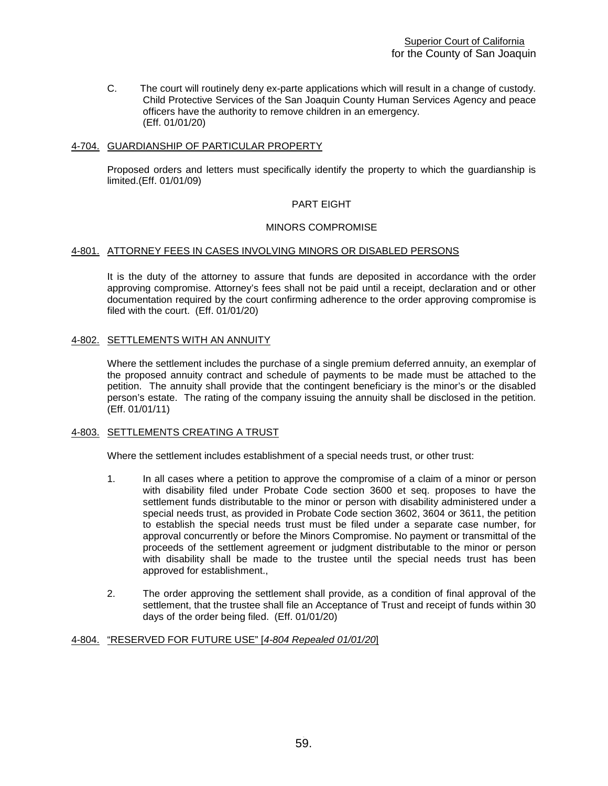C. The court will routinely deny ex-parte applications which will result in a change of custody. Child Protective Services of the San Joaquin County Human Services Agency and peace officers have the authority to remove children in an emergency. (Eff. 01/01/20)

## 4-704. GUARDIANSHIP OF PARTICULAR PROPERTY

Proposed orders and letters must specifically identify the property to which the guardianship is limited.(Eff. 01/01/09)

## PART EIGHT

## MINORS COMPROMISE

## 4-801. ATTORNEY FEES IN CASES INVOLVING MINORS OR DISABLED PERSONS

It is the duty of the attorney to assure that funds are deposited in accordance with the order approving compromise. Attorney's fees shall not be paid until a receipt, declaration and or other documentation required by the court confirming adherence to the order approving compromise is filed with the court. (Eff. 01/01/20)

## 4-802. SETTLEMENTS WITH AN ANNUITY

Where the settlement includes the purchase of a single premium deferred annuity, an exemplar of the proposed annuity contract and schedule of payments to be made must be attached to the petition. The annuity shall provide that the contingent beneficiary is the minor's or the disabled person's estate. The rating of the company issuing the annuity shall be disclosed in the petition. (Eff. 01/01/11)

## 4-803. SETTLEMENTS CREATING A TRUST

Where the settlement includes establishment of a special needs trust, or other trust:

- 1. In all cases where a petition to approve the compromise of a claim of a minor or person with disability filed under Probate Code section 3600 et seq. proposes to have the settlement funds distributable to the minor or person with disability administered under a special needs trust, as provided in Probate Code section 3602, 3604 or 3611, the petition to establish the special needs trust must be filed under a separate case number, for approval concurrently or before the Minors Compromise. No payment or transmittal of the proceeds of the settlement agreement or judgment distributable to the minor or person with disability shall be made to the trustee until the special needs trust has been approved for establishment.,
- 2. The order approving the settlement shall provide, as a condition of final approval of the settlement, that the trustee shall file an Acceptance of Trust and receipt of funds within 30 days of the order being filed. (Eff. 01/01/20)

## 4-804. "RESERVED FOR FUTURE USE" [*4-804 Repealed 01/01/20*]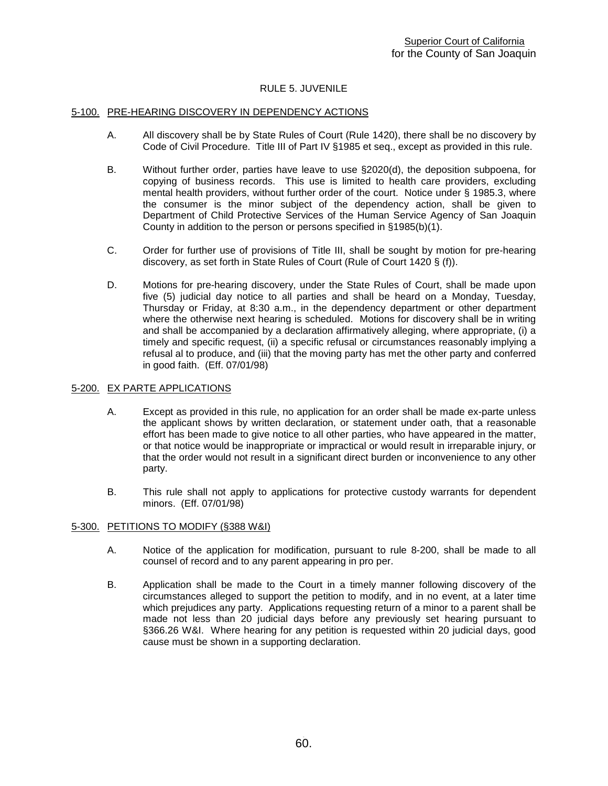## RULE 5. JUVENILE

## 5-100. PRE-HEARING DISCOVERY IN DEPENDENCY ACTIONS

- A. All discovery shall be by State Rules of Court (Rule 1420), there shall be no discovery by Code of Civil Procedure. Title III of Part IV §1985 et seq., except as provided in this rule.
- B. Without further order, parties have leave to use §2020(d), the deposition subpoena, for copying of business records. This use is limited to health care providers, excluding mental health providers, without further order of the court. Notice under § 1985.3, where the consumer is the minor subject of the dependency action, shall be given to Department of Child Protective Services of the Human Service Agency of San Joaquin County in addition to the person or persons specified in §1985(b)(1).
- C. Order for further use of provisions of Title III, shall be sought by motion for pre-hearing discovery, as set forth in State Rules of Court (Rule of Court 1420 § (f)).
- D. Motions for pre-hearing discovery, under the State Rules of Court, shall be made upon five (5) judicial day notice to all parties and shall be heard on a Monday, Tuesday, Thursday or Friday, at 8:30 a.m., in the dependency department or other department where the otherwise next hearing is scheduled. Motions for discovery shall be in writing and shall be accompanied by a declaration affirmatively alleging, where appropriate, (i) a timely and specific request, (ii) a specific refusal or circumstances reasonably implying a refusal al to produce, and (iii) that the moving party has met the other party and conferred in good faith. (Eff. 07/01/98)

## 5-200. EX PARTE APPLICATIONS

- A. Except as provided in this rule, no application for an order shall be made ex-parte unless the applicant shows by written declaration, or statement under oath, that a reasonable effort has been made to give notice to all other parties, who have appeared in the matter, or that notice would be inappropriate or impractical or would result in irreparable injury, or that the order would not result in a significant direct burden or inconvenience to any other party.
- B. This rule shall not apply to applications for protective custody warrants for dependent minors. (Eff. 07/01/98)

## 5-300. PETITIONS TO MODIFY (§388 W&I)

- A. Notice of the application for modification, pursuant to rule 8-200, shall be made to all counsel of record and to any parent appearing in pro per.
- B. Application shall be made to the Court in a timely manner following discovery of the circumstances alleged to support the petition to modify, and in no event, at a later time which prejudices any party. Applications requesting return of a minor to a parent shall be made not less than 20 judicial days before any previously set hearing pursuant to §366.26 W&I. Where hearing for any petition is requested within 20 judicial days, good cause must be shown in a supporting declaration.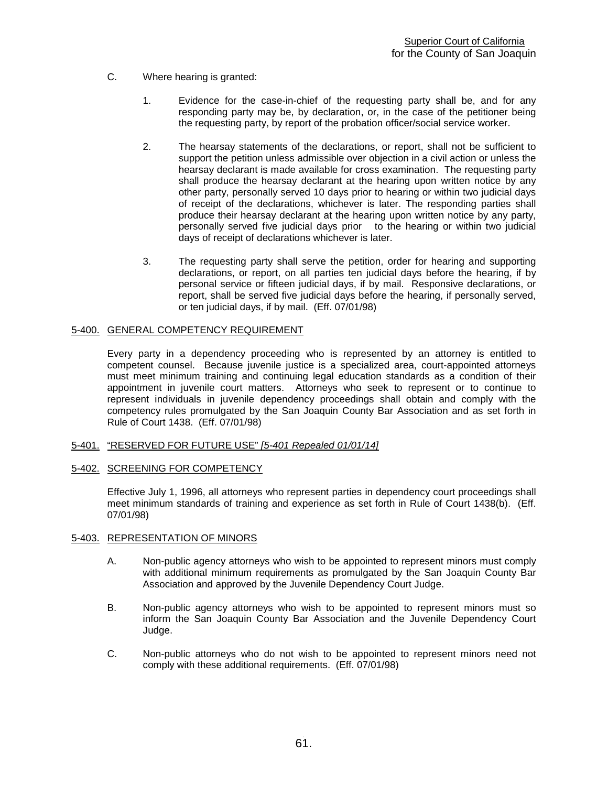- C. Where hearing is granted:
	- 1. Evidence for the case-in-chief of the requesting party shall be, and for any responding party may be, by declaration, or, in the case of the petitioner being the requesting party, by report of the probation officer/social service worker.
	- 2. The hearsay statements of the declarations, or report, shall not be sufficient to support the petition unless admissible over objection in a civil action or unless the hearsay declarant is made available for cross examination. The requesting party shall produce the hearsay declarant at the hearing upon written notice by any other party, personally served 10 days prior to hearing or within two judicial days of receipt of the declarations, whichever is later. The responding parties shall produce their hearsay declarant at the hearing upon written notice by any party, personally served five judicial days prior to the hearing or within two judicial days of receipt of declarations whichever is later.
	- 3. The requesting party shall serve the petition, order for hearing and supporting declarations, or report, on all parties ten judicial days before the hearing, if by personal service or fifteen judicial days, if by mail. Responsive declarations, or report, shall be served five judicial days before the hearing, if personally served, or ten judicial days, if by mail. (Eff. 07/01/98)

## 5-400. GENERAL COMPETENCY REQUIREMENT

Every party in a dependency proceeding who is represented by an attorney is entitled to competent counsel. Because juvenile justice is a specialized area, court-appointed attorneys must meet minimum training and continuing legal education standards as a condition of their appointment in juvenile court matters. Attorneys who seek to represent or to continue to represent individuals in juvenile dependency proceedings shall obtain and comply with the competency rules promulgated by the San Joaquin County Bar Association and as set forth in Rule of Court 1438. (Eff. 07/01/98)

## 5-401. "RESERVED FOR FUTURE USE" *[5-401 Repealed 01/01/14]*

5-402. SCREENING FOR COMPETENCY

Effective July 1, 1996, all attorneys who represent parties in dependency court proceedings shall meet minimum standards of training and experience as set forth in Rule of Court 1438(b). (Eff. 07/01/98)

## 5-403. REPRESENTATION OF MINORS

- A. Non-public agency attorneys who wish to be appointed to represent minors must comply with additional minimum requirements as promulgated by the San Joaquin County Bar Association and approved by the Juvenile Dependency Court Judge.
- B. Non-public agency attorneys who wish to be appointed to represent minors must so inform the San Joaquin County Bar Association and the Juvenile Dependency Court Judge.
- C. Non-public attorneys who do not wish to be appointed to represent minors need not comply with these additional requirements. (Eff. 07/01/98)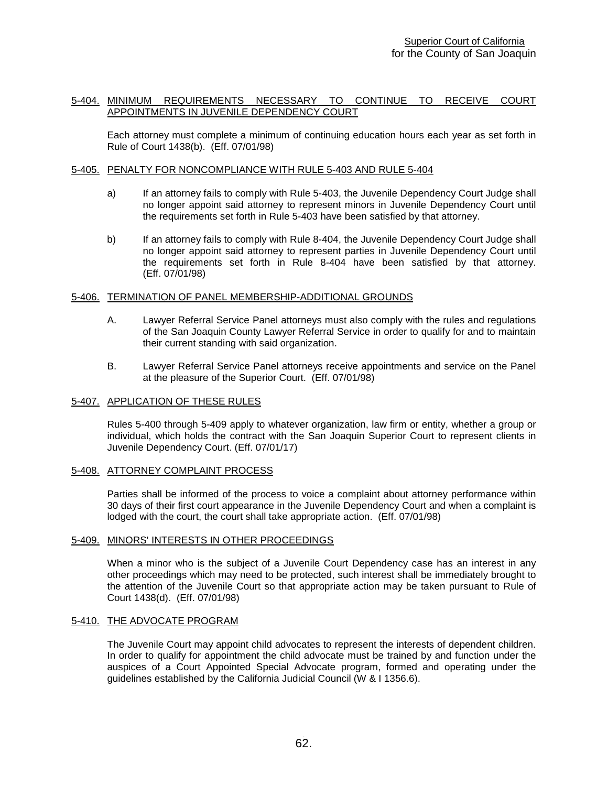## 5-404. MINIMUM REQUIREMENTS NECESSARY TO CONTINUE TO RECEIVE COURT APPOINTMENTS IN JUVENILE DEPENDENCY COURT

Each attorney must complete a minimum of continuing education hours each year as set forth in Rule of Court 1438(b). (Eff. 07/01/98)

## 5-405. PENALTY FOR NONCOMPLIANCE WITH RULE 5-403 AND RULE 5-404

- a) If an attorney fails to comply with Rule 5-403, the Juvenile Dependency Court Judge shall no longer appoint said attorney to represent minors in Juvenile Dependency Court until the requirements set forth in Rule 5-403 have been satisfied by that attorney.
- b) If an attorney fails to comply with Rule 8-404, the Juvenile Dependency Court Judge shall no longer appoint said attorney to represent parties in Juvenile Dependency Court until the requirements set forth in Rule 8-404 have been satisfied by that attorney. (Eff. 07/01/98)

#### 5-406. TERMINATION OF PANEL MEMBERSHIP-ADDITIONAL GROUNDS

- A. Lawyer Referral Service Panel attorneys must also comply with the rules and regulations of the San Joaquin County Lawyer Referral Service in order to qualify for and to maintain their current standing with said organization.
- B. Lawyer Referral Service Panel attorneys receive appointments and service on the Panel at the pleasure of the Superior Court. (Eff. 07/01/98)

## 5-407. APPLICATION OF THESE RULES

Rules 5-400 through 5-409 apply to whatever organization, law firm or entity, whether a group or individual, which holds the contract with the San Joaquin Superior Court to represent clients in Juvenile Dependency Court. (Eff. 07/01/17)

#### 5-408. ATTORNEY COMPLAINT PROCESS

Parties shall be informed of the process to voice a complaint about attorney performance within 30 days of their first court appearance in the Juvenile Dependency Court and when a complaint is lodged with the court, the court shall take appropriate action. (Eff. 07/01/98)

## 5-409. MINORS' INTERESTS IN OTHER PROCEEDINGS

When a minor who is the subject of a Juvenile Court Dependency case has an interest in any other proceedings which may need to be protected, such interest shall be immediately brought to the attention of the Juvenile Court so that appropriate action may be taken pursuant to Rule of Court 1438(d). (Eff. 07/01/98)

#### 5-410. THE ADVOCATE PROGRAM

The Juvenile Court may appoint child advocates to represent the interests of dependent children. In order to qualify for appointment the child advocate must be trained by and function under the auspices of a Court Appointed Special Advocate program, formed and operating under the guidelines established by the California Judicial Council (W & I 1356.6).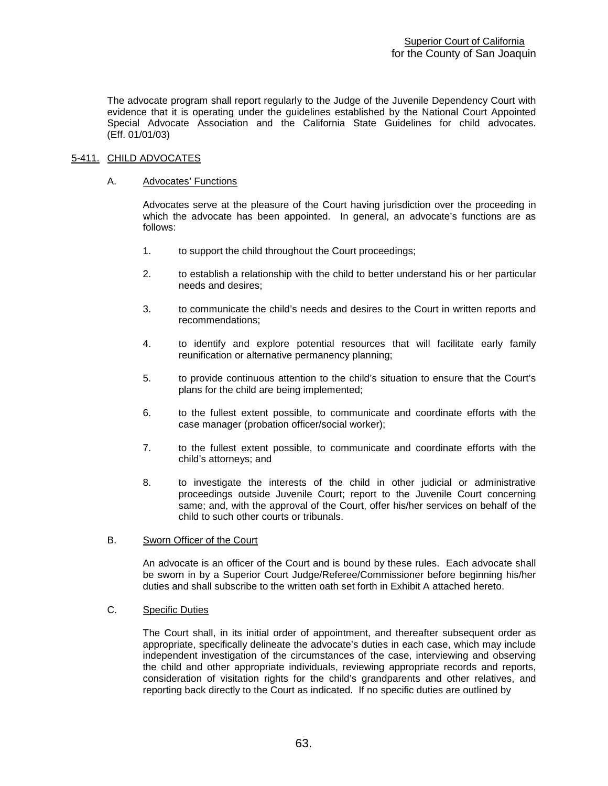The advocate program shall report regularly to the Judge of the Juvenile Dependency Court with evidence that it is operating under the guidelines established by the National Court Appointed Special Advocate Association and the California State Guidelines for child advocates. (Eff. 01/01/03)

## 5-411. CHILD ADVOCATES

## A. Advocates' Functions

Advocates serve at the pleasure of the Court having jurisdiction over the proceeding in which the advocate has been appointed. In general, an advocate's functions are as follows:

- 1. to support the child throughout the Court proceedings;
- 2. to establish a relationship with the child to better understand his or her particular needs and desires;
- 3. to communicate the child's needs and desires to the Court in written reports and recommendations;
- 4. to identify and explore potential resources that will facilitate early family reunification or alternative permanency planning;
- 5. to provide continuous attention to the child's situation to ensure that the Court's plans for the child are being implemented;
- 6. to the fullest extent possible, to communicate and coordinate efforts with the case manager (probation officer/social worker);
- 7. to the fullest extent possible, to communicate and coordinate efforts with the child's attorneys; and
- 8. to investigate the interests of the child in other judicial or administrative proceedings outside Juvenile Court; report to the Juvenile Court concerning same; and, with the approval of the Court, offer his/her services on behalf of the child to such other courts or tribunals.

## B. Sworn Officer of the Court

An advocate is an officer of the Court and is bound by these rules. Each advocate shall be sworn in by a Superior Court Judge/Referee/Commissioner before beginning his/her duties and shall subscribe to the written oath set forth in Exhibit A attached hereto.

## C. Specific Duties

The Court shall, in its initial order of appointment, and thereafter subsequent order as appropriate, specifically delineate the advocate's duties in each case, which may include independent investigation of the circumstances of the case, interviewing and observing the child and other appropriate individuals, reviewing appropriate records and reports, consideration of visitation rights for the child's grandparents and other relatives, and reporting back directly to the Court as indicated. If no specific duties are outlined by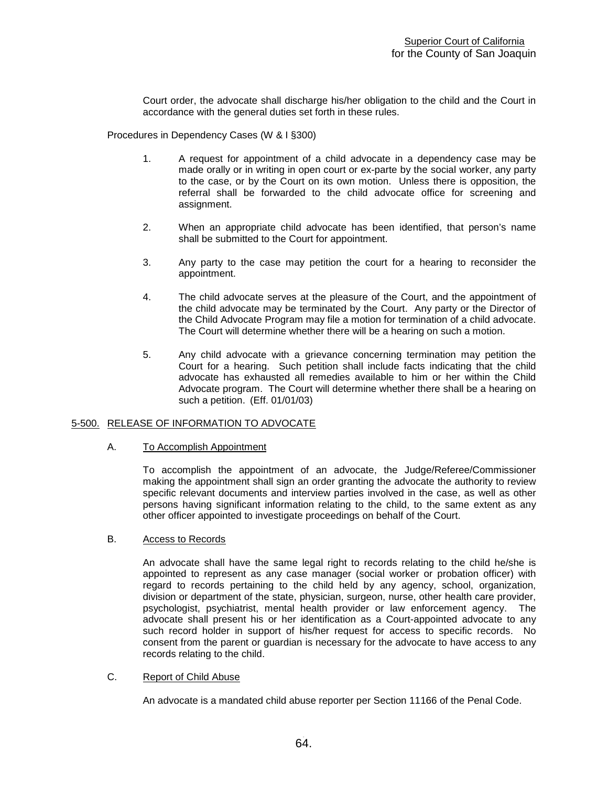Court order, the advocate shall discharge his/her obligation to the child and the Court in accordance with the general duties set forth in these rules.

Procedures in Dependency Cases (W & I §300)

- 1. A request for appointment of a child advocate in a dependency case may be made orally or in writing in open court or ex-parte by the social worker, any party to the case, or by the Court on its own motion. Unless there is opposition, the referral shall be forwarded to the child advocate office for screening and assignment.
- 2. When an appropriate child advocate has been identified, that person's name shall be submitted to the Court for appointment.
- 3. Any party to the case may petition the court for a hearing to reconsider the appointment.
- 4. The child advocate serves at the pleasure of the Court, and the appointment of the child advocate may be terminated by the Court. Any party or the Director of the Child Advocate Program may file a motion for termination of a child advocate. The Court will determine whether there will be a hearing on such a motion.
- 5. Any child advocate with a grievance concerning termination may petition the Court for a hearing. Such petition shall include facts indicating that the child advocate has exhausted all remedies available to him or her within the Child Advocate program. The Court will determine whether there shall be a hearing on such a petition. (Eff. 01/01/03)

## 5-500. RELEASE OF INFORMATION TO ADVOCATE

## A. To Accomplish Appointment

To accomplish the appointment of an advocate, the Judge/Referee/Commissioner making the appointment shall sign an order granting the advocate the authority to review specific relevant documents and interview parties involved in the case, as well as other persons having significant information relating to the child, to the same extent as any other officer appointed to investigate proceedings on behalf of the Court.

## B. Access to Records

An advocate shall have the same legal right to records relating to the child he/she is appointed to represent as any case manager (social worker or probation officer) with regard to records pertaining to the child held by any agency, school, organization, division or department of the state, physician, surgeon, nurse, other health care provider, psychologist, psychiatrist, mental health provider or law enforcement agency. The advocate shall present his or her identification as a Court-appointed advocate to any such record holder in support of his/her request for access to specific records. No consent from the parent or guardian is necessary for the advocate to have access to any records relating to the child.

## C. Report of Child Abuse

An advocate is a mandated child abuse reporter per Section 11166 of the Penal Code.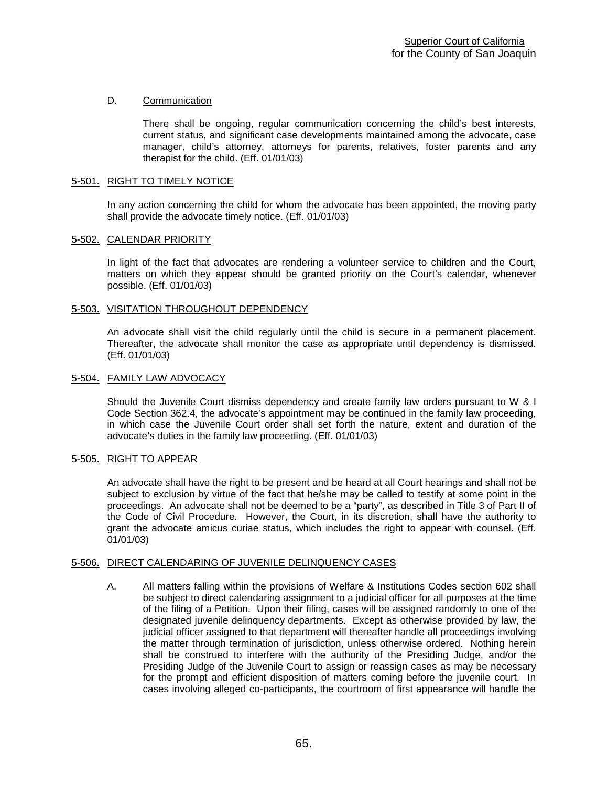## D. Communication

There shall be ongoing, regular communication concerning the child's best interests, current status, and significant case developments maintained among the advocate, case manager, child's attorney, attorneys for parents, relatives, foster parents and any therapist for the child. (Eff. 01/01/03)

## 5-501. RIGHT TO TIMELY NOTICE

In any action concerning the child for whom the advocate has been appointed, the moving party shall provide the advocate timely notice. (Eff. 01/01/03)

## 5-502. CALENDAR PRIORITY

In light of the fact that advocates are rendering a volunteer service to children and the Court, matters on which they appear should be granted priority on the Court's calendar, whenever possible. (Eff. 01/01/03)

#### 5-503. VISITATION THROUGHOUT DEPENDENCY

An advocate shall visit the child regularly until the child is secure in a permanent placement. Thereafter, the advocate shall monitor the case as appropriate until dependency is dismissed. (Eff. 01/01/03)

#### 5-504. FAMILY LAW ADVOCACY

Should the Juvenile Court dismiss dependency and create family law orders pursuant to W & I Code Section 362.4, the advocate's appointment may be continued in the family law proceeding, in which case the Juvenile Court order shall set forth the nature, extent and duration of the advocate's duties in the family law proceeding. (Eff. 01/01/03)

## 5-505. RIGHT TO APPEAR

An advocate shall have the right to be present and be heard at all Court hearings and shall not be subject to exclusion by virtue of the fact that he/she may be called to testify at some point in the proceedings. An advocate shall not be deemed to be a "party", as described in Title 3 of Part II of the Code of Civil Procedure. However, the Court, in its discretion, shall have the authority to grant the advocate amicus curiae status, which includes the right to appear with counsel. (Eff. 01/01/03)

## 5-506. DIRECT CALENDARING OF JUVENILE DELINQUENCY CASES

A. All matters falling within the provisions of Welfare & Institutions Codes section 602 shall be subject to direct calendaring assignment to a judicial officer for all purposes at the time of the filing of a Petition. Upon their filing, cases will be assigned randomly to one of the designated juvenile delinquency departments. Except as otherwise provided by law, the judicial officer assigned to that department will thereafter handle all proceedings involving the matter through termination of jurisdiction, unless otherwise ordered. Nothing herein shall be construed to interfere with the authority of the Presiding Judge, and/or the Presiding Judge of the Juvenile Court to assign or reassign cases as may be necessary for the prompt and efficient disposition of matters coming before the juvenile court. In cases involving alleged co-participants, the courtroom of first appearance will handle the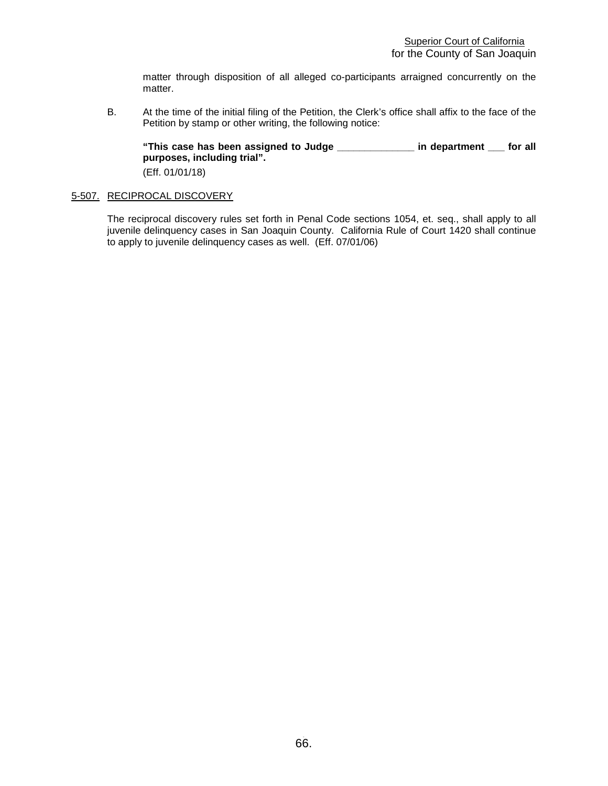matter through disposition of all alleged co-participants arraigned concurrently on the matter.

B. At the time of the initial filing of the Petition, the Clerk's office shall affix to the face of the Petition by stamp or other writing, the following notice:

**"This case has been assigned to Judge \_\_\_\_\_\_\_\_\_\_\_\_\_\_ in department \_\_\_ for all purposes, including trial".** (Eff. 01/01/18)

## 5-507. RECIPROCAL DISCOVERY

The reciprocal discovery rules set forth in Penal Code sections 1054, et. seq., shall apply to all juvenile delinquency cases in San Joaquin County. California Rule of Court 1420 shall continue to apply to juvenile delinquency cases as well. (Eff. 07/01/06)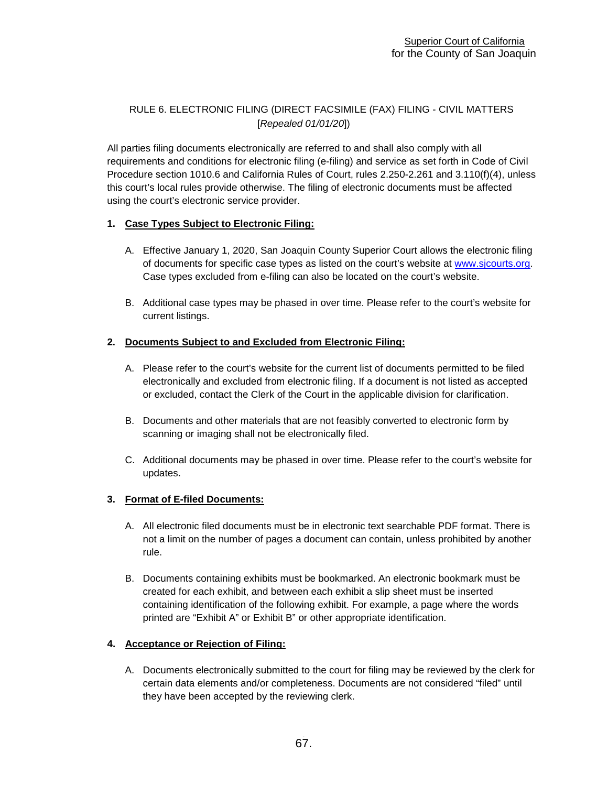# RULE 6. ELECTRONIC FILING (DIRECT FACSIMILE (FAX) FILING - CIVIL MATTERS [*Repealed 01/01/20*])

All parties filing documents electronically are referred to and shall also comply with all requirements and conditions for electronic filing (e-filing) and service as set forth in Code of Civil Procedure section 1010.6 and California Rules of Court, rules 2.250-2.261 and 3.110(f)(4), unless this court's local rules provide otherwise. The filing of electronic documents must be affected using the court's electronic service provider.

# **1. Case Types Subject to Electronic Filing:**

- A. Effective January 1, 2020, San Joaquin County Superior Court allows the electronic filing of documents for specific case types as listed on the court's website at [www.sjcourts.org.](http://www.sjcourts.org/) Case types excluded from e-filing can also be located on the court's website.
- B. Additional case types may be phased in over time. Please refer to the court's website for current listings.

# **2. Documents Subject to and Excluded from Electronic Filing:**

- A. Please refer to the court's website for the current list of documents permitted to be filed electronically and excluded from electronic filing. If a document is not listed as accepted or excluded, contact the Clerk of the Court in the applicable division for clarification.
- B. Documents and other materials that are not feasibly converted to electronic form by scanning or imaging shall not be electronically filed.
- C. Additional documents may be phased in over time. Please refer to the court's website for updates.

## **3. Format of E-filed Documents:**

- A. All electronic filed documents must be in electronic text searchable PDF format. There is not a limit on the number of pages a document can contain, unless prohibited by another rule.
- B. Documents containing exhibits must be bookmarked. An electronic bookmark must be created for each exhibit, and between each exhibit a slip sheet must be inserted containing identification of the following exhibit. For example, a page where the words printed are "Exhibit A" or Exhibit B" or other appropriate identification.

## **4. Acceptance or Rejection of Filing:**

A. Documents electronically submitted to the court for filing may be reviewed by the clerk for certain data elements and/or completeness. Documents are not considered "filed" until they have been accepted by the reviewing clerk.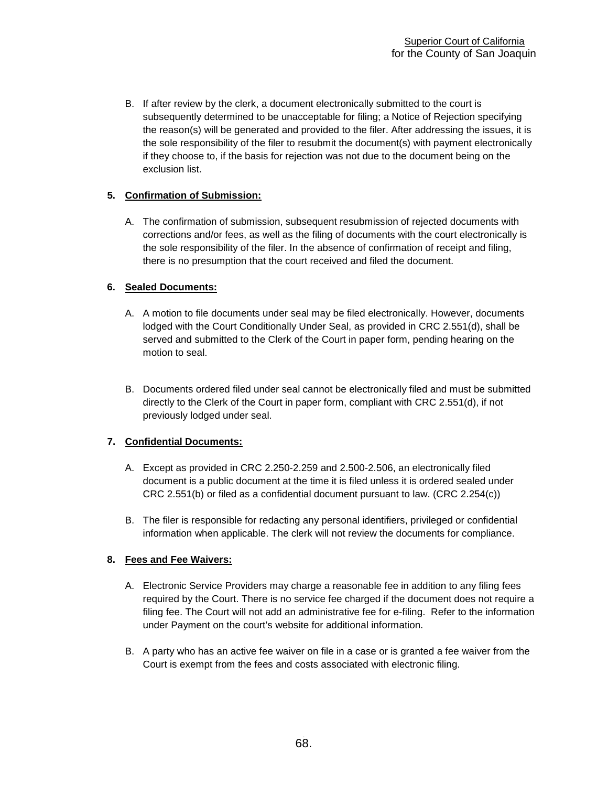B. If after review by the clerk, a document electronically submitted to the court is subsequently determined to be unacceptable for filing; a Notice of Rejection specifying the reason(s) will be generated and provided to the filer. After addressing the issues, it is the sole responsibility of the filer to resubmit the document(s) with payment electronically if they choose to, if the basis for rejection was not due to the document being on the exclusion list.

# **5. Confirmation of Submission:**

A. The confirmation of submission, subsequent resubmission of rejected documents with corrections and/or fees, as well as the filing of documents with the court electronically is the sole responsibility of the filer. In the absence of confirmation of receipt and filing, there is no presumption that the court received and filed the document.

# **6. Sealed Documents:**

- A. A motion to file documents under seal may be filed electronically. However, documents lodged with the Court Conditionally Under Seal, as provided in CRC 2.551(d), shall be served and submitted to the Clerk of the Court in paper form, pending hearing on the motion to seal.
- B. Documents ordered filed under seal cannot be electronically filed and must be submitted directly to the Clerk of the Court in paper form, compliant with CRC 2.551(d), if not previously lodged under seal.

# **7. Confidential Documents:**

- A. Except as provided in CRC 2.250-2.259 and 2.500-2.506, an electronically filed document is a public document at the time it is filed unless it is ordered sealed under CRC 2.551(b) or filed as a confidential document pursuant to law. (CRC 2.254(c))
- B. The filer is responsible for redacting any personal identifiers, privileged or confidential information when applicable. The clerk will not review the documents for compliance.

# **8. Fees and Fee Waivers:**

- A. Electronic Service Providers may charge a reasonable fee in addition to any filing fees required by the Court. There is no service fee charged if the document does not require a filing fee. The Court will not add an administrative fee for e-filing. Refer to the information under Payment on the court's website for additional information.
- B. A party who has an active fee waiver on file in a case or is granted a fee waiver from the Court is exempt from the fees and costs associated with electronic filing.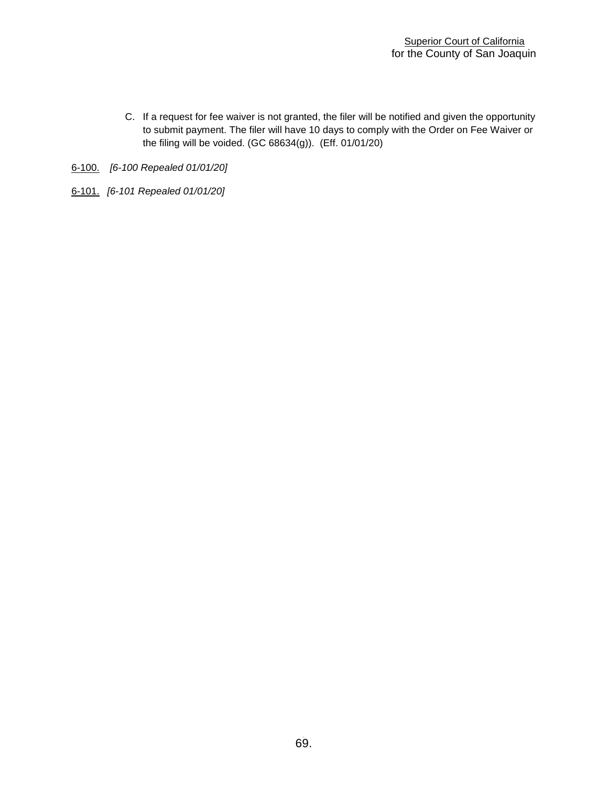- C. If a request for fee waiver is not granted, the filer will be notified and given the opportunity to submit payment. The filer will have 10 days to comply with the Order on Fee Waiver or the filing will be voided. (GC 68634(g)). (Eff. 01/01/20)
- 6-100. *[6-100 Repealed 01/01/20]*
- 6-101. *[6-101 Repealed 01/01/20]*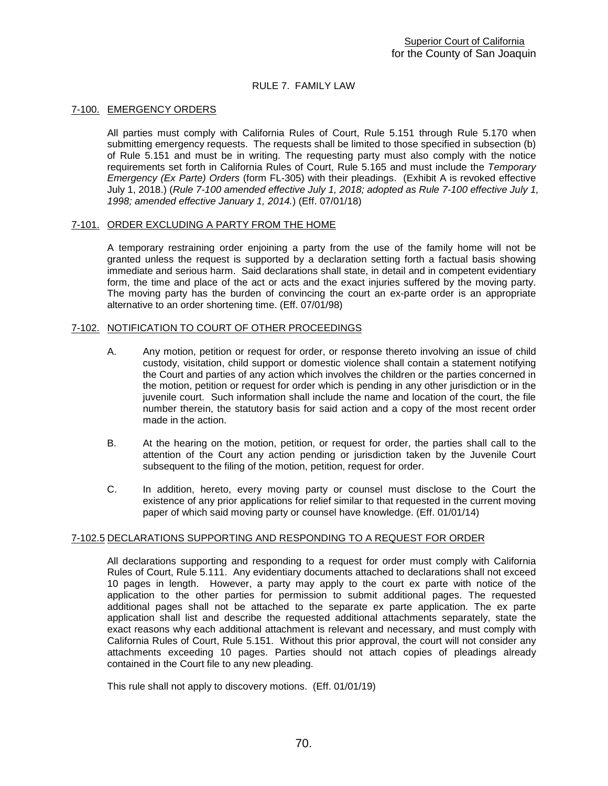## RULE 7. FAMILY LAW

#### 7-100. EMERGENCY ORDERS

All parties must comply with California Rules of Court, Rule 5.151 through Rule 5.170 when submitting emergency requests. The requests shall be limited to those specified in subsection (b) of Rule 5.151 and must be in writing. The requesting party must also comply with the notice requirements set forth in California Rules of Court, Rule 5.165 and must include the *Temporary Emergency (Ex Parte) Orders* (form FL-305) with their pleadings. (Exhibit A is revoked effective July 1, 2018.) (*Rule 7-100 amended effective July 1, 2018; adopted as Rule 7-100 effective July 1, 1998; amended effective January 1, 2014.*) (Eff. 07/01/18)

## 7-101. ORDER EXCLUDING A PARTY FROM THE HOME

A temporary restraining order enjoining a party from the use of the family home will not be granted unless the request is supported by a declaration setting forth a factual basis showing immediate and serious harm. Said declarations shall state, in detail and in competent evidentiary form, the time and place of the act or acts and the exact injuries suffered by the moving party. The moving party has the burden of convincing the court an ex-parte order is an appropriate alternative to an order shortening time. (Eff. 07/01/98)

## 7-102. NOTIFICATION TO COURT OF OTHER PROCEEDINGS

- A. Any motion, petition or request for order, or response thereto involving an issue of child custody, visitation, child support or domestic violence shall contain a statement notifying the Court and parties of any action which involves the children or the parties concerned in the motion, petition or request for order which is pending in any other jurisdiction or in the juvenile court. Such information shall include the name and location of the court, the file number therein, the statutory basis for said action and a copy of the most recent order made in the action.
- B. At the hearing on the motion, petition, or request for order, the parties shall call to the attention of the Court any action pending or jurisdiction taken by the Juvenile Court subsequent to the filing of the motion, petition, request for order.
- C. In addition, hereto, every moving party or counsel must disclose to the Court the existence of any prior applications for relief similar to that requested in the current moving paper of which said moving party or counsel have knowledge. (Eff. 01/01/14)

## 7-102.5 DECLARATIONS SUPPORTING AND RESPONDING TO A REQUEST FOR ORDER

All declarations supporting and responding to a request for order must comply with California Rules of Court, Rule 5.111. Any evidentiary documents attached to declarations shall not exceed 10 pages in length. However, a party may apply to the court ex parte with notice of the application to the other parties for permission to submit additional pages. The requested additional pages shall not be attached to the separate ex parte application. The ex parte application shall list and describe the requested additional attachments separately, state the exact reasons why each additional attachment is relevant and necessary, and must comply with California Rules of Court, Rule 5.151. Without this prior approval, the court will not consider any attachments exceeding 10 pages. Parties should not attach copies of pleadings already contained in the Court file to any new pleading.

This rule shall not apply to discovery motions. (Eff. 01/01/19)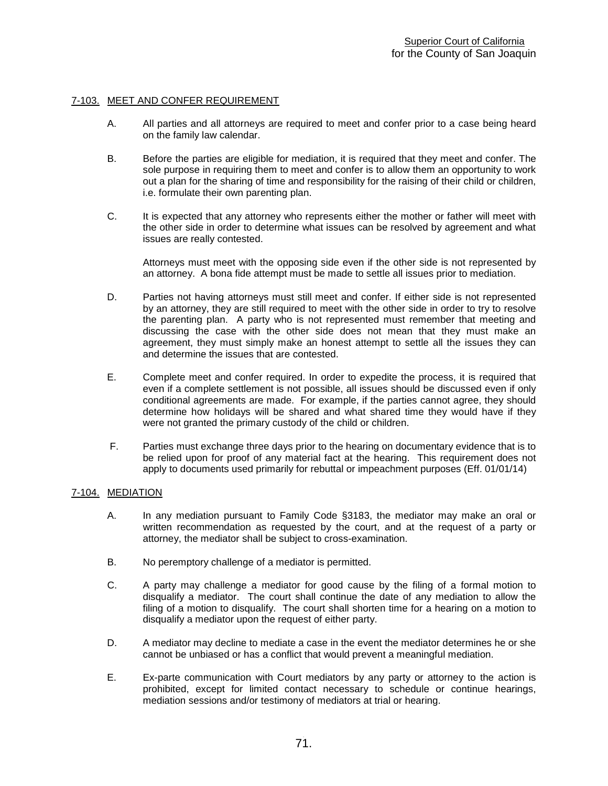## 7-103. MEET AND CONFER REQUIREMENT

- A. All parties and all attorneys are required to meet and confer prior to a case being heard on the family law calendar.
- B. Before the parties are eligible for mediation, it is required that they meet and confer. The sole purpose in requiring them to meet and confer is to allow them an opportunity to work out a plan for the sharing of time and responsibility for the raising of their child or children, i.e. formulate their own parenting plan.
- C. It is expected that any attorney who represents either the mother or father will meet with the other side in order to determine what issues can be resolved by agreement and what issues are really contested.

Attorneys must meet with the opposing side even if the other side is not represented by an attorney. A bona fide attempt must be made to settle all issues prior to mediation.

- D. Parties not having attorneys must still meet and confer. If either side is not represented by an attorney, they are still required to meet with the other side in order to try to resolve the parenting plan. A party who is not represented must remember that meeting and discussing the case with the other side does not mean that they must make an agreement, they must simply make an honest attempt to settle all the issues they can and determine the issues that are contested.
- E. Complete meet and confer required. In order to expedite the process, it is required that even if a complete settlement is not possible, all issues should be discussed even if only conditional agreements are made. For example, if the parties cannot agree, they should determine how holidays will be shared and what shared time they would have if they were not granted the primary custody of the child or children.
- F. Parties must exchange three days prior to the hearing on documentary evidence that is to be relied upon for proof of any material fact at the hearing. This requirement does not apply to documents used primarily for rebuttal or impeachment purposes (Eff. 01/01/14)

## 7-104. MEDIATION

- A. In any mediation pursuant to Family Code §3183, the mediator may make an oral or written recommendation as requested by the court, and at the request of a party or attorney, the mediator shall be subject to cross-examination.
- B. No peremptory challenge of a mediator is permitted.
- C. A party may challenge a mediator for good cause by the filing of a formal motion to disqualify a mediator. The court shall continue the date of any mediation to allow the filing of a motion to disqualify. The court shall shorten time for a hearing on a motion to disqualify a mediator upon the request of either party.
- D. A mediator may decline to mediate a case in the event the mediator determines he or she cannot be unbiased or has a conflict that would prevent a meaningful mediation.
- E. Ex-parte communication with Court mediators by any party or attorney to the action is prohibited, except for limited contact necessary to schedule or continue hearings, mediation sessions and/or testimony of mediators at trial or hearing.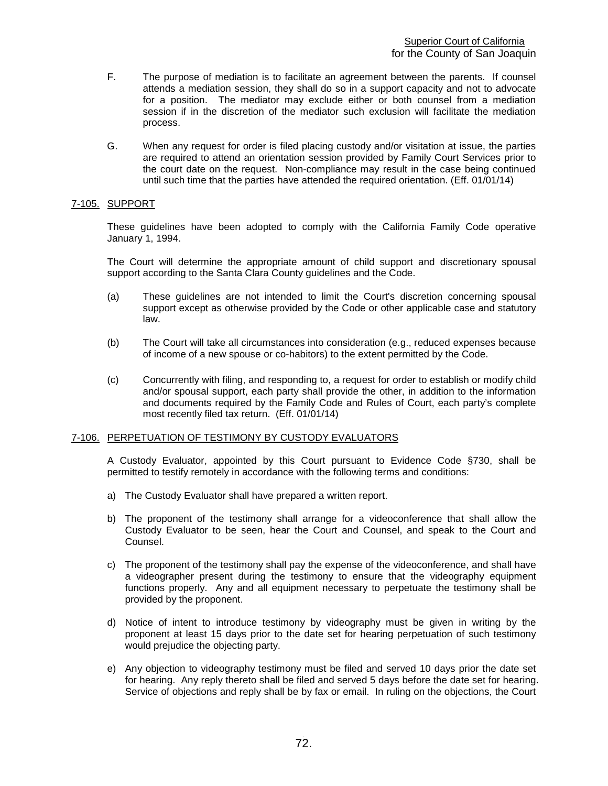- F. The purpose of mediation is to facilitate an agreement between the parents. If counsel attends a mediation session, they shall do so in a support capacity and not to advocate for a position. The mediator may exclude either or both counsel from a mediation session if in the discretion of the mediator such exclusion will facilitate the mediation process.
- G. When any request for order is filed placing custody and/or visitation at issue, the parties are required to attend an orientation session provided by Family Court Services prior to the court date on the request. Non-compliance may result in the case being continued until such time that the parties have attended the required orientation. (Eff. 01/01/14)

# 7-105. SUPPORT

These guidelines have been adopted to comply with the California Family Code operative January 1, 1994.

The Court will determine the appropriate amount of child support and discretionary spousal support according to the Santa Clara County guidelines and the Code.

- (a) These guidelines are not intended to limit the Court's discretion concerning spousal support except as otherwise provided by the Code or other applicable case and statutory law.
- (b) The Court will take all circumstances into consideration (e.g., reduced expenses because of income of a new spouse or co-habitors) to the extent permitted by the Code.
- (c) Concurrently with filing, and responding to, a request for order to establish or modify child and/or spousal support, each party shall provide the other, in addition to the information and documents required by the Family Code and Rules of Court, each party's complete most recently filed tax return. (Eff. 01/01/14)

# 7-106. PERPETUATION OF TESTIMONY BY CUSTODY EVALUATORS

A Custody Evaluator, appointed by this Court pursuant to Evidence Code §730, shall be permitted to testify remotely in accordance with the following terms and conditions:

- a) The Custody Evaluator shall have prepared a written report.
- b) The proponent of the testimony shall arrange for a videoconference that shall allow the Custody Evaluator to be seen, hear the Court and Counsel, and speak to the Court and Counsel.
- c) The proponent of the testimony shall pay the expense of the videoconference, and shall have a videographer present during the testimony to ensure that the videography equipment functions properly. Any and all equipment necessary to perpetuate the testimony shall be provided by the proponent.
- d) Notice of intent to introduce testimony by videography must be given in writing by the proponent at least 15 days prior to the date set for hearing perpetuation of such testimony would prejudice the objecting party.
- e) Any objection to videography testimony must be filed and served 10 days prior the date set for hearing. Any reply thereto shall be filed and served 5 days before the date set for hearing. Service of objections and reply shall be by fax or email. In ruling on the objections, the Court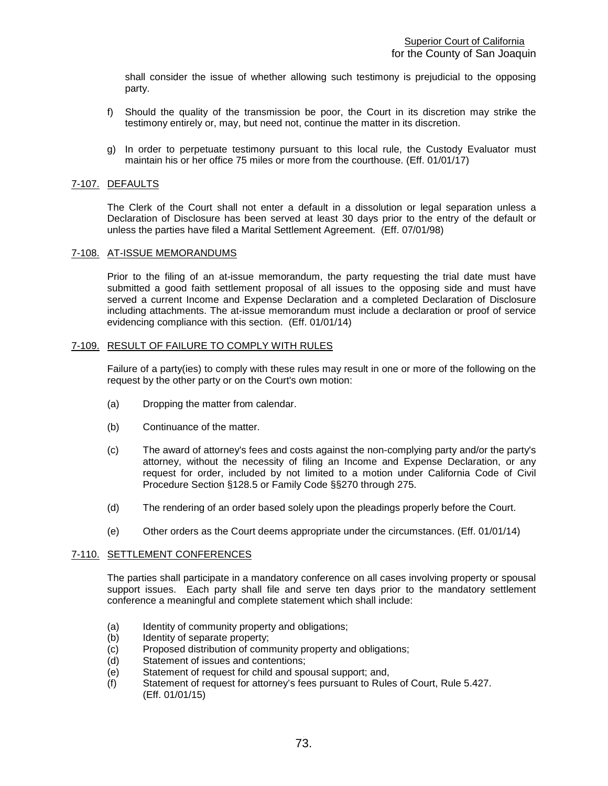shall consider the issue of whether allowing such testimony is prejudicial to the opposing party.

- f) Should the quality of the transmission be poor, the Court in its discretion may strike the testimony entirely or, may, but need not, continue the matter in its discretion.
- g) In order to perpetuate testimony pursuant to this local rule, the Custody Evaluator must maintain his or her office 75 miles or more from the courthouse. (Eff. 01/01/17)

# 7-107. DEFAULTS

The Clerk of the Court shall not enter a default in a dissolution or legal separation unless a Declaration of Disclosure has been served at least 30 days prior to the entry of the default or unless the parties have filed a Marital Settlement Agreement. (Eff. 07/01/98)

# 7-108. AT-ISSUE MEMORANDUMS

Prior to the filing of an at-issue memorandum, the party requesting the trial date must have submitted a good faith settlement proposal of all issues to the opposing side and must have served a current Income and Expense Declaration and a completed Declaration of Disclosure including attachments. The at-issue memorandum must include a declaration or proof of service evidencing compliance with this section. (Eff. 01/01/14)

#### 7-109. RESULT OF FAILURE TO COMPLY WITH RULES

Failure of a party(ies) to comply with these rules may result in one or more of the following on the request by the other party or on the Court's own motion:

- (a) Dropping the matter from calendar.
- (b) Continuance of the matter.
- (c) The award of attorney's fees and costs against the non-complying party and/or the party's attorney, without the necessity of filing an Income and Expense Declaration, or any request for order, included by not limited to a motion under California Code of Civil Procedure Section §128.5 or Family Code §§270 through 275.
- (d) The rendering of an order based solely upon the pleadings properly before the Court.
- (e) Other orders as the Court deems appropriate under the circumstances. (Eff. 01/01/14)

# 7-110. SETTLEMENT CONFERENCES

The parties shall participate in a mandatory conference on all cases involving property or spousal support issues. Each party shall file and serve ten days prior to the mandatory settlement conference a meaningful and complete statement which shall include:

- (a) Identity of community property and obligations;
- (b) Identity of separate property;
- (c) Proposed distribution of community property and obligations;<br>(d) Statement of issues and contentions;
- Statement of issues and contentions;
- (e) Statement of request for child and spousal support; and,
- (f) Statement of request for attorney's fees pursuant to Rules of Court, Rule 5.427. (Eff. 01/01/15)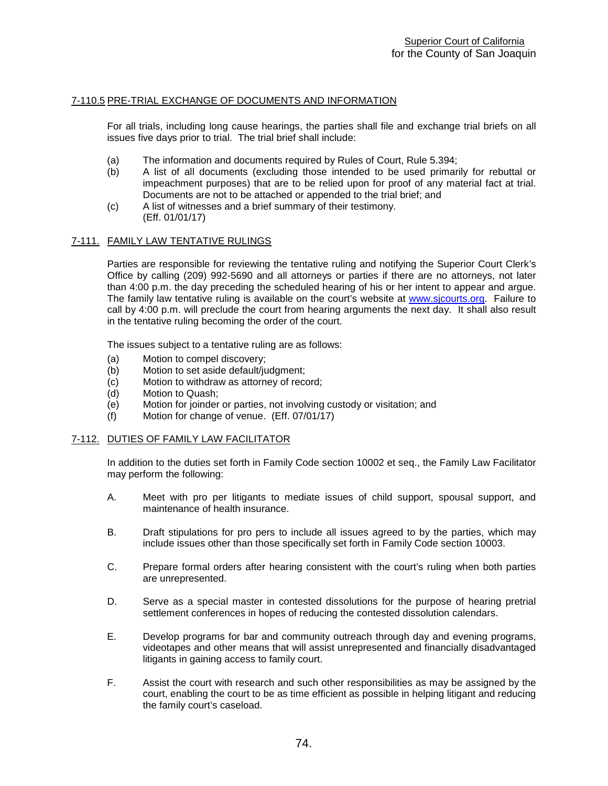# 7-110.5 PRE-TRIAL EXCHANGE OF DOCUMENTS AND INFORMATION

For all trials, including long cause hearings, the parties shall file and exchange trial briefs on all issues five days prior to trial. The trial brief shall include:

- (a) The information and documents required by Rules of Court, Rule 5.394;
- (b) A list of all documents (excluding those intended to be used primarily for rebuttal or impeachment purposes) that are to be relied upon for proof of any material fact at trial. Documents are not to be attached or appended to the trial brief; and
- (c) A list of witnesses and a brief summary of their testimony. (Eff. 01/01/17)

# 7-111. FAMILY LAW TENTATIVE RULINGS

Parties are responsible for reviewing the tentative ruling and notifying the Superior Court Clerk's Office by calling (209) 992-5690 and all attorneys or parties if there are no attorneys, not later than 4:00 p.m. the day preceding the scheduled hearing of his or her intent to appear and argue. The family law tentative ruling is available on the court's website at [www.sjcourts.org.](http://www.sjcourts.org/) Failure to call by 4:00 p.m. will preclude the court from hearing arguments the next day. It shall also result in the tentative ruling becoming the order of the court.

The issues subject to a tentative ruling are as follows:

- (a) Motion to compel discovery;<br>(b) Motion to set aside default/ju
- Motion to set aside default/judgment;
- (c) Motion to withdraw as attorney of record;
- (d) Motion to Quash;<br>(e) Motion for joinder
- Motion for joinder or parties, not involving custody or visitation; and
- (f) Motion for change of venue. (Eff. 07/01/17)

# 7-112. DUTIES OF FAMILY LAW FACILITATOR

In addition to the duties set forth in Family Code section 10002 et seq., the Family Law Facilitator may perform the following:

- A. Meet with pro per litigants to mediate issues of child support, spousal support, and maintenance of health insurance.
- B. Draft stipulations for pro pers to include all issues agreed to by the parties, which may include issues other than those specifically set forth in Family Code section 10003.
- C. Prepare formal orders after hearing consistent with the court's ruling when both parties are unrepresented.
- D. Serve as a special master in contested dissolutions for the purpose of hearing pretrial settlement conferences in hopes of reducing the contested dissolution calendars.
- E. Develop programs for bar and community outreach through day and evening programs, videotapes and other means that will assist unrepresented and financially disadvantaged litigants in gaining access to family court.
- F. Assist the court with research and such other responsibilities as may be assigned by the court, enabling the court to be as time efficient as possible in helping litigant and reducing the family court's caseload.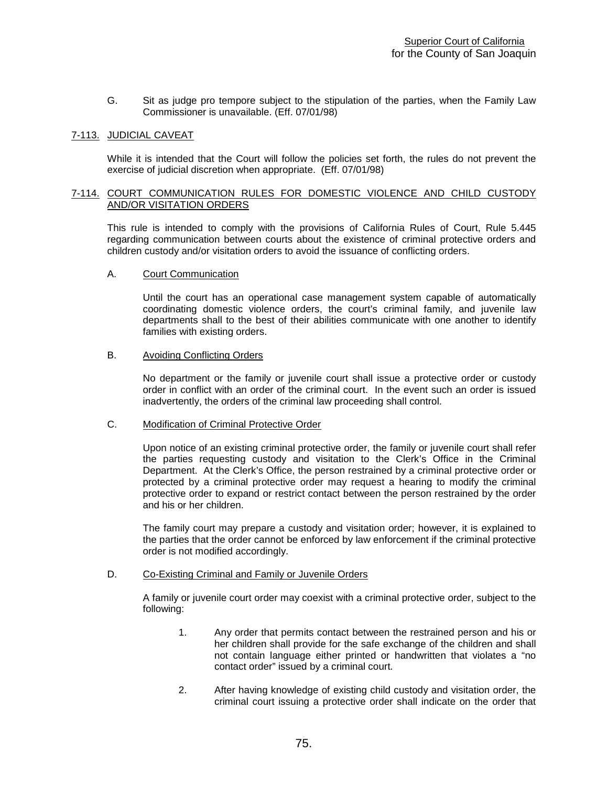G. Sit as judge pro tempore subject to the stipulation of the parties, when the Family Law Commissioner is unavailable. (Eff. 07/01/98)

# 7-113. JUDICIAL CAVEAT

While it is intended that the Court will follow the policies set forth, the rules do not prevent the exercise of judicial discretion when appropriate. (Eff. 07/01/98)

# 7-114. COURT COMMUNICATION RULES FOR DOMESTIC VIOLENCE AND CHILD CUSTODY AND/OR VISITATION ORDERS

This rule is intended to comply with the provisions of California Rules of Court, Rule 5.445 regarding communication between courts about the existence of criminal protective orders and children custody and/or visitation orders to avoid the issuance of conflicting orders.

#### A. Court Communication

Until the court has an operational case management system capable of automatically coordinating domestic violence orders, the court's criminal family, and juvenile law departments shall to the best of their abilities communicate with one another to identify families with existing orders.

# B. Avoiding Conflicting Orders

No department or the family or juvenile court shall issue a protective order or custody order in conflict with an order of the criminal court. In the event such an order is issued inadvertently, the orders of the criminal law proceeding shall control.

#### C. Modification of Criminal Protective Order

Upon notice of an existing criminal protective order, the family or juvenile court shall refer the parties requesting custody and visitation to the Clerk's Office in the Criminal Department. At the Clerk's Office, the person restrained by a criminal protective order or protected by a criminal protective order may request a hearing to modify the criminal protective order to expand or restrict contact between the person restrained by the order and his or her children.

The family court may prepare a custody and visitation order; however, it is explained to the parties that the order cannot be enforced by law enforcement if the criminal protective order is not modified accordingly.

# D. Co-Existing Criminal and Family or Juvenile Orders

A family or juvenile court order may coexist with a criminal protective order, subject to the following:

- 1. Any order that permits contact between the restrained person and his or her children shall provide for the safe exchange of the children and shall not contain language either printed or handwritten that violates a "no contact order" issued by a criminal court.
- 2. After having knowledge of existing child custody and visitation order, the criminal court issuing a protective order shall indicate on the order that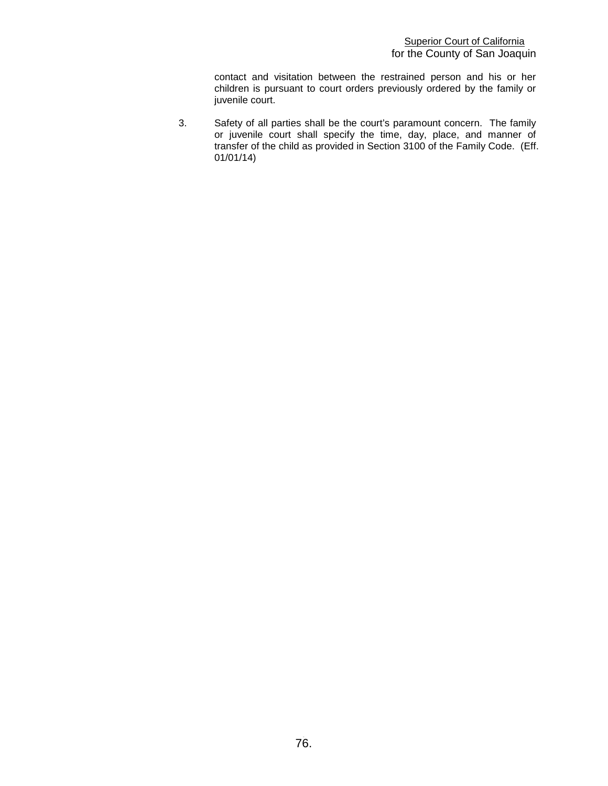contact and visitation between the restrained person and his or her children is pursuant to court orders previously ordered by the family or juvenile court.

3. Safety of all parties shall be the court's paramount concern. The family or juvenile court shall specify the time, day, place, and manner of transfer of the child as provided in Section 3100 of the Family Code. (Eff. 01/01/14)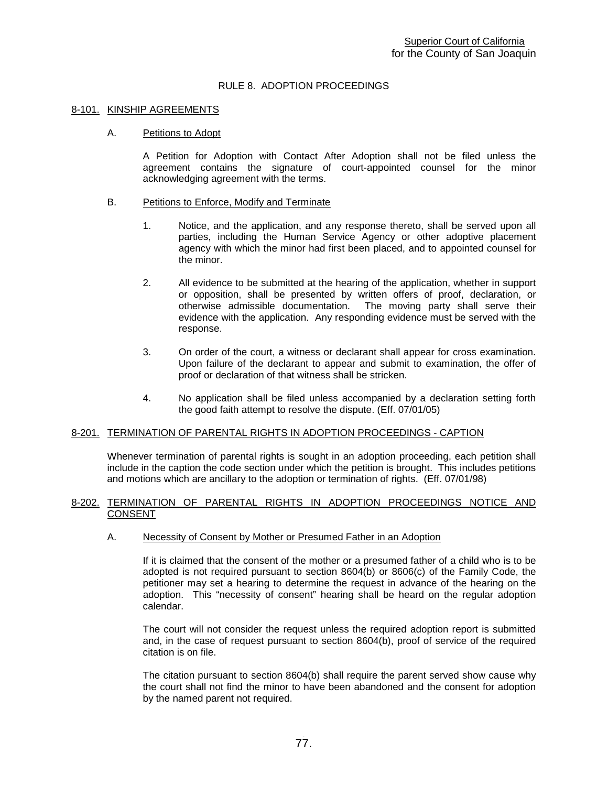# RULE 8. ADOPTION PROCEEDINGS

#### 8-101. KINSHIP AGREEMENTS

#### A. Petitions to Adopt

A Petition for Adoption with Contact After Adoption shall not be filed unless the agreement contains the signature of court-appointed counsel for the minor acknowledging agreement with the terms.

#### B. Petitions to Enforce, Modify and Terminate

- 1. Notice, and the application, and any response thereto, shall be served upon all parties, including the Human Service Agency or other adoptive placement agency with which the minor had first been placed, and to appointed counsel for the minor.
- 2. All evidence to be submitted at the hearing of the application, whether in support or opposition, shall be presented by written offers of proof, declaration, or otherwise admissible documentation. The moving party shall serve their evidence with the application. Any responding evidence must be served with the response.
- 3. On order of the court, a witness or declarant shall appear for cross examination. Upon failure of the declarant to appear and submit to examination, the offer of proof or declaration of that witness shall be stricken.
- 4. No application shall be filed unless accompanied by a declaration setting forth the good faith attempt to resolve the dispute. (Eff. 07/01/05)

# 8-201. TERMINATION OF PARENTAL RIGHTS IN ADOPTION PROCEEDINGS - CAPTION

Whenever termination of parental rights is sought in an adoption proceeding, each petition shall include in the caption the code section under which the petition is brought. This includes petitions and motions which are ancillary to the adoption or termination of rights. (Eff. 07/01/98)

#### 8-202. TERMINATION OF PARENTAL RIGHTS IN ADOPTION PROCEEDINGS NOTICE AND CONSENT

# A. Necessity of Consent by Mother or Presumed Father in an Adoption

If it is claimed that the consent of the mother or a presumed father of a child who is to be adopted is not required pursuant to section 8604(b) or 8606(c) of the Family Code, the petitioner may set a hearing to determine the request in advance of the hearing on the adoption. This "necessity of consent" hearing shall be heard on the regular adoption calendar.

The court will not consider the request unless the required adoption report is submitted and, in the case of request pursuant to section 8604(b), proof of service of the required citation is on file.

The citation pursuant to section 8604(b) shall require the parent served show cause why the court shall not find the minor to have been abandoned and the consent for adoption by the named parent not required.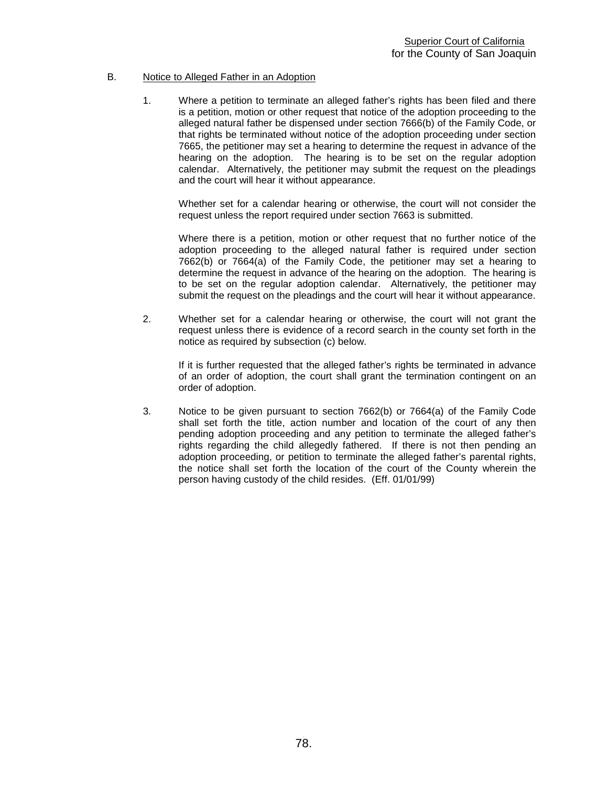# B. Notice to Alleged Father in an Adoption

1. Where a petition to terminate an alleged father's rights has been filed and there is a petition, motion or other request that notice of the adoption proceeding to the alleged natural father be dispensed under section 7666(b) of the Family Code, or that rights be terminated without notice of the adoption proceeding under section 7665, the petitioner may set a hearing to determine the request in advance of the hearing on the adoption. The hearing is to be set on the regular adoption calendar. Alternatively, the petitioner may submit the request on the pleadings and the court will hear it without appearance.

Whether set for a calendar hearing or otherwise, the court will not consider the request unless the report required under section 7663 is submitted.

Where there is a petition, motion or other request that no further notice of the adoption proceeding to the alleged natural father is required under section 7662(b) or 7664(a) of the Family Code, the petitioner may set a hearing to determine the request in advance of the hearing on the adoption. The hearing is to be set on the regular adoption calendar. Alternatively, the petitioner may submit the request on the pleadings and the court will hear it without appearance.

2. Whether set for a calendar hearing or otherwise, the court will not grant the request unless there is evidence of a record search in the county set forth in the notice as required by subsection (c) below.

If it is further requested that the alleged father's rights be terminated in advance of an order of adoption, the court shall grant the termination contingent on an order of adoption.

3. Notice to be given pursuant to section 7662(b) or 7664(a) of the Family Code shall set forth the title, action number and location of the court of any then pending adoption proceeding and any petition to terminate the alleged father's rights regarding the child allegedly fathered. If there is not then pending an adoption proceeding, or petition to terminate the alleged father's parental rights, the notice shall set forth the location of the court of the County wherein the person having custody of the child resides. (Eff. 01/01/99)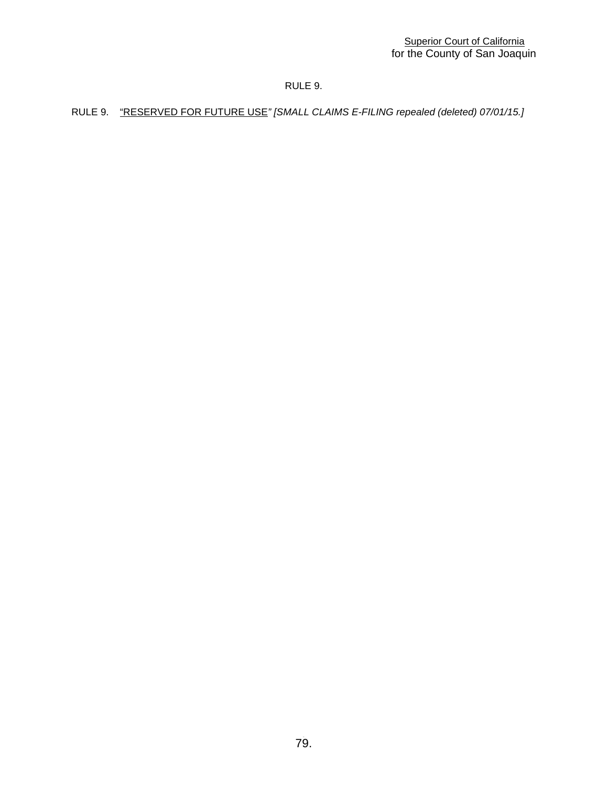# RULE 9.

RULE 9."RESERVED FOR FUTURE USE*" [SMALL CLAIMS E-FILING repealed (deleted) 07/01/15.]*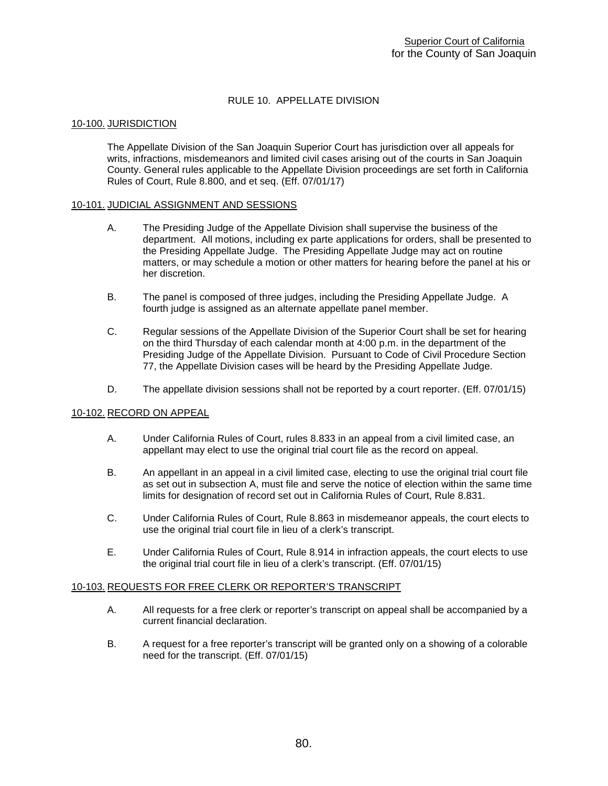# RULE 10. APPELLATE DIVISION

# 10-100. JURISDICTION

The Appellate Division of the San Joaquin Superior Court has jurisdiction over all appeals for writs, infractions, misdemeanors and limited civil cases arising out of the courts in San Joaquin County. General rules applicable to the Appellate Division proceedings are set forth in California Rules of Court, Rule 8.800, and et seq. (Eff. 07/01/17)

#### 10-101. JUDICIAL ASSIGNMENT AND SESSIONS

- A. The Presiding Judge of the Appellate Division shall supervise the business of the department. All motions, including ex parte applications for orders, shall be presented to the Presiding Appellate Judge. The Presiding Appellate Judge may act on routine matters, or may schedule a motion or other matters for hearing before the panel at his or her discretion.
- B. The panel is composed of three judges, including the Presiding Appellate Judge. A fourth judge is assigned as an alternate appellate panel member.
- C. Regular sessions of the Appellate Division of the Superior Court shall be set for hearing on the third Thursday of each calendar month at 4:00 p.m. in the department of the Presiding Judge of the Appellate Division. Pursuant to Code of Civil Procedure Section 77, the Appellate Division cases will be heard by the Presiding Appellate Judge.
- D. The appellate division sessions shall not be reported by a court reporter. (Eff. 07/01/15)

# 10-102. RECORD ON APPEAL

- A. Under California Rules of Court, rules 8.833 in an appeal from a civil limited case, an appellant may elect to use the original trial court file as the record on appeal.
- B. An appellant in an appeal in a civil limited case, electing to use the original trial court file as set out in subsection A, must file and serve the notice of election within the same time limits for designation of record set out in California Rules of Court, Rule 8.831.
- C. Under California Rules of Court, Rule 8.863 in misdemeanor appeals, the court elects to use the original trial court file in lieu of a clerk's transcript.
- E. Under California Rules of Court, Rule 8.914 in infraction appeals, the court elects to use the original trial court file in lieu of a clerk's transcript. (Eff. 07/01/15)

#### 10-103. REQUESTS FOR FREE CLERK OR REPORTER'S TRANSCRIPT

- A. All requests for a free clerk or reporter's transcript on appeal shall be accompanied by a current financial declaration.
- B. A request for a free reporter's transcript will be granted only on a showing of a colorable need for the transcript. (Eff. 07/01/15)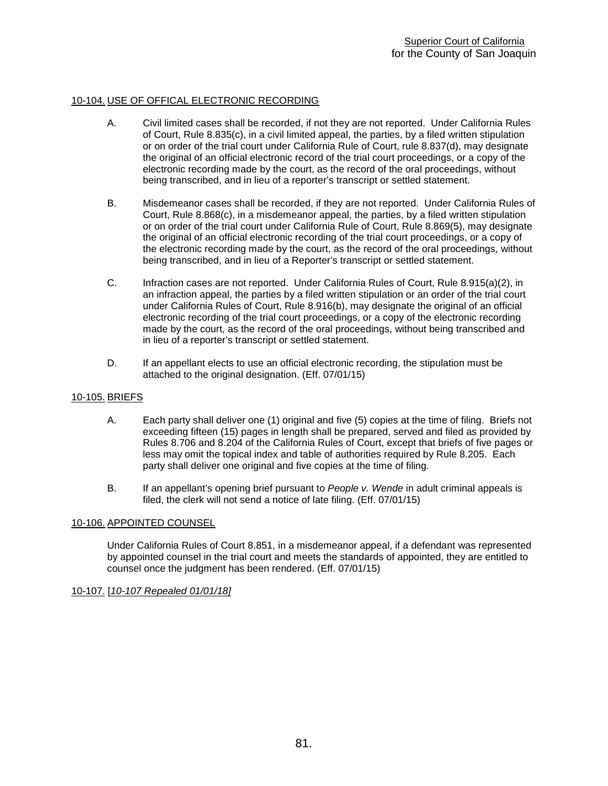# 10-104. USE OF OFFICAL ELECTRONIC RECORDING

- A. Civil limited cases shall be recorded, if not they are not reported. Under California Rules of Court, Rule 8.835(c), in a civil limited appeal, the parties, by a filed written stipulation or on order of the trial court under California Rule of Court, rule 8.837(d), may designate the original of an official electronic record of the trial court proceedings, or a copy of the electronic recording made by the court, as the record of the oral proceedings, without being transcribed, and in lieu of a reporter's transcript or settled statement.
- B. Misdemeanor cases shall be recorded, if they are not reported. Under California Rules of Court, Rule 8.868(c), in a misdemeanor appeal, the parties, by a filed written stipulation or on order of the trial court under California Rule of Court, Rule 8.869(5), may designate the original of an official electronic recording of the trial court proceedings, or a copy of the electronic recording made by the court, as the record of the oral proceedings, without being transcribed, and in lieu of a Reporter's transcript or settled statement.
- C. Infraction cases are not reported. Under California Rules of Court, Rule 8.915(a)(2), in an infraction appeal, the parties by a filed written stipulation or an order of the trial court under California Rules of Court, Rule 8.916(b), may designate the original of an official electronic recording of the trial court proceedings, or a copy of the electronic recording made by the court, as the record of the oral proceedings, without being transcribed and in lieu of a reporter's transcript or settled statement.
- D. If an appellant elects to use an official electronic recording, the stipulation must be attached to the original designation. (Eff. 07/01/15)

# 10-105. BRIEFS

- A. Each party shall deliver one (1) original and five (5) copies at the time of filing. Briefs not exceeding fifteen (15) pages in length shall be prepared, served and filed as provided by Rules 8.706 and 8.204 of the California Rules of Court, except that briefs of five pages or less may omit the topical index and table of authorities required by Rule 8.205. Each party shall deliver one original and five copies at the time of filing.
- B. If an appellant's opening brief pursuant to *People v. Wende* in adult criminal appeals is filed, the clerk will not send a notice of late filing. (Eff. 07/01/15)

# 10-106. APPOINTED COUNSEL

Under California Rules of Court 8.851, in a misdemeanor appeal, if a defendant was represented by appointed counsel in the trial court and meets the standards of appointed, they are entitled to counsel once the judgment has been rendered. (Eff. 07/01/15)

# 10-107. [*10-107 Repealed 01/01/18]*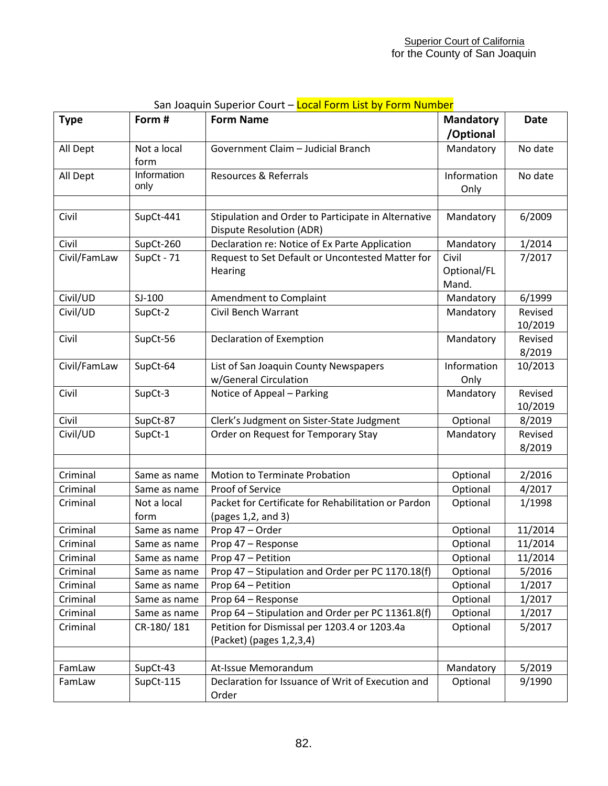| <b>Type</b>          | Form #                      | <b>Form Name</b>                                                                       | <b>Mandatory</b>              | <b>Date</b>        |
|----------------------|-----------------------------|----------------------------------------------------------------------------------------|-------------------------------|--------------------|
|                      |                             |                                                                                        | /Optional                     |                    |
| All Dept             | Not a local<br>form         | Government Claim - Judicial Branch                                                     | Mandatory                     | No date            |
| All Dept             | Information<br>only         | <b>Resources &amp; Referrals</b>                                                       | Information<br>Only           | No date            |
|                      |                             |                                                                                        |                               |                    |
| Civil                | SupCt-441                   | Stipulation and Order to Participate in Alternative<br><b>Dispute Resolution (ADR)</b> | Mandatory                     | 6/2009             |
| Civil                | SupCt-260                   | Declaration re: Notice of Ex Parte Application                                         | Mandatory                     | 1/2014             |
| Civil/FamLaw         | SupCt - 71                  | Request to Set Default or Uncontested Matter for<br>Hearing                            | Civil<br>Optional/FL<br>Mand. | 7/2017             |
| Civil/UD             | $SI-100$                    | Amendment to Complaint                                                                 | Mandatory                     | 6/1999             |
| Civil/UD             | SupCt-2                     | Civil Bench Warrant                                                                    | Mandatory                     | Revised<br>10/2019 |
| Civil                | SupCt-56                    | Declaration of Exemption                                                               | Mandatory                     | Revised<br>8/2019  |
| Civil/FamLaw         | SupCt-64                    | List of San Joaquin County Newspapers<br>w/General Circulation                         | Information<br>Only           | 10/2013            |
| Civil                | SupCt-3                     | Notice of Appeal - Parking                                                             | Mandatory                     | Revised<br>10/2019 |
| Civil                | SupCt-87                    | Clerk's Judgment on Sister-State Judgment                                              | Optional                      | 8/2019             |
| Civil/UD             | SupCt-1                     | Order on Request for Temporary Stay                                                    | Mandatory                     | Revised<br>8/2019  |
|                      |                             |                                                                                        |                               |                    |
| Criminal             | Same as name                | Motion to Terminate Probation<br>Proof of Service                                      | Optional                      | 2/2016<br>4/2017   |
| Criminal<br>Criminal | Same as name<br>Not a local | Packet for Certificate for Rehabilitation or Pardon                                    | Optional<br>Optional          | 1/1998             |
|                      | form                        | (pages 1,2, and 3)                                                                     |                               |                    |
| Criminal             | Same as name                | Prop 47 - Order                                                                        | Optional                      | 11/2014            |
| Criminal             | Same as name                | Prop 47 - Response                                                                     | Optional                      | 11/2014            |
| Criminal             | Same as name                | Prop 47 - Petition                                                                     | Optional                      | 11/2014            |
| Criminal             | Same as name                | Prop 47 - Stipulation and Order per PC 1170.18(f)                                      | Optional                      | 5/2016             |
| Criminal             | Same as name                | Prop 64 - Petition                                                                     | Optional                      | 1/2017             |
| Criminal             | Same as name                | Prop 64 - Response                                                                     | Optional                      | 1/2017             |
| Criminal             | Same as name                | Prop 64 - Stipulation and Order per PC 11361.8(f)                                      | Optional                      | 1/2017             |
| Criminal             | CR-180/181                  | Petition for Dismissal per 1203.4 or 1203.4a<br>(Packet) (pages 1,2,3,4)               | Optional                      | 5/2017             |
|                      |                             |                                                                                        |                               |                    |
| FamLaw               | SupCt-43                    | At-Issue Memorandum                                                                    | Mandatory                     | 5/2019             |
| FamLaw               | SupCt-115                   | Declaration for Issuance of Writ of Execution and<br>Order                             | Optional                      | 9/1990             |

# San Joaquin Superior Court – Local Form List by Form Number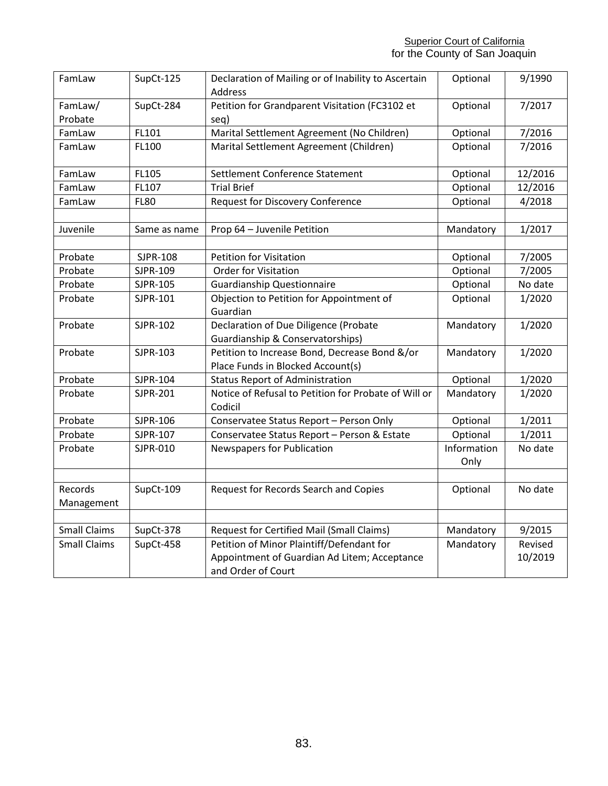| FamLaw              | SupCt-125    | Declaration of Mailing or of Inability to Ascertain<br>Address     | Optional            | 9/1990  |
|---------------------|--------------|--------------------------------------------------------------------|---------------------|---------|
| FamLaw/             | SupCt-284    | Petition for Grandparent Visitation (FC3102 et                     | Optional            | 7/2017  |
| Probate             |              | seq)                                                               |                     |         |
| FamLaw              | FL101        | Marital Settlement Agreement (No Children)                         | Optional            | 7/2016  |
| FamLaw              | FL100        | Marital Settlement Agreement (Children)                            | Optional            | 7/2016  |
| FamLaw              | FL105        | Settlement Conference Statement                                    | Optional            | 12/2016 |
| FamLaw              | FL107        | <b>Trial Brief</b>                                                 | Optional            | 12/2016 |
| FamLaw              | <b>FL80</b>  | <b>Request for Discovery Conference</b>                            | Optional            | 4/2018  |
|                     |              |                                                                    |                     |         |
| Juvenile            | Same as name | Prop 64 - Juvenile Petition                                        | Mandatory           | 1/2017  |
|                     |              |                                                                    |                     |         |
| Probate             | SJPR-108     | <b>Petition for Visitation</b>                                     | Optional            | 7/2005  |
| Probate             | SJPR-109     | Order for Visitation                                               | Optional            | 7/2005  |
| Probate             | SJPR-105     | <b>Guardianship Questionnaire</b>                                  | Optional            | No date |
| Probate             | SJPR-101     | Objection to Petition for Appointment of                           | Optional            | 1/2020  |
|                     |              | Guardian                                                           |                     |         |
| Probate             | SJPR-102     | Declaration of Due Diligence (Probate                              | Mandatory           | 1/2020  |
|                     |              | Guardianship & Conservatorships)                                   |                     |         |
| Probate             | SJPR-103     | Petition to Increase Bond, Decrease Bond &/or                      | Mandatory           | 1/2020  |
|                     |              | Place Funds in Blocked Account(s)                                  |                     |         |
| Probate             | SJPR-104     | <b>Status Report of Administration</b>                             | Optional            | 1/2020  |
| Probate             | SJPR-201     | Notice of Refusal to Petition for Probate of Will or               | Mandatory           | 1/2020  |
|                     |              | Codicil                                                            |                     |         |
| Probate             | SJPR-106     | Conservatee Status Report - Person Only                            | Optional            | 1/2011  |
| Probate             | SJPR-107     | Conservatee Status Report - Person & Estate                        | Optional            | 1/2011  |
| Probate             | SJPR-010     | Newspapers for Publication                                         | Information<br>Only | No date |
|                     |              |                                                                    |                     |         |
| Records             | SupCt-109    | Request for Records Search and Copies                              | Optional            | No date |
| Management          |              |                                                                    |                     |         |
|                     |              |                                                                    |                     |         |
| <b>Small Claims</b> | SupCt-378    | <b>Request for Certified Mail (Small Claims)</b>                   | Mandatory           | 9/2015  |
| <b>Small Claims</b> | SupCt-458    | Petition of Minor Plaintiff/Defendant for                          | Mandatory           | Revised |
|                     |              | Appointment of Guardian Ad Litem; Acceptance<br>and Order of Court |                     | 10/2019 |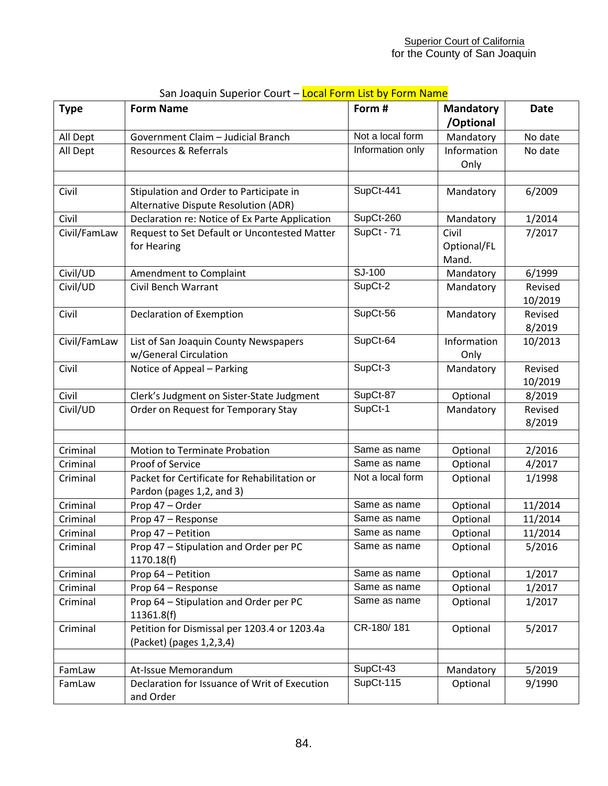| <b>Type</b>      | <b>Form Name</b>                                                                  | Form #           | <b>Mandatory</b><br>/Optional | <b>Date</b>        |
|------------------|-----------------------------------------------------------------------------------|------------------|-------------------------------|--------------------|
| All Dept         | Government Claim - Judicial Branch                                                | Not a local form | Mandatory                     | No date            |
| All Dept         | Resources & Referrals                                                             | Information only | Information<br>Only           | No date            |
| Civil            | Stipulation and Order to Participate in<br>Alternative Dispute Resolution (ADR)   | SupCt-441        | Mandatory                     | 6/2009             |
| Civil            | Declaration re: Notice of Ex Parte Application                                    | SupCt-260        | Mandatory                     | 1/2014             |
| Civil/FamLaw     | Request to Set Default or Uncontested Matter<br>for Hearing                       | SupCt - 71       | Civil<br>Optional/FL<br>Mand. | 7/2017             |
| Civil/UD         | Amendment to Complaint                                                            | SJ-100           | Mandatory                     | 6/1999             |
| Civil/UD         | Civil Bench Warrant                                                               | SupCt-2          | Mandatory                     | Revised<br>10/2019 |
| Civil            | Declaration of Exemption                                                          | SupCt-56         | Mandatory                     | Revised<br>8/2019  |
| Civil/FamLaw     | List of San Joaquin County Newspapers<br>w/General Circulation                    | SupCt-64         | Information<br>Only           | 10/2013            |
| Civil            | Notice of Appeal - Parking                                                        | SupCt-3          | Mandatory                     | Revised<br>10/2019 |
| Civil            | Clerk's Judgment on Sister-State Judgment                                         | SupCt-87         | Optional                      | 8/2019             |
| Civil/UD         | Order on Request for Temporary Stay                                               | SupCt-1          | Mandatory                     | Revised<br>8/2019  |
|                  |                                                                                   |                  |                               |                    |
| Criminal         | Motion to Terminate Probation                                                     | Same as name     | Optional                      | 2/2016             |
| Criminal         | Proof of Service                                                                  | Same as name     | Optional                      | 4/2017             |
| Criminal         | Packet for Certificate for Rehabilitation or<br>Pardon (pages 1,2, and 3)         | Not a local form | Optional                      | 1/1998             |
| Criminal         | Prop 47 - Order                                                                   | Same as name     | Optional                      | 11/2014            |
| Criminal         | Prop 47 - Response                                                                | Same as name     | Optional                      | 11/2014            |
| Criminal         | Prop 47 - Petition                                                                | Same as name     | Optional                      | 11/2014            |
| Criminal         | Prop 47 - Stipulation and Order per PC<br>1170.18(f)                              | Same as name     | Optional                      | 5/2016             |
| Criminal         | Prop 64 - Petition                                                                | Same as name     | Optional                      | 1/2017             |
| Criminal         | Prop 64 - Response                                                                | Same as name     | Optional                      | 1/2017             |
| Criminal         | Prop 64 - Stipulation and Order per PC<br>11361.8(f)                              | Same as name     | Optional                      | 1/2017             |
| Criminal         | Petition for Dismissal per 1203.4 or 1203.4a<br>(Packet) (pages 1,2,3,4)          | CR-180/181       | Optional                      | 5/2017             |
|                  |                                                                                   | SupCt-43         |                               |                    |
| FamLaw<br>FamLaw | At-Issue Memorandum<br>Declaration for Issuance of Writ of Execution<br>and Order | SupCt-115        | Mandatory<br>Optional         | 5/2019<br>9/1990   |

# San Joaquin Superior Court – Local Form List by Form Name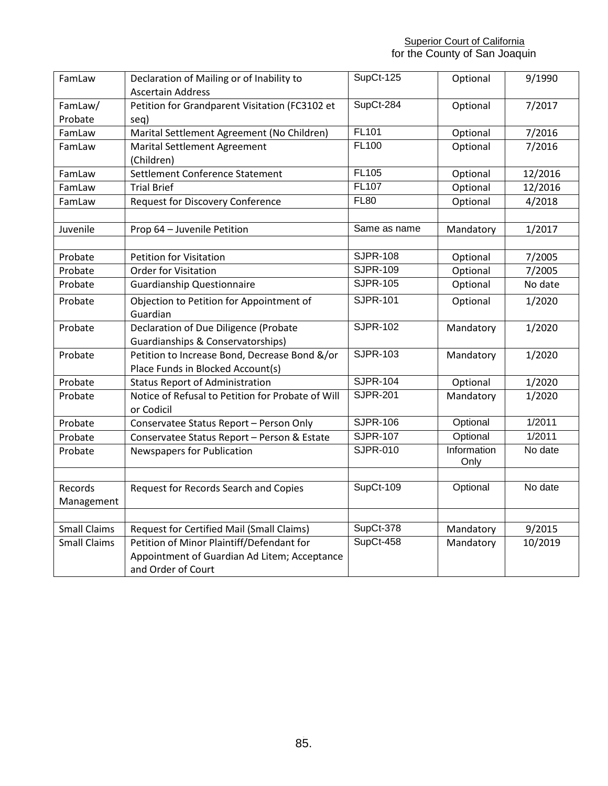**Superior Court of California** for the County of San Joaquin

| FamLaw              | Declaration of Mailing or of Inability to<br><b>Ascertain Address</b> | SupCt-125       | Optional    | 9/1990  |
|---------------------|-----------------------------------------------------------------------|-----------------|-------------|---------|
| FamLaw/             | Petition for Grandparent Visitation (FC3102 et                        | SupCt-284       | Optional    | 7/2017  |
| Probate             | seq)                                                                  |                 |             |         |
| FamLaw              | Marital Settlement Agreement (No Children)                            | <b>FL101</b>    | Optional    | 7/2016  |
| FamLaw              | <b>Marital Settlement Agreement</b>                                   | FL100           | Optional    | 7/2016  |
|                     | (Children)                                                            |                 |             |         |
| FamLaw              | Settlement Conference Statement                                       | FL105           | Optional    | 12/2016 |
| FamLaw              | <b>Trial Brief</b>                                                    | FL107           | Optional    | 12/2016 |
| FamLaw              | <b>Request for Discovery Conference</b>                               | <b>FL80</b>     | Optional    | 4/2018  |
|                     |                                                                       |                 |             |         |
| Juvenile            | Prop 64 - Juvenile Petition                                           | Same as name    | Mandatory   | 1/2017  |
|                     |                                                                       |                 |             |         |
| Probate             | <b>Petition for Visitation</b>                                        | <b>SJPR-108</b> | Optional    | 7/2005  |
| Probate             | <b>Order for Visitation</b>                                           | <b>SJPR-109</b> | Optional    | 7/2005  |
| Probate             | <b>Guardianship Questionnaire</b>                                     | <b>SJPR-105</b> | Optional    | No date |
| Probate             | Objection to Petition for Appointment of                              | <b>SJPR-101</b> | Optional    | 1/2020  |
|                     | Guardian                                                              |                 |             |         |
| Probate             | Declaration of Due Diligence (Probate                                 | <b>SJPR-102</b> | Mandatory   | 1/2020  |
|                     | Guardianships & Conservatorships)                                     |                 |             |         |
| Probate             | Petition to Increase Bond, Decrease Bond &/or                         | <b>SJPR-103</b> | Mandatory   | 1/2020  |
|                     | Place Funds in Blocked Account(s)                                     |                 |             |         |
| Probate             | <b>Status Report of Administration</b>                                | <b>SJPR-104</b> | Optional    | 1/2020  |
| Probate             | Notice of Refusal to Petition for Probate of Will                     | <b>SJPR-201</b> | Mandatory   | 1/2020  |
|                     | or Codicil                                                            |                 |             |         |
| Probate             | Conservatee Status Report - Person Only                               | <b>SJPR-106</b> | Optional    | 1/2011  |
| Probate             | Conservatee Status Report - Person & Estate                           | <b>SJPR-107</b> | Optional    | 1/2011  |
| Probate             | Newspapers for Publication                                            | <b>SJPR-010</b> | Information | No date |
|                     |                                                                       |                 | Only        |         |
| Records             | Request for Records Search and Copies                                 | SupCt-109       | Optional    | No date |
| Management          |                                                                       |                 |             |         |
|                     |                                                                       |                 |             |         |
| <b>Small Claims</b> | <b>Request for Certified Mail (Small Claims)</b>                      | SupCt-378       | Mandatory   | 9/2015  |
| <b>Small Claims</b> | Petition of Minor Plaintiff/Defendant for                             | SupCt-458       | Mandatory   | 10/2019 |
|                     | Appointment of Guardian Ad Litem; Acceptance                          |                 |             |         |
|                     | and Order of Court                                                    |                 |             |         |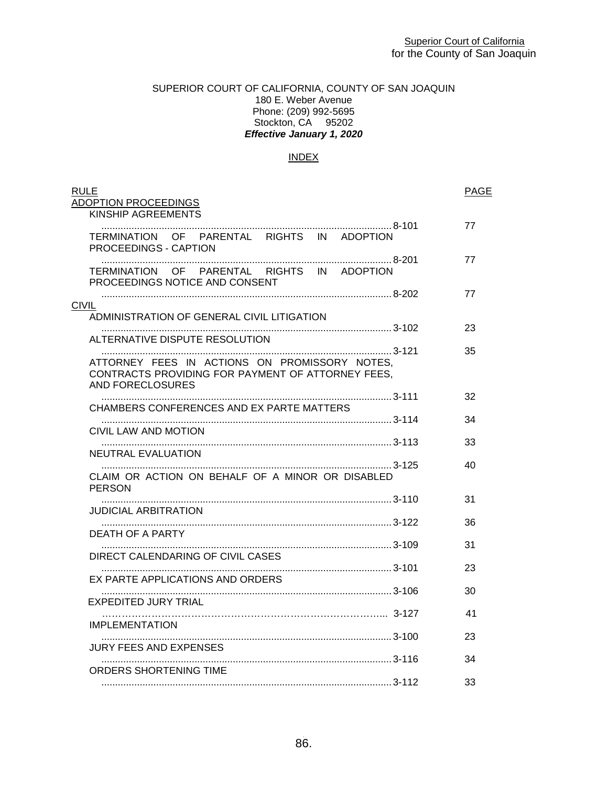# SUPERIOR COURT OF CALIFORNIA, COUNTY OF SAN JOAQUIN 180 E. Weber Avenue Phone: (209) 992-5695 Stockton, CA 95202 *Effective January 1, 2020*

# INDEX

| <b>RULE</b><br>ADOPTION PROCEEDINGS<br>KINSHIP AGREEMENTS                                                              | <b>PAGE</b> |
|------------------------------------------------------------------------------------------------------------------------|-------------|
| TERMINATION OF PARENTAL RIGHTS IN ADOPTION<br>PROCEEDINGS - CAPTION                                                    | 77          |
| TERMINATION OF PARENTAL RIGHTS IN ADOPTION<br>PROCEEDINGS NOTICE AND CONSENT                                           | 77          |
| <b>CIVIL</b>                                                                                                           | 77          |
| ADMINISTRATION OF GENERAL CIVIL LITIGATION<br>ALTERNATIVE DISPUTE RESOLUTION                                           | 23          |
| ATTORNEY FEES IN ACTIONS ON PROMISSORY NOTES,<br>CONTRACTS PROVIDING FOR PAYMENT OF ATTORNEY FEES.<br>AND FORECLOSURES | 35          |
| CHAMBERS CONFERENCES AND EX PARTE MATTERS                                                                              | 32          |
| CIVIL LAW AND MOTION                                                                                                   | 34          |
| NEUTRAL EVALUATION                                                                                                     | 33          |
| CLAIM OR ACTION ON BEHALF OF A MINOR OR DISABLED<br><b>PERSON</b>                                                      | 40          |
| JUDICIAL ARBITRATION                                                                                                   | 31          |
| DEATH OF A PARTY                                                                                                       | 36          |
| DIRECT CALENDARING OF CIVIL CASES                                                                                      | 31          |
| EX PARTE APPLICATIONS AND ORDERS                                                                                       | 23          |
| EXPEDITED JURY TRIAL                                                                                                   | 30          |
| <b>IMPLEMENTATION</b>                                                                                                  | 41          |
| JURY FEES AND EXPENSES                                                                                                 | 23          |
|                                                                                                                        | 34          |
| ORDERS SHORTENING TIME                                                                                                 | 33          |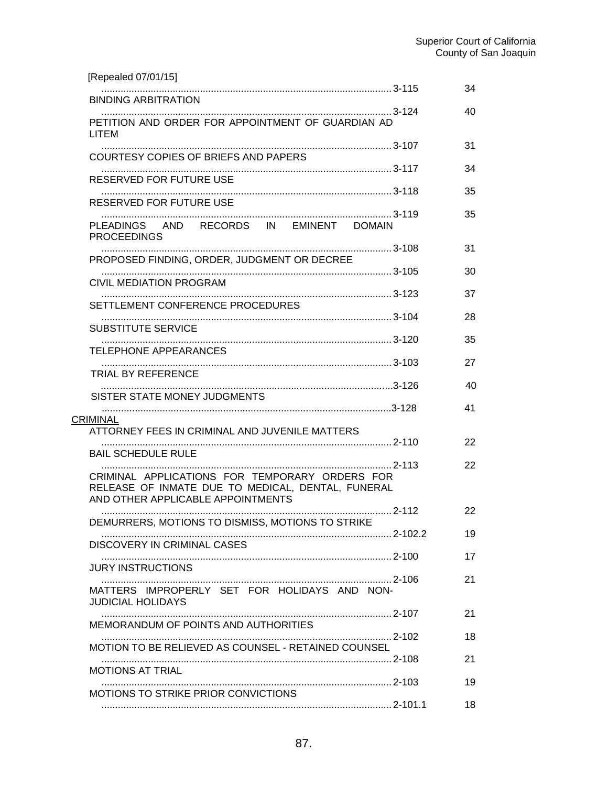| [Repealed 07/01/15]                                                                                                                      |         |    |
|------------------------------------------------------------------------------------------------------------------------------------------|---------|----|
| <b>BINDING ARBITRATION</b>                                                                                                               |         | 34 |
| PETITION AND ORDER FOR APPOINTMENT OF GUARDIAN AD<br>LITEM                                                                               |         | 40 |
| COURTESY COPIES OF BRIEFS AND PAPERS                                                                                                     |         | 31 |
| RESERVED FOR FUTURE USE                                                                                                                  |         | 34 |
| RESERVED FOR FUTURE USE                                                                                                                  |         | 35 |
| PLEADINGS AND RECORDS IN EMINENT DOMAIN<br><b>PROCEEDINGS</b>                                                                            |         | 35 |
| PROPOSED FINDING, ORDER, JUDGMENT OR DECREE                                                                                              |         | 31 |
| CIVIL MEDIATION PROGRAM                                                                                                                  |         | 30 |
| SETTLEMENT CONFERENCE PROCEDURES                                                                                                         |         | 37 |
|                                                                                                                                          |         | 28 |
| <b>SUBSTITUTE SERVICE</b>                                                                                                                |         | 35 |
| TELEPHONE APPEARANCES                                                                                                                    |         | 27 |
| TRIAL BY REFERENCE                                                                                                                       |         | 40 |
| SISTER STATE MONEY JUDGMENTS                                                                                                             |         | 41 |
| <b>CRIMINAL</b><br>ATTORNEY FEES IN CRIMINAL AND JUVENILE MATTERS                                                                        |         |    |
| <b>BAIL SCHEDULE RULE</b>                                                                                                                |         | 22 |
| CRIMINAL APPLICATIONS FOR TEMPORARY ORDERS FOR<br>RELEASE OF INMATE DUE TO MEDICAL, DENTAL, FUNERAL<br>AND OTHER APPLICABLE APPOINTMENTS |         | 22 |
| DEMURRERS, MOTIONS TO DISMISS, MOTIONS TO STRIKE                                                                                         | . 2-112 | 22 |
| DISCOVERY IN CRIMINAL CASES                                                                                                              |         | 19 |
| <b>JURY INSTRUCTIONS</b>                                                                                                                 |         | 17 |
| MATTERS IMPROPERLY SET FOR HOLIDAYS AND NON-<br><b>JUDICIAL HOLIDAYS</b>                                                                 |         | 21 |
| MEMORANDUM OF POINTS AND AUTHORITIES                                                                                                     |         | 21 |
| MOTION TO BE RELIEVED AS COUNSEL - RETAINED COUNSEL                                                                                      |         | 18 |
|                                                                                                                                          |         | 21 |
| <b>MOTIONS AT TRIAL</b>                                                                                                                  |         | 19 |
| MOTIONS TO STRIKE PRIOR CONVICTIONS                                                                                                      |         | 18 |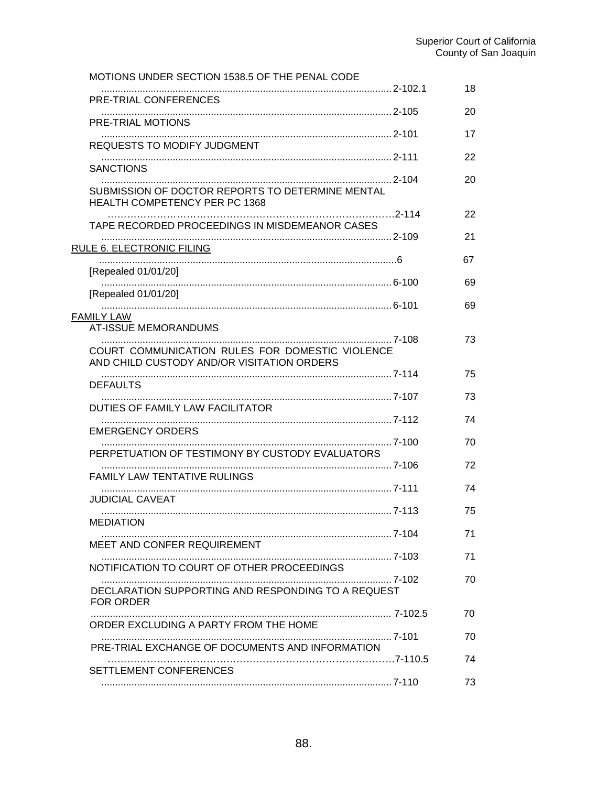| MOTIONS UNDER SECTION 1538.5 OF THE PENAL CODE                                                               |    |
|--------------------------------------------------------------------------------------------------------------|----|
| PRE-TRIAL CONFERENCES                                                                                        | 18 |
| PRE-TRIAL MOTIONS                                                                                            | 20 |
| REQUESTS TO MODIFY JUDGMENT                                                                                  | 17 |
|                                                                                                              | 22 |
| <b>SANCTIONS</b><br>SUBMISSION OF DOCTOR REPORTS TO DETERMINE MENTAL<br><b>HEALTH COMPETENCY PER PC 1368</b> | 20 |
| TAPE RECORDED PROCEEDINGS IN MISDEMEANOR CASES                                                               | 22 |
|                                                                                                              | 21 |
| RULE 6. ELECTRONIC FILING<br>[Repealed 01/01/20]                                                             | 67 |
| [Repealed 01/01/20]                                                                                          | 69 |
| <b>FAMILY LAW</b>                                                                                            | 69 |
| <b>AT-ISSUE MEMORANDUMS</b>                                                                                  |    |
| COURT COMMUNICATION RULES FOR DOMESTIC VIOLENCE<br>AND CHILD CUSTODY AND/OR VISITATION ORDERS                | 73 |
| <b>DEFAULTS</b>                                                                                              | 75 |
| DUTIES OF FAMILY LAW FACILITATOR                                                                             | 73 |
| <b>EMERGENCY ORDERS</b>                                                                                      | 74 |
|                                                                                                              | 70 |
| PERPETUATION OF TESTIMONY BY CUSTODY EVALUATORS                                                              | 72 |
| <b>FAMILY LAW TENTATIVE RULINGS</b>                                                                          | 74 |
| <b>JUDICIAL CAVEAT</b>                                                                                       | 75 |
| <b>MEDIATION</b>                                                                                             | 71 |
| MEET AND CONFER REQUIREMENT                                                                                  |    |
| NOTIFICATION TO COURT OF OTHER PROCEEDINGS                                                                   | 71 |
| DECLARATION SUPPORTING AND RESPONDING TO A REQUEST<br>FOR ORDER                                              | 70 |
| ORDER EXCLUDING A PARTY FROM THE HOME                                                                        | 70 |
| PRE-TRIAL EXCHANGE OF DOCUMENTS AND INFORMATION                                                              | 70 |
|                                                                                                              | 74 |
| SETTLEMENT CONFERENCES                                                                                       | 73 |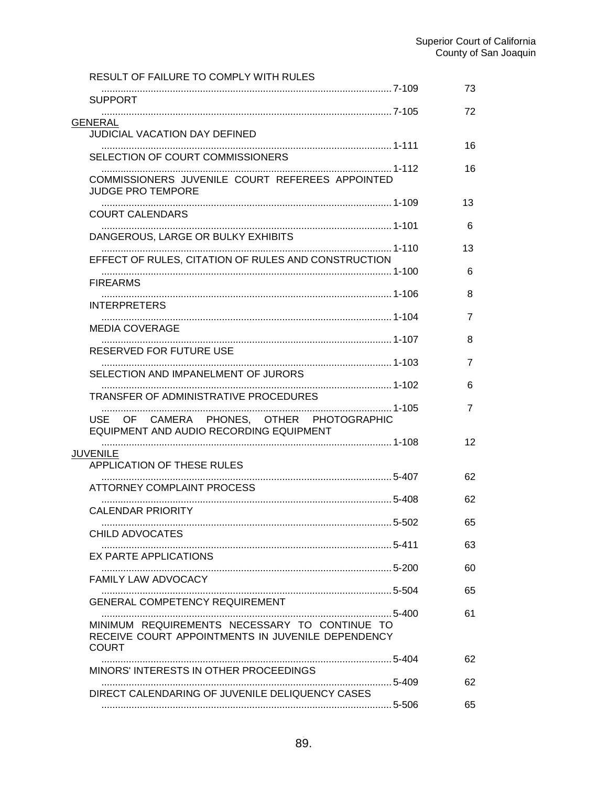| RESULT OF FAILURE TO COMPLY WITH RULES                                                             |                     |
|----------------------------------------------------------------------------------------------------|---------------------|
| <b>SUPPORT</b>                                                                                     | 73                  |
|                                                                                                    | 72                  |
| <b>GENERAL</b><br><b>JUDICIAL VACATION DAY DEFINED</b>                                             |                     |
| SELECTION OF COURT COMMISSIONERS                                                                   | 16                  |
| COMMISSIONERS JUVENILE COURT REFEREES APPOINTED<br>JUDGE PRO TEMPORE                               | 16                  |
| <b>COURT CALENDARS</b>                                                                             | 13                  |
| DANGEROUS, LARGE OR BULKY EXHIBITS                                                                 | 6                   |
| EFFECT OF RULES, CITATION OF RULES AND CONSTRUCTION                                                | 13                  |
| <b>FIREARMS</b>                                                                                    | 6                   |
|                                                                                                    | 8                   |
| <b>INTERPRETERS</b>                                                                                | 7                   |
| <b>MEDIA COVERAGE</b>                                                                              | 8                   |
| RESERVED FOR FUTURE USE                                                                            |                     |
| SELECTION AND IMPANELMENT OF JURORS                                                                | $\overline{7}$<br>6 |
| TRANSFER OF ADMINISTRATIVE PROCEDURES                                                              |                     |
| CAMERA PHONES, OTHER PHOTOGRAPHIC<br>USE<br><b>OF</b><br>EQUIPMENT AND AUDIO RECORDING EQUIPMENT   | 7                   |
| <b>JUVENILE</b>                                                                                    | 12                  |
| <b>APPLICATION OF THESE RULES</b>                                                                  |                     |
| ATTORNEY COMPLAINT PROCESS                                                                         | 62                  |
| <b>CALENDAR PRIORITY</b>                                                                           | 62                  |
| CHILD ADVOCATES                                                                                    | 65                  |
|                                                                                                    | 63                  |
| EX PARTE APPLICATIONS                                                                              | 60                  |
| FAMILY LAW ADVOCACY                                                                                | 65                  |
| <b>GENERAL COMPETENCY REQUIREMENT</b>                                                              |                     |
| MINIMUM REQUIREMENTS NECESSARY TO CONTINUE TO<br>RECEIVE COURT APPOINTMENTS IN JUVENILE DEPENDENCY | 61                  |
| <b>COURT</b>                                                                                       | 62                  |
| MINORS' INTERESTS IN OTHER PROCEEDINGS                                                             | 62                  |
| DIRECT CALENDARING OF JUVENILE DELIQUENCY CASES                                                    | 65                  |
|                                                                                                    |                     |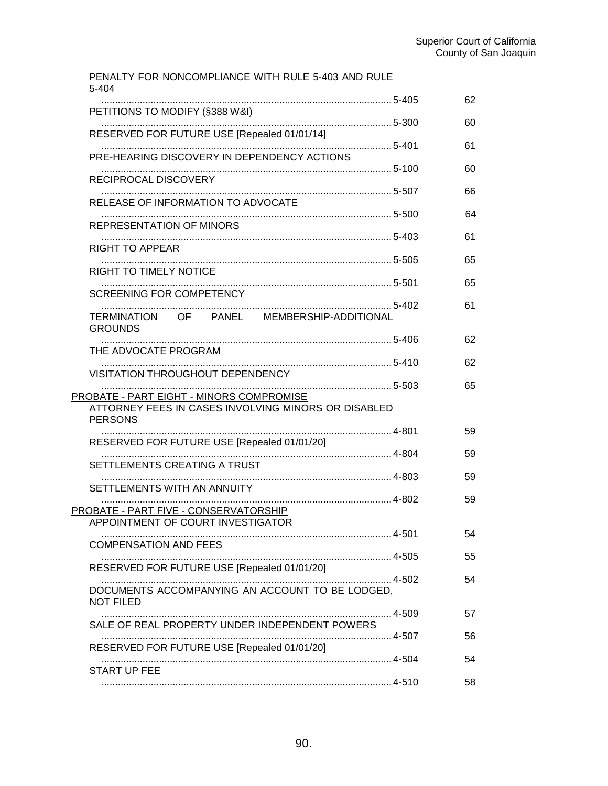| PENALTY FOR NONCOMPLIANCE WITH RULE 5-403 AND RULE<br>5-404           |    |
|-----------------------------------------------------------------------|----|
| PETITIONS TO MODIFY (§388 W&I)                                        | 62 |
| RESERVED FOR FUTURE USE [Repealed 01/01/14]                           | 60 |
| PRE-HEARING DISCOVERY IN DEPENDENCY ACTIONS                           | 61 |
| RECIPROCAL DISCOVERY                                                  | 60 |
| RELEASE OF INFORMATION TO ADVOCATE                                    | 66 |
| <b>REPRESENTATION OF MINORS</b>                                       | 64 |
| <b>RIGHT TO APPEAR</b>                                                | 61 |
| RIGHT TO TIMELY NOTICE                                                | 65 |
| SCREENING FOR COMPETENCY                                              | 65 |
|                                                                       | 61 |
| TERMINATION OF PANEL MEMBERSHIP-ADDITIONAL<br><b>GROUNDS</b>          |    |
| THE ADVOCATE PROGRAM                                                  | 62 |
| VISITATION THROUGHOUT DEPENDENCY                                      | 62 |
| 5-503<br>PROBATE - PART EIGHT - MINORS COMPROMISE                     | 65 |
| ATTORNEY FEES IN CASES INVOLVING MINORS OR DISABLED<br><b>PERSONS</b> |    |
| RESERVED FOR FUTURE USE [Repealed 01/01/20]                           | 59 |
| SETTLEMENTS CREATING A TRUST                                          | 59 |
| SETTLEMENTS WITH AN ANNUITY                                           | 59 |
| PROBATE - PART FIVE - CONSERVATORSHIP                                 | 59 |
| APPOINTMENT OF COURT INVESTIGATOR                                     | 54 |
| <b>COMPENSATION AND FEES</b>                                          | 55 |
| RESERVED FOR FUTURE USE [Repealed 01/01/20]                           | 54 |
| DOCUMENTS ACCOMPANYING AN ACCOUNT TO BE LODGED.<br><b>NOT FILED</b>   |    |
| SALE OF REAL PROPERTY UNDER INDEPENDENT POWERS                        | 57 |
| RESERVED FOR FUTURE USE [Repealed 01/01/20]                           | 56 |
| START UP FEE                                                          | 54 |
|                                                                       | 58 |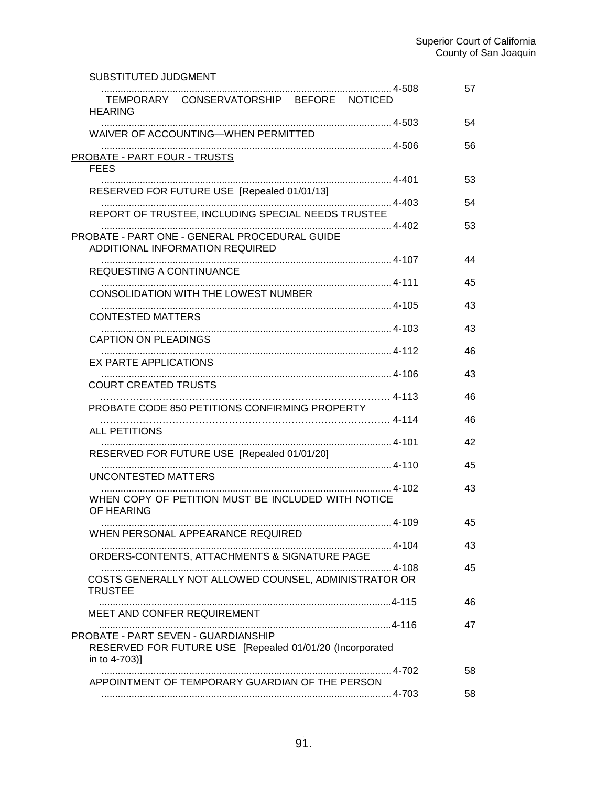| SUBSTITUTED JUDGMENT                                                                                             |          |
|------------------------------------------------------------------------------------------------------------------|----------|
| TEMPORARY CONSERVATORSHIP BEFORE NOTICED<br><b>HEARING</b>                                                       | 57       |
| WAIVER OF ACCOUNTING-WHEN PERMITTED                                                                              | 54       |
| PROBATE - PART FOUR - TRUSTS<br><b>FEES</b>                                                                      | 56       |
| RESERVED FOR FUTURE USE [Repealed 01/01/13]                                                                      | 53<br>54 |
| REPORT OF TRUSTEE, INCLUDING SPECIAL NEEDS TRUSTEE                                                               |          |
| PROBATE - PART ONE - GENERAL PROCEDURAL GUIDE<br>ADDITIONAL INFORMATION REQUIRED                                 | 53       |
| REQUESTING A CONTINUANCE                                                                                         | 44       |
| CONSOLIDATION WITH THE LOWEST NUMBER                                                                             | 45       |
| <b>CONTESTED MATTERS</b>                                                                                         | 43       |
| CAPTION ON PLEADINGS                                                                                             | 43       |
| EX PARTE APPLICATIONS                                                                                            | 46       |
| <b>COURT CREATED TRUSTS</b>                                                                                      | 43       |
| PROBATE CODE 850 PETITIONS CONFIRMING PROPERTY                                                                   | 46       |
| ALL PETITIONS                                                                                                    | 46       |
| RESERVED FOR FUTURE USE [Repealed 01/01/20]                                                                      | 42<br>45 |
| UNCONTESTED MATTERS                                                                                              |          |
| WHEN COPY OF PETITION MUST BE INCLUDED WITH NOTICE<br>OF HEARING                                                 | 43       |
| WHEN PERSONAL APPEARANCE REQUIRED                                                                                | 45       |
| ORDERS-CONTENTS, ATTACHMENTS & SIGNATURE PAGE                                                                    | 43       |
| COSTS GENERALLY NOT ALLOWED COUNSEL, ADMINISTRATOR OR<br><b>TRUSTEE</b>                                          | 45       |
| MEET AND CONFER REQUIREMENT                                                                                      | 46       |
|                                                                                                                  | 47       |
| PROBATE - PART SEVEN - GUARDIANSHIP<br>RESERVED FOR FUTURE USE [Repealed 01/01/20 (Incorporated<br>in to 4-703)] |          |
| APPOINTMENT OF TEMPORARY GUARDIAN OF THE PERSON                                                                  | 58       |
|                                                                                                                  | 58       |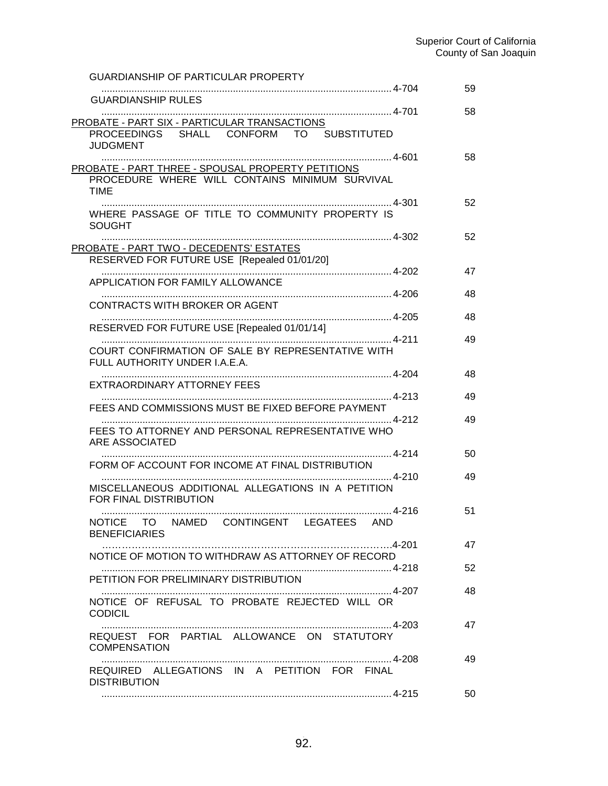| <b>GUARDIANSHIP OF PARTICULAR PROPERTY</b>                                   |    |
|------------------------------------------------------------------------------|----|
| <b>GUARDIANSHIP RULES</b>                                                    | 59 |
| PROBATE - PART SIX - PARTICULAR TRANSACTIONS                                 | 58 |
| PROCEEDINGS SHALL CONFORM TO SUBSTITUTED<br><b>JUDGMENT</b>                  |    |
| PROBATE - PART THREE - SPOUSAL PROPERTY PETITIONS                            | 58 |
| PROCEDURE WHERE WILL CONTAINS MINIMUM SURVIVAL                               |    |
| <b>TIME</b>                                                                  | 52 |
| WHERE PASSAGE OF TITLE TO COMMUNITY PROPERTY IS<br><b>SOUGHT</b>             |    |
| PROBATE - PART TWO - DECEDENTS' ESTATES                                      | 52 |
| RESERVED FOR FUTURE USE [Repealed 01/01/20]                                  |    |
| APPLICATION FOR FAMILY ALLOWANCE                                             | 47 |
| CONTRACTS WITH BROKER OR AGENT                                               | 48 |
| RESERVED FOR FUTURE USE [Repealed 01/01/14]                                  | 48 |
| COURT CONFIRMATION OF SALE BY REPRESENTATIVE WITH                            | 49 |
| FULL AUTHORITY UNDER I.A.E.A.                                                |    |
| EXTRAORDINARY ATTORNEY FEES                                                  | 48 |
| FEES AND COMMISSIONS MUST BE FIXED BEFORE PAYMENT                            | 49 |
| FEES TO ATTORNEY AND PERSONAL REPRESENTATIVE WHO                             | 49 |
| ARE ASSOCIATED                                                               |    |
| FORM OF ACCOUNT FOR INCOME AT FINAL DISTRIBUTION                             | 50 |
| MISCELLANEOUS ADDITIONAL ALLEGATIONS IN A PETITION<br>FOR FINAL DISTRIBUTION | 49 |
| NOTICE TO NAMED CONTINGENT LEGATEES AND<br><b>BENEFICIARIES</b>              | 51 |
| NOTICE OF MOTION TO WITHDRAW AS ATTORNEY OF RECORD                           | 47 |
|                                                                              | 52 |
| PETITION FOR PRELIMINARY DISTRIBUTION                                        | 48 |
| NOTICE OF REFUSAL TO PROBATE REJECTED WILL OR<br><b>CODICIL</b>              | 47 |
| REQUEST FOR PARTIAL ALLOWANCE ON STATUTORY<br>COMPENSATION                   |    |
| REQUIRED ALLEGATIONS IN A PETITION FOR FINAL<br><b>DISTRIBUTION</b>          | 49 |
|                                                                              | 50 |